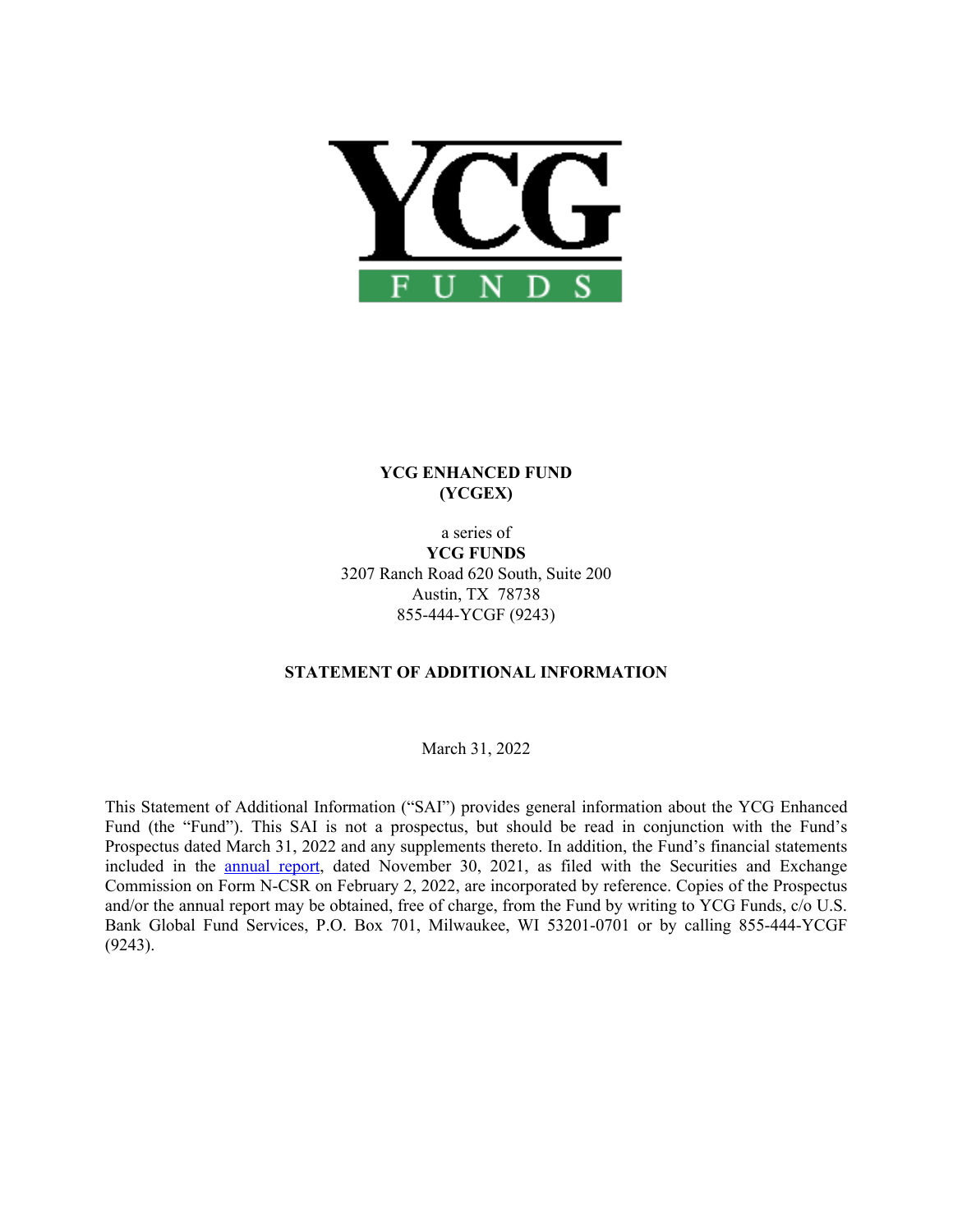

# **YCG ENHANCED FUND (YCGEX)**

a series of **YCG FUNDS** 3207 Ranch Road 620 South, Suite 200 Austin, TX 78738 855-444-YCGF (9243)

# **STATEMENT OF ADDITIONAL INFORMATION**

March 31, 2022

This Statement of Additional Information ("SAI") provides general information about the YCG Enhanced Fund (the "Fund"). This SAI is not a prospectus, but should be read in conjunction with the Fund's Prospectus dated March 31, 2022 and any supplements thereto. In addition, the Fund's financial statements included in the [annual report](http://www.sec.gov/Archives/edgar/data/1558372/000089853122000040/ycgef-ncsra.htm), dated November 30, 2021, as filed with the Securities and Exchange Commission on Form N-CSR on February 2, 2022, are incorporated by reference. Copies of the Prospectus and/or the annual report may be obtained, free of charge, from the Fund by writing to YCG Funds, c/o U.S. Bank Global Fund Services, P.O. Box 701, Milwaukee, WI 53201-0701 or by calling 855-444-YCGF (9243).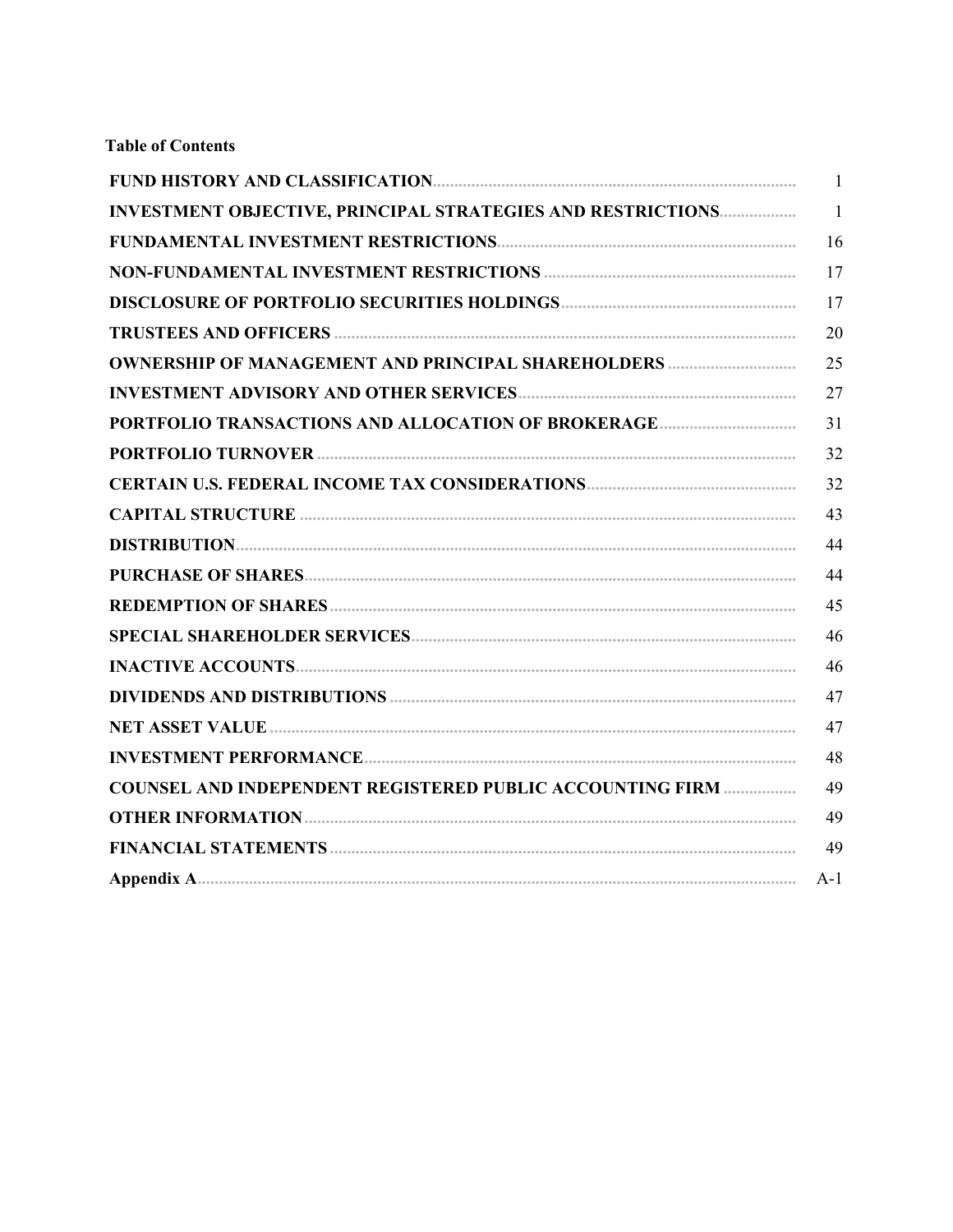# **Table of Contents**

|                                                                   | $\mathbf{1}$   |
|-------------------------------------------------------------------|----------------|
| INVESTMENT OBJECTIVE, PRINCIPAL STRATEGIES AND RESTRICTIONS       | $\overline{1}$ |
|                                                                   | 16             |
|                                                                   | 17             |
|                                                                   | 17             |
|                                                                   | 20             |
| <b>OWNERSHIP OF MANAGEMENT AND PRINCIPAL SHAREHOLDERS </b>        | 25             |
|                                                                   | 27             |
| PORTFOLIO TRANSACTIONS AND ALLOCATION OF BROKERAGE                | 31             |
|                                                                   | 32             |
|                                                                   | 32             |
|                                                                   | 43             |
|                                                                   | 44             |
|                                                                   | 44             |
|                                                                   | 45             |
|                                                                   | 46             |
|                                                                   | 46             |
|                                                                   | 47             |
|                                                                   | 47             |
|                                                                   | 48             |
| <b>COUNSEL AND INDEPENDENT REGISTERED PUBLIC ACCOUNTING FIRM </b> | 49             |
|                                                                   | 49             |
|                                                                   | 49             |
|                                                                   | $A-1$          |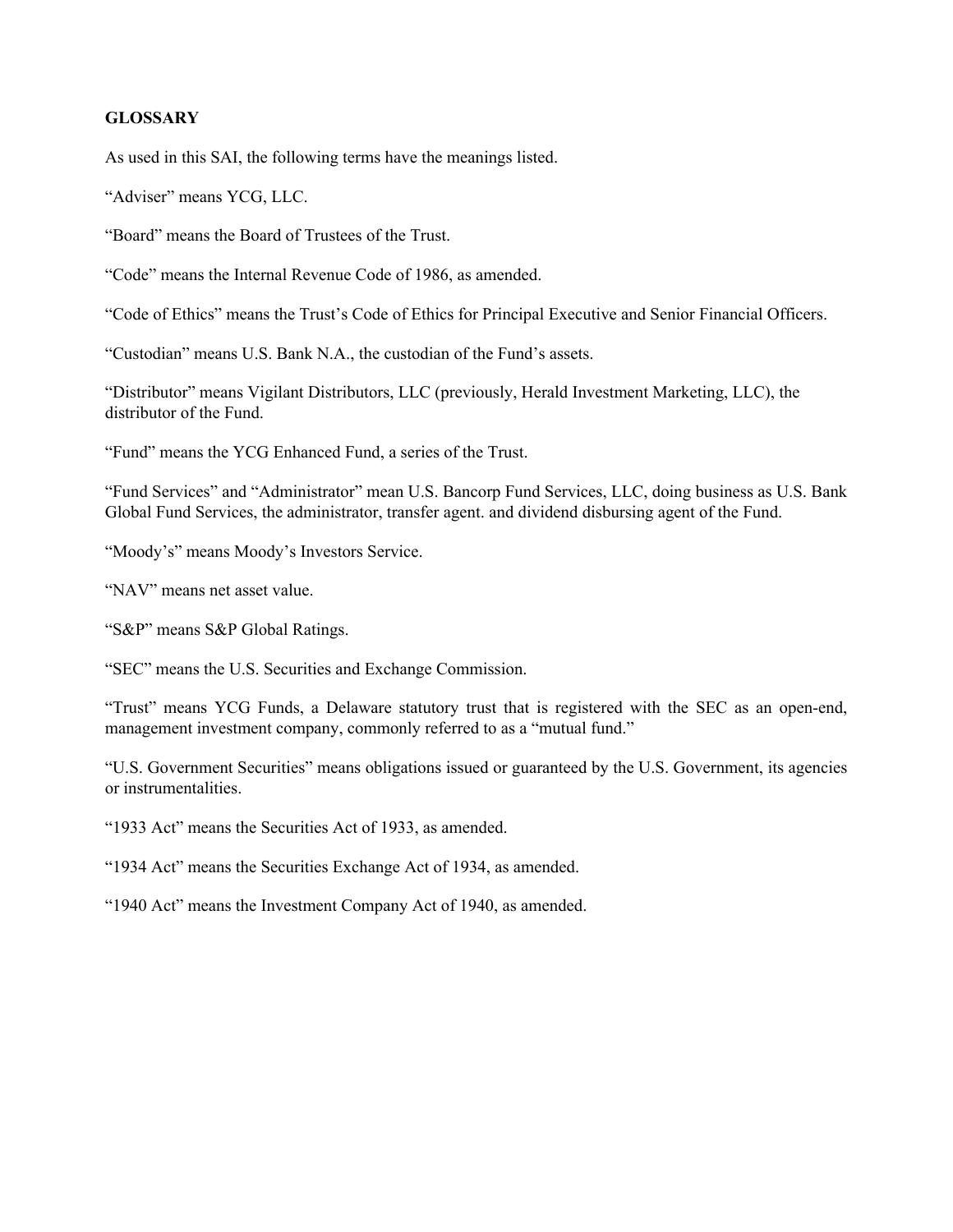### **GLOSSARY**

As used in this SAI, the following terms have the meanings listed.

"Adviser" means YCG, LLC.

"Board" means the Board of Trustees of the Trust.

"Code" means the Internal Revenue Code of 1986, as amended.

"Code of Ethics" means the Trust's Code of Ethics for Principal Executive and Senior Financial Officers.

"Custodian" means U.S. Bank N.A., the custodian of the Fund's assets.

"Distributor" means Vigilant Distributors, LLC (previously, Herald Investment Marketing, LLC), the distributor of the Fund.

"Fund" means the YCG Enhanced Fund, a series of the Trust.

"Fund Services" and "Administrator" mean U.S. Bancorp Fund Services, LLC, doing business as U.S. Bank Global Fund Services, the administrator, transfer agent. and dividend disbursing agent of the Fund.

"Moody's" means Moody's Investors Service.

"NAV" means net asset value.

"S&P" means S&P Global Ratings.

"SEC" means the U.S. Securities and Exchange Commission.

"Trust" means YCG Funds, a Delaware statutory trust that is registered with the SEC as an open-end, management investment company, commonly referred to as a "mutual fund."

"U.S. Government Securities" means obligations issued or guaranteed by the U.S. Government, its agencies or instrumentalities.

"1933 Act" means the Securities Act of 1933, as amended.

"1934 Act" means the Securities Exchange Act of 1934, as amended.

"1940 Act" means the Investment Company Act of 1940, as amended.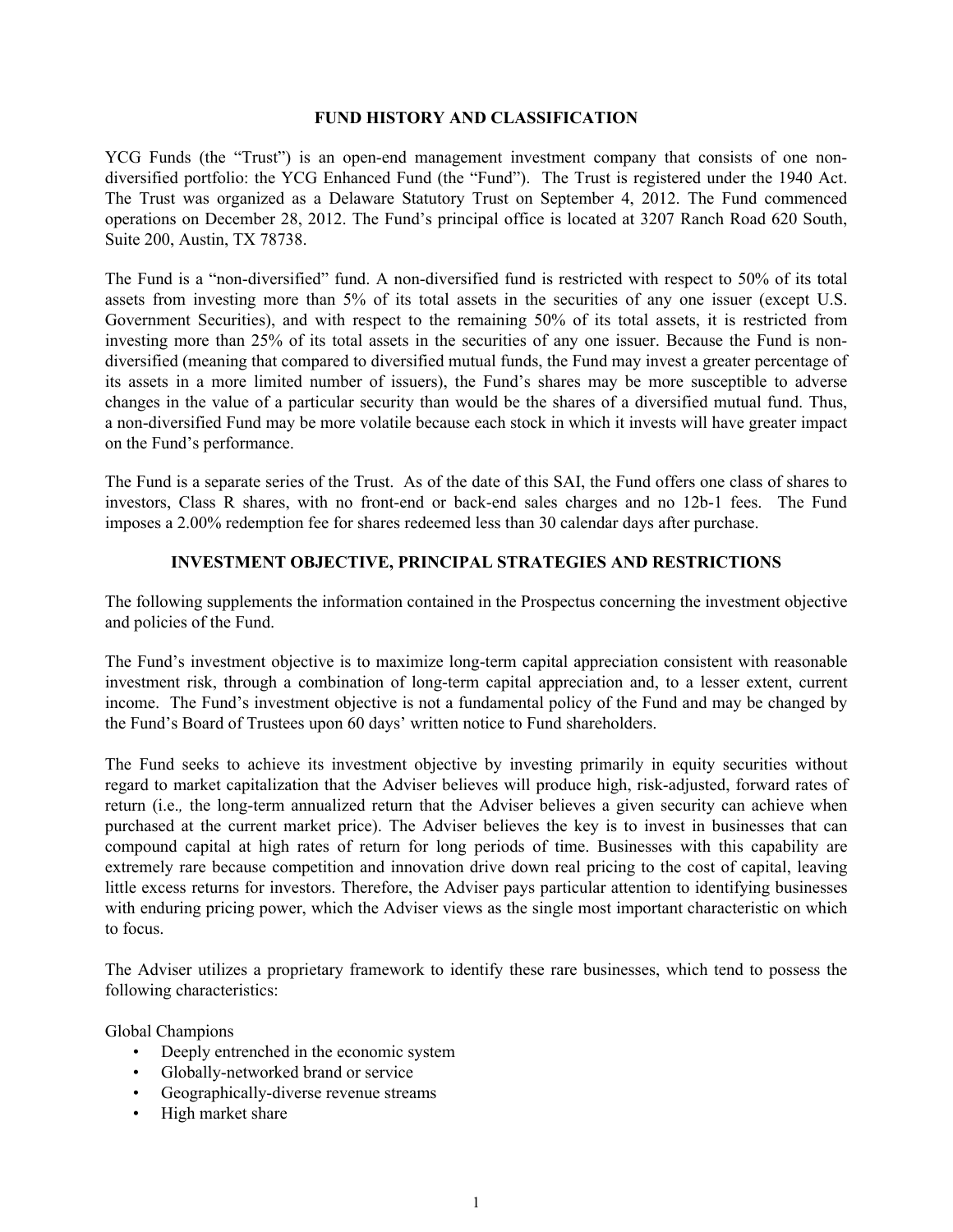#### **FUND HISTORY AND CLASSIFICATION**

<span id="page-3-0"></span>YCG Funds (the "Trust") is an open-end management investment company that consists of one nondiversified portfolio: the YCG Enhanced Fund (the "Fund"). The Trust is registered under the 1940 Act. The Trust was organized as a Delaware Statutory Trust on September 4, 2012. The Fund commenced operations on December 28, 2012. The Fund's principal office is located at 3207 Ranch Road 620 South, Suite 200, Austin, TX 78738.

The Fund is a "non-diversified" fund. A non-diversified fund is restricted with respect to 50% of its total assets from investing more than 5% of its total assets in the securities of any one issuer (except U.S. Government Securities), and with respect to the remaining 50% of its total assets, it is restricted from investing more than 25% of its total assets in the securities of any one issuer. Because the Fund is nondiversified (meaning that compared to diversified mutual funds, the Fund may invest a greater percentage of its assets in a more limited number of issuers), the Fund's shares may be more susceptible to adverse changes in the value of a particular security than would be the shares of a diversified mutual fund. Thus, a non-diversified Fund may be more volatile because each stock in which it invests will have greater impact on the Fund's performance.

The Fund is a separate series of the Trust. As of the date of this SAI, the Fund offers one class of shares to investors, Class R shares, with no front-end or back-end sales charges and no 12b-1 fees. The Fund imposes a 2.00% redemption fee for shares redeemed less than 30 calendar days after purchase.

#### **INVESTMENT OBJECTIVE, PRINCIPAL STRATEGIES AND RESTRICTIONS**

The following supplements the information contained in the Prospectus concerning the investment objective and policies of the Fund.

The Fund's investment objective is to maximize long-term capital appreciation consistent with reasonable investment risk, through a combination of long-term capital appreciation and, to a lesser extent, current income. The Fund's investment objective is not a fundamental policy of the Fund and may be changed by the Fund's Board of Trustees upon 60 days' written notice to Fund shareholders.

The Fund seeks to achieve its investment objective by investing primarily in equity securities without regard to market capitalization that the Adviser believes will produce high, risk-adjusted, forward rates of return (i.e.*,* the long-term annualized return that the Adviser believes a given security can achieve when purchased at the current market price). The Adviser believes the key is to invest in businesses that can compound capital at high rates of return for long periods of time. Businesses with this capability are extremely rare because competition and innovation drive down real pricing to the cost of capital, leaving little excess returns for investors. Therefore, the Adviser pays particular attention to identifying businesses with enduring pricing power, which the Adviser views as the single most important characteristic on which to focus.

The Adviser utilizes a proprietary framework to identify these rare businesses, which tend to possess the following characteristics:

Global Champions

- Deeply entrenched in the economic system
- Globally-networked brand or service
- Geographically-diverse revenue streams
- High market share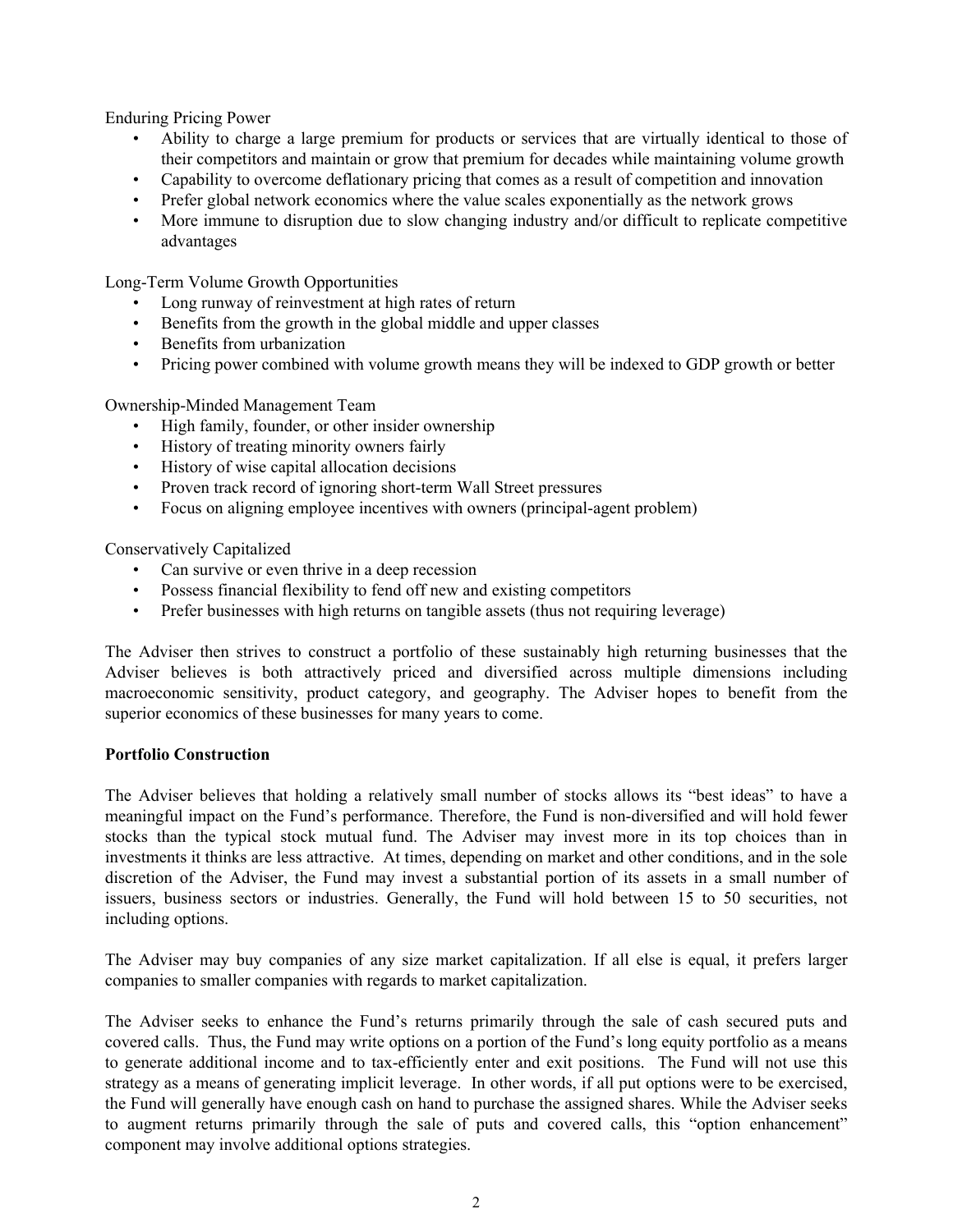Enduring Pricing Power

- Ability to charge a large premium for products or services that are virtually identical to those of their competitors and maintain or grow that premium for decades while maintaining volume growth
- Capability to overcome deflationary pricing that comes as a result of competition and innovation
- Prefer global network economics where the value scales exponentially as the network grows
- More immune to disruption due to slow changing industry and/or difficult to replicate competitive advantages

Long-Term Volume Growth Opportunities

- Long runway of reinvestment at high rates of return
- Benefits from the growth in the global middle and upper classes
- Benefits from urbanization
- Pricing power combined with volume growth means they will be indexed to GDP growth or better

Ownership-Minded Management Team

- High family, founder, or other insider ownership
- History of treating minority owners fairly
- History of wise capital allocation decisions
- Proven track record of ignoring short-term Wall Street pressures
- Focus on aligning employee incentives with owners (principal-agent problem)

Conservatively Capitalized

- Can survive or even thrive in a deep recession
- Possess financial flexibility to fend off new and existing competitors
- Prefer businesses with high returns on tangible assets (thus not requiring leverage)

The Adviser then strives to construct a portfolio of these sustainably high returning businesses that the Adviser believes is both attractively priced and diversified across multiple dimensions including macroeconomic sensitivity, product category, and geography. The Adviser hopes to benefit from the superior economics of these businesses for many years to come.

#### **Portfolio Construction**

The Adviser believes that holding a relatively small number of stocks allows its "best ideas" to have a meaningful impact on the Fund's performance. Therefore, the Fund is non-diversified and will hold fewer stocks than the typical stock mutual fund. The Adviser may invest more in its top choices than in investments it thinks are less attractive. At times, depending on market and other conditions, and in the sole discretion of the Adviser, the Fund may invest a substantial portion of its assets in a small number of issuers, business sectors or industries. Generally, the Fund will hold between 15 to 50 securities, not including options.

The Adviser may buy companies of any size market capitalization. If all else is equal, it prefers larger companies to smaller companies with regards to market capitalization.

The Adviser seeks to enhance the Fund's returns primarily through the sale of cash secured puts and covered calls. Thus, the Fund may write options on a portion of the Fund's long equity portfolio as a means to generate additional income and to tax-efficiently enter and exit positions. The Fund will not use this strategy as a means of generating implicit leverage. In other words, if all put options were to be exercised, the Fund will generally have enough cash on hand to purchase the assigned shares. While the Adviser seeks to augment returns primarily through the sale of puts and covered calls, this "option enhancement" component may involve additional options strategies.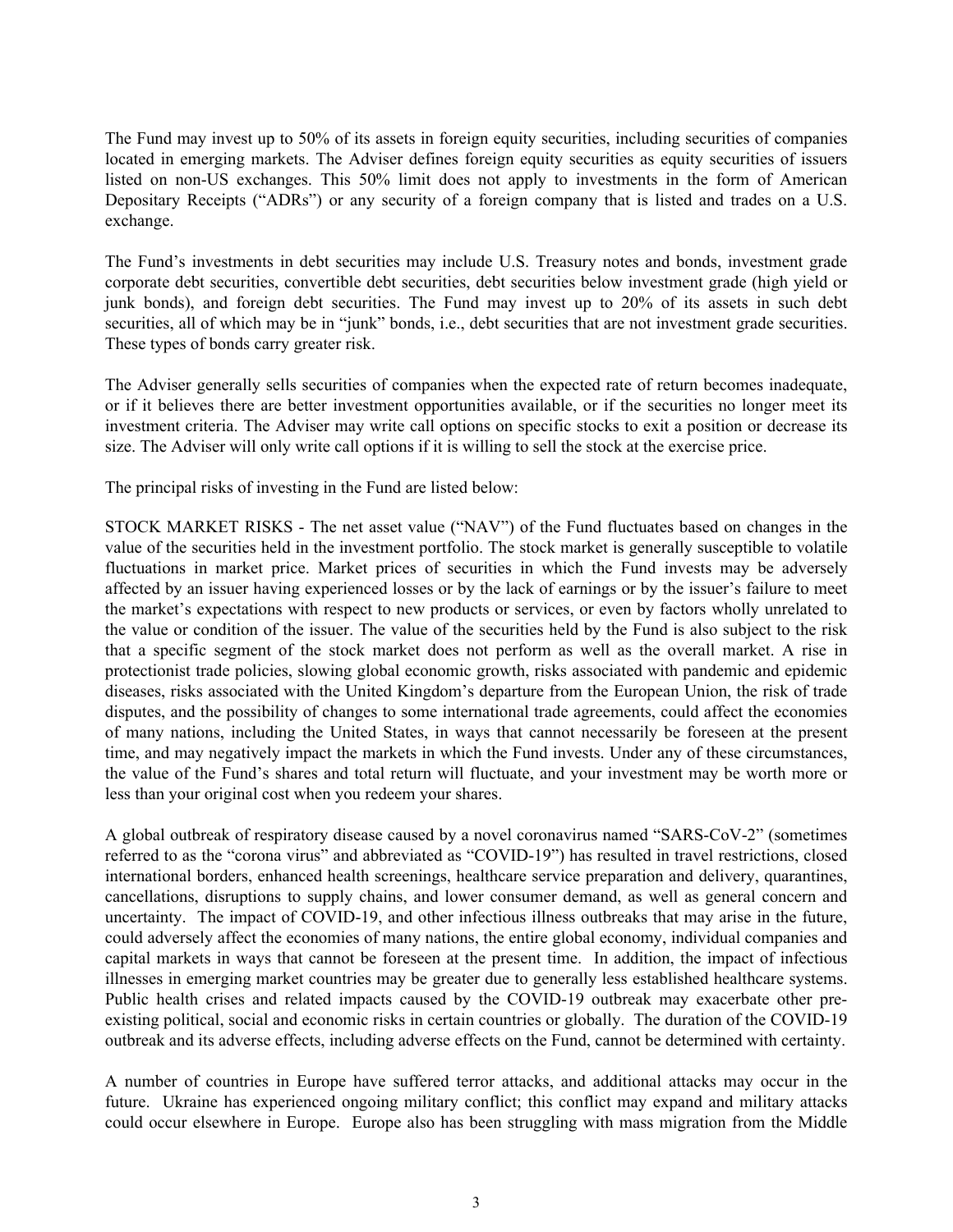The Fund may invest up to 50% of its assets in foreign equity securities, including securities of companies located in emerging markets. The Adviser defines foreign equity securities as equity securities of issuers listed on non-US exchanges. This 50% limit does not apply to investments in the form of American Depositary Receipts ("ADRs") or any security of a foreign company that is listed and trades on a U.S. exchange.

The Fund's investments in debt securities may include U.S. Treasury notes and bonds, investment grade corporate debt securities, convertible debt securities, debt securities below investment grade (high yield or junk bonds), and foreign debt securities. The Fund may invest up to 20% of its assets in such debt securities, all of which may be in "junk" bonds, i.e., debt securities that are not investment grade securities. These types of bonds carry greater risk.

The Adviser generally sells securities of companies when the expected rate of return becomes inadequate, or if it believes there are better investment opportunities available, or if the securities no longer meet its investment criteria. The Adviser may write call options on specific stocks to exit a position or decrease its size. The Adviser will only write call options if it is willing to sell the stock at the exercise price.

The principal risks of investing in the Fund are listed below:

STOCK MARKET RISKS - The net asset value ("NAV") of the Fund fluctuates based on changes in the value of the securities held in the investment portfolio. The stock market is generally susceptible to volatile fluctuations in market price. Market prices of securities in which the Fund invests may be adversely affected by an issuer having experienced losses or by the lack of earnings or by the issuer's failure to meet the market's expectations with respect to new products or services, or even by factors wholly unrelated to the value or condition of the issuer. The value of the securities held by the Fund is also subject to the risk that a specific segment of the stock market does not perform as well as the overall market. A rise in protectionist trade policies, slowing global economic growth, risks associated with pandemic and epidemic diseases, risks associated with the United Kingdom's departure from the European Union, the risk of trade disputes, and the possibility of changes to some international trade agreements, could affect the economies of many nations, including the United States, in ways that cannot necessarily be foreseen at the present time, and may negatively impact the markets in which the Fund invests. Under any of these circumstances, the value of the Fund's shares and total return will fluctuate, and your investment may be worth more or less than your original cost when you redeem your shares.

A global outbreak of respiratory disease caused by a novel coronavirus named "SARS-CoV-2" (sometimes referred to as the "corona virus" and abbreviated as "COVID-19") has resulted in travel restrictions, closed international borders, enhanced health screenings, healthcare service preparation and delivery, quarantines, cancellations, disruptions to supply chains, and lower consumer demand, as well as general concern and uncertainty. The impact of COVID-19, and other infectious illness outbreaks that may arise in the future, could adversely affect the economies of many nations, the entire global economy, individual companies and capital markets in ways that cannot be foreseen at the present time. In addition, the impact of infectious illnesses in emerging market countries may be greater due to generally less established healthcare systems. Public health crises and related impacts caused by the COVID-19 outbreak may exacerbate other preexisting political, social and economic risks in certain countries or globally. The duration of the COVID-19 outbreak and its adverse effects, including adverse effects on the Fund, cannot be determined with certainty.

A number of countries in Europe have suffered terror attacks, and additional attacks may occur in the future. Ukraine has experienced ongoing military conflict; this conflict may expand and military attacks could occur elsewhere in Europe. Europe also has been struggling with mass migration from the Middle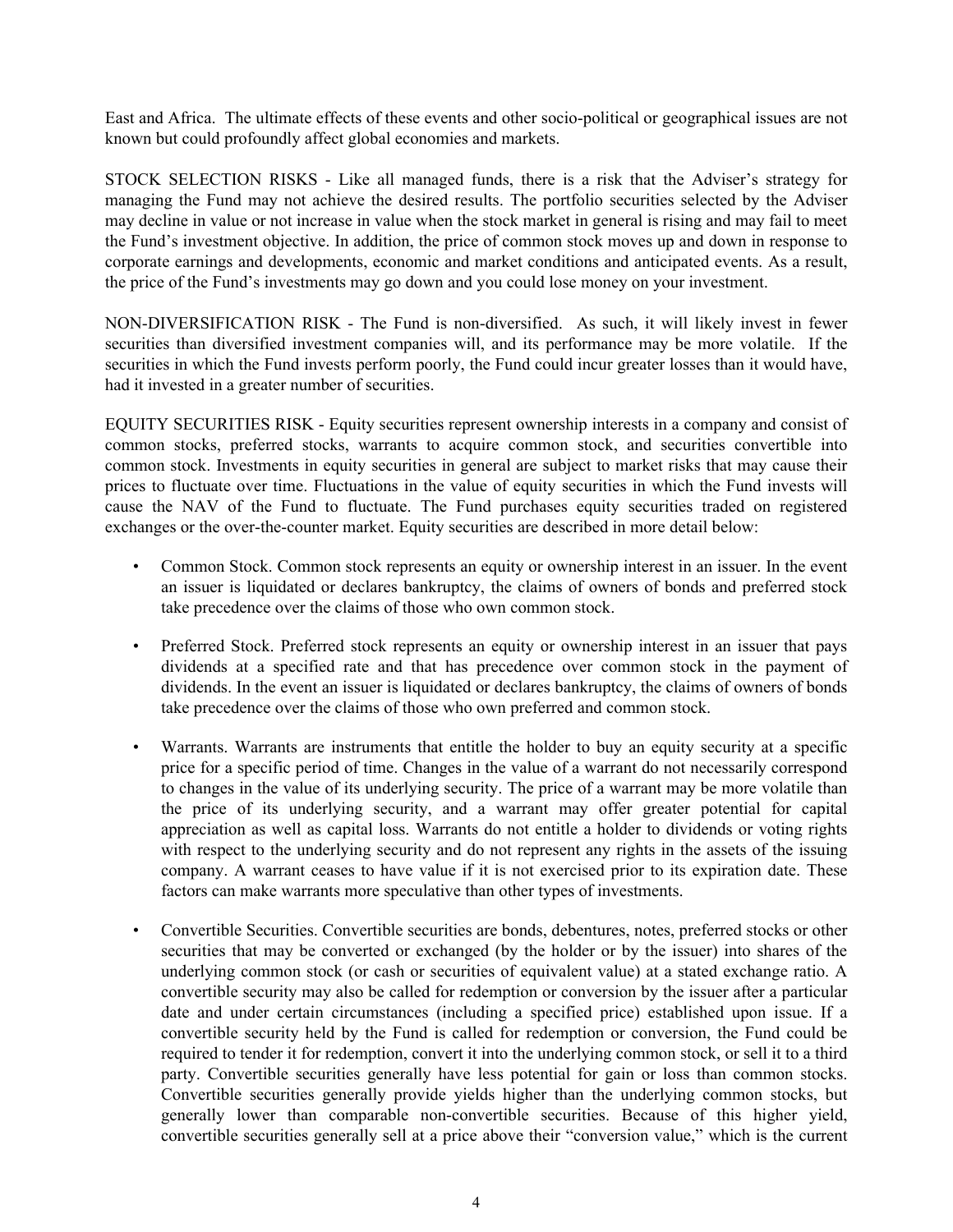East and Africa. The ultimate effects of these events and other socio-political or geographical issues are not known but could profoundly affect global economies and markets.

STOCK SELECTION RISKS - Like all managed funds, there is a risk that the Adviser's strategy for managing the Fund may not achieve the desired results. The portfolio securities selected by the Adviser may decline in value or not increase in value when the stock market in general is rising and may fail to meet the Fund's investment objective. In addition, the price of common stock moves up and down in response to corporate earnings and developments, economic and market conditions and anticipated events. As a result, the price of the Fund's investments may go down and you could lose money on your investment.

NON-DIVERSIFICATION RISK - The Fund is non-diversified. As such, it will likely invest in fewer securities than diversified investment companies will, and its performance may be more volatile. If the securities in which the Fund invests perform poorly, the Fund could incur greater losses than it would have, had it invested in a greater number of securities.

EQUITY SECURITIES RISK - Equity securities represent ownership interests in a company and consist of common stocks, preferred stocks, warrants to acquire common stock, and securities convertible into common stock. Investments in equity securities in general are subject to market risks that may cause their prices to fluctuate over time. Fluctuations in the value of equity securities in which the Fund invests will cause the NAV of the Fund to fluctuate. The Fund purchases equity securities traded on registered exchanges or the over-the-counter market. Equity securities are described in more detail below:

- Common Stock. Common stock represents an equity or ownership interest in an issuer. In the event an issuer is liquidated or declares bankruptcy, the claims of owners of bonds and preferred stock take precedence over the claims of those who own common stock.
- Preferred Stock. Preferred stock represents an equity or ownership interest in an issuer that pays dividends at a specified rate and that has precedence over common stock in the payment of dividends. In the event an issuer is liquidated or declares bankruptcy, the claims of owners of bonds take precedence over the claims of those who own preferred and common stock.
- Warrants. Warrants are instruments that entitle the holder to buy an equity security at a specific price for a specific period of time. Changes in the value of a warrant do not necessarily correspond to changes in the value of its underlying security. The price of a warrant may be more volatile than the price of its underlying security, and a warrant may offer greater potential for capital appreciation as well as capital loss. Warrants do not entitle a holder to dividends or voting rights with respect to the underlying security and do not represent any rights in the assets of the issuing company. A warrant ceases to have value if it is not exercised prior to its expiration date. These factors can make warrants more speculative than other types of investments.
- Convertible Securities. Convertible securities are bonds, debentures, notes, preferred stocks or other securities that may be converted or exchanged (by the holder or by the issuer) into shares of the underlying common stock (or cash or securities of equivalent value) at a stated exchange ratio. A convertible security may also be called for redemption or conversion by the issuer after a particular date and under certain circumstances (including a specified price) established upon issue. If a convertible security held by the Fund is called for redemption or conversion, the Fund could be required to tender it for redemption, convert it into the underlying common stock, or sell it to a third party. Convertible securities generally have less potential for gain or loss than common stocks. Convertible securities generally provide yields higher than the underlying common stocks, but generally lower than comparable non-convertible securities. Because of this higher yield, convertible securities generally sell at a price above their "conversion value," which is the current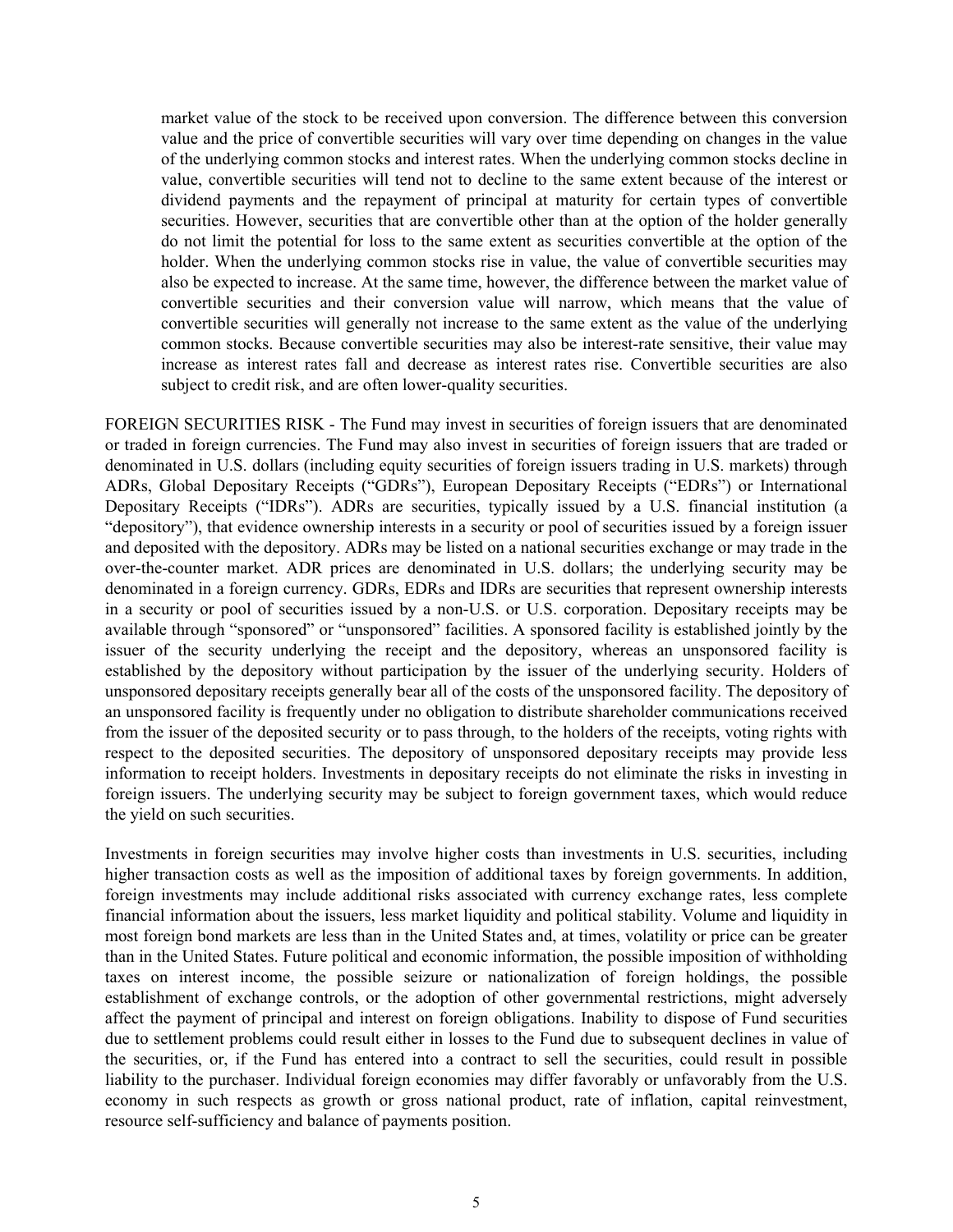market value of the stock to be received upon conversion. The difference between this conversion value and the price of convertible securities will vary over time depending on changes in the value of the underlying common stocks and interest rates. When the underlying common stocks decline in value, convertible securities will tend not to decline to the same extent because of the interest or dividend payments and the repayment of principal at maturity for certain types of convertible securities. However, securities that are convertible other than at the option of the holder generally do not limit the potential for loss to the same extent as securities convertible at the option of the holder. When the underlying common stocks rise in value, the value of convertible securities may also be expected to increase. At the same time, however, the difference between the market value of convertible securities and their conversion value will narrow, which means that the value of convertible securities will generally not increase to the same extent as the value of the underlying common stocks. Because convertible securities may also be interest-rate sensitive, their value may increase as interest rates fall and decrease as interest rates rise. Convertible securities are also subject to credit risk, and are often lower-quality securities.

FOREIGN SECURITIES RISK - The Fund may invest in securities of foreign issuers that are denominated or traded in foreign currencies. The Fund may also invest in securities of foreign issuers that are traded or denominated in U.S. dollars (including equity securities of foreign issuers trading in U.S. markets) through ADRs, Global Depositary Receipts ("GDRs"), European Depositary Receipts ("EDRs") or International Depositary Receipts ("IDRs"). ADRs are securities, typically issued by a U.S. financial institution (a "depository"), that evidence ownership interests in a security or pool of securities issued by a foreign issuer and deposited with the depository. ADRs may be listed on a national securities exchange or may trade in the over-the-counter market. ADR prices are denominated in U.S. dollars; the underlying security may be denominated in a foreign currency. GDRs, EDRs and IDRs are securities that represent ownership interests in a security or pool of securities issued by a non-U.S. or U.S. corporation. Depositary receipts may be available through "sponsored" or "unsponsored" facilities. A sponsored facility is established jointly by the issuer of the security underlying the receipt and the depository, whereas an unsponsored facility is established by the depository without participation by the issuer of the underlying security. Holders of unsponsored depositary receipts generally bear all of the costs of the unsponsored facility. The depository of an unsponsored facility is frequently under no obligation to distribute shareholder communications received from the issuer of the deposited security or to pass through, to the holders of the receipts, voting rights with respect to the deposited securities. The depository of unsponsored depositary receipts may provide less information to receipt holders. Investments in depositary receipts do not eliminate the risks in investing in foreign issuers. The underlying security may be subject to foreign government taxes, which would reduce the yield on such securities.

Investments in foreign securities may involve higher costs than investments in U.S. securities, including higher transaction costs as well as the imposition of additional taxes by foreign governments. In addition, foreign investments may include additional risks associated with currency exchange rates, less complete financial information about the issuers, less market liquidity and political stability. Volume and liquidity in most foreign bond markets are less than in the United States and, at times, volatility or price can be greater than in the United States. Future political and economic information, the possible imposition of withholding taxes on interest income, the possible seizure or nationalization of foreign holdings, the possible establishment of exchange controls, or the adoption of other governmental restrictions, might adversely affect the payment of principal and interest on foreign obligations. Inability to dispose of Fund securities due to settlement problems could result either in losses to the Fund due to subsequent declines in value of the securities, or, if the Fund has entered into a contract to sell the securities, could result in possible liability to the purchaser. Individual foreign economies may differ favorably or unfavorably from the U.S. economy in such respects as growth or gross national product, rate of inflation, capital reinvestment, resource self-sufficiency and balance of payments position.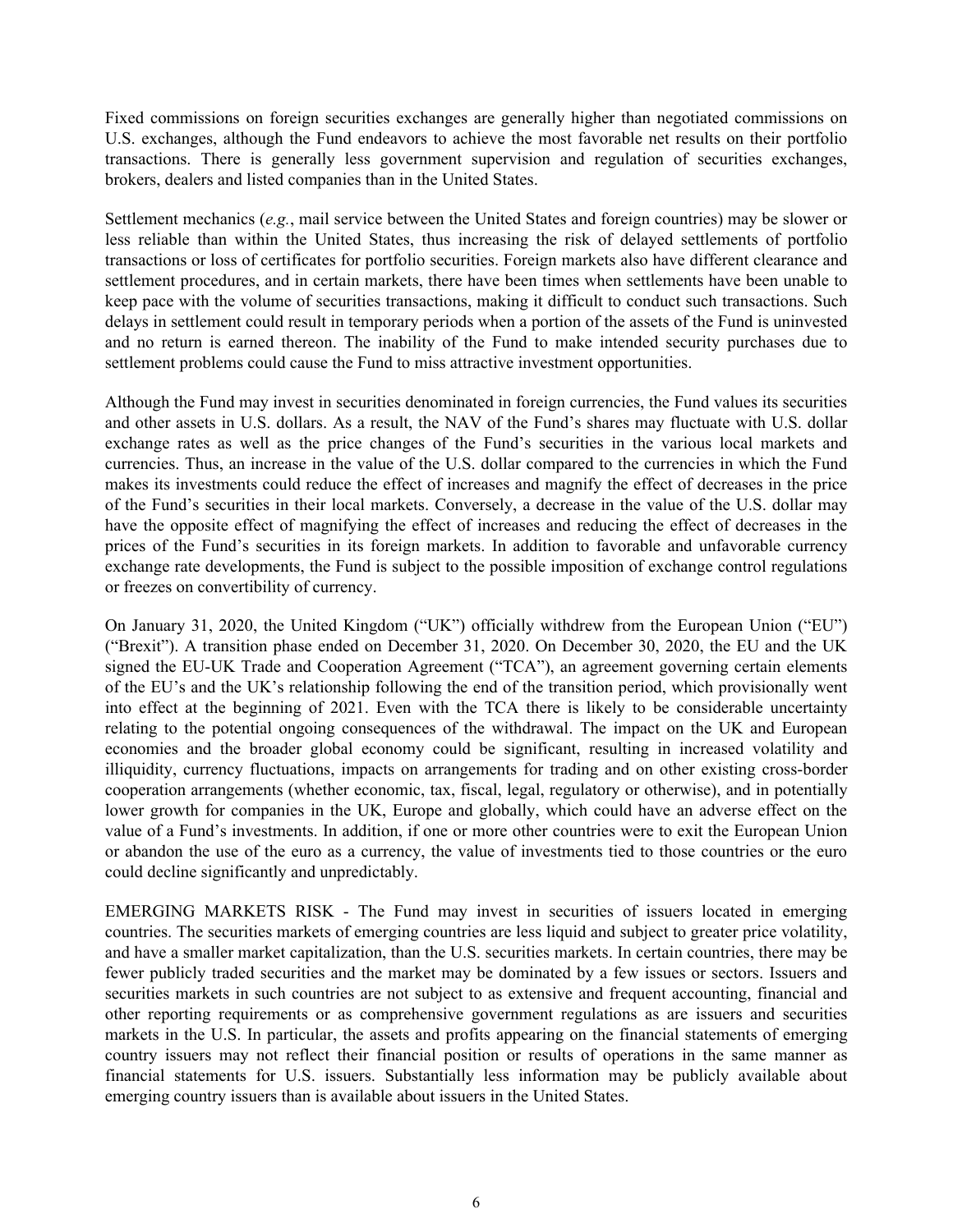Fixed commissions on foreign securities exchanges are generally higher than negotiated commissions on U.S. exchanges, although the Fund endeavors to achieve the most favorable net results on their portfolio transactions. There is generally less government supervision and regulation of securities exchanges, brokers, dealers and listed companies than in the United States.

Settlement mechanics (*e.g.*, mail service between the United States and foreign countries) may be slower or less reliable than within the United States, thus increasing the risk of delayed settlements of portfolio transactions or loss of certificates for portfolio securities. Foreign markets also have different clearance and settlement procedures, and in certain markets, there have been times when settlements have been unable to keep pace with the volume of securities transactions, making it difficult to conduct such transactions. Such delays in settlement could result in temporary periods when a portion of the assets of the Fund is uninvested and no return is earned thereon. The inability of the Fund to make intended security purchases due to settlement problems could cause the Fund to miss attractive investment opportunities.

Although the Fund may invest in securities denominated in foreign currencies, the Fund values its securities and other assets in U.S. dollars. As a result, the NAV of the Fund's shares may fluctuate with U.S. dollar exchange rates as well as the price changes of the Fund's securities in the various local markets and currencies. Thus, an increase in the value of the U.S. dollar compared to the currencies in which the Fund makes its investments could reduce the effect of increases and magnify the effect of decreases in the price of the Fund's securities in their local markets. Conversely, a decrease in the value of the U.S. dollar may have the opposite effect of magnifying the effect of increases and reducing the effect of decreases in the prices of the Fund's securities in its foreign markets. In addition to favorable and unfavorable currency exchange rate developments, the Fund is subject to the possible imposition of exchange control regulations or freezes on convertibility of currency.

On January 31, 2020, the United Kingdom ("UK") officially withdrew from the European Union ("EU") ("Brexit"). A transition phase ended on December 31, 2020. On December 30, 2020, the EU and the UK signed the EU-UK Trade and Cooperation Agreement ("TCA"), an agreement governing certain elements of the EU's and the UK's relationship following the end of the transition period, which provisionally went into effect at the beginning of 2021. Even with the TCA there is likely to be considerable uncertainty relating to the potential ongoing consequences of the withdrawal. The impact on the UK and European economies and the broader global economy could be significant, resulting in increased volatility and illiquidity, currency fluctuations, impacts on arrangements for trading and on other existing cross-border cooperation arrangements (whether economic, tax, fiscal, legal, regulatory or otherwise), and in potentially lower growth for companies in the UK, Europe and globally, which could have an adverse effect on the value of a Fund's investments. In addition, if one or more other countries were to exit the European Union or abandon the use of the euro as a currency, the value of investments tied to those countries or the euro could decline significantly and unpredictably.

EMERGING MARKETS RISK - The Fund may invest in securities of issuers located in emerging countries. The securities markets of emerging countries are less liquid and subject to greater price volatility, and have a smaller market capitalization, than the U.S. securities markets. In certain countries, there may be fewer publicly traded securities and the market may be dominated by a few issues or sectors. Issuers and securities markets in such countries are not subject to as extensive and frequent accounting, financial and other reporting requirements or as comprehensive government regulations as are issuers and securities markets in the U.S. In particular, the assets and profits appearing on the financial statements of emerging country issuers may not reflect their financial position or results of operations in the same manner as financial statements for U.S. issuers. Substantially less information may be publicly available about emerging country issuers than is available about issuers in the United States.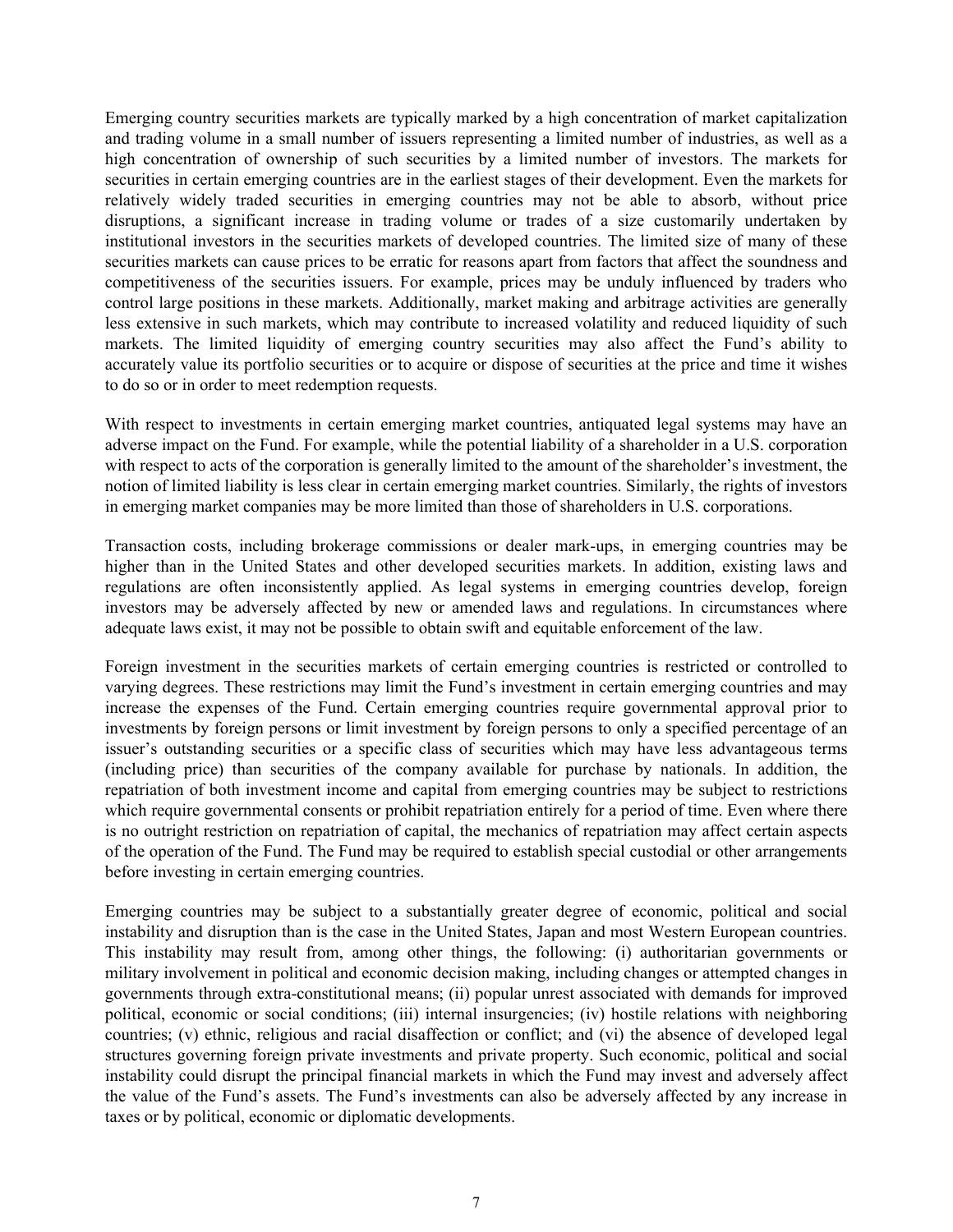Emerging country securities markets are typically marked by a high concentration of market capitalization and trading volume in a small number of issuers representing a limited number of industries, as well as a high concentration of ownership of such securities by a limited number of investors. The markets for securities in certain emerging countries are in the earliest stages of their development. Even the markets for relatively widely traded securities in emerging countries may not be able to absorb, without price disruptions, a significant increase in trading volume or trades of a size customarily undertaken by institutional investors in the securities markets of developed countries. The limited size of many of these securities markets can cause prices to be erratic for reasons apart from factors that affect the soundness and competitiveness of the securities issuers. For example, prices may be unduly influenced by traders who control large positions in these markets. Additionally, market making and arbitrage activities are generally less extensive in such markets, which may contribute to increased volatility and reduced liquidity of such markets. The limited liquidity of emerging country securities may also affect the Fund's ability to accurately value its portfolio securities or to acquire or dispose of securities at the price and time it wishes to do so or in order to meet redemption requests.

With respect to investments in certain emerging market countries, antiquated legal systems may have an adverse impact on the Fund. For example, while the potential liability of a shareholder in a U.S. corporation with respect to acts of the corporation is generally limited to the amount of the shareholder's investment, the notion of limited liability is less clear in certain emerging market countries. Similarly, the rights of investors in emerging market companies may be more limited than those of shareholders in U.S. corporations.

Transaction costs, including brokerage commissions or dealer mark-ups, in emerging countries may be higher than in the United States and other developed securities markets. In addition, existing laws and regulations are often inconsistently applied. As legal systems in emerging countries develop, foreign investors may be adversely affected by new or amended laws and regulations. In circumstances where adequate laws exist, it may not be possible to obtain swift and equitable enforcement of the law.

Foreign investment in the securities markets of certain emerging countries is restricted or controlled to varying degrees. These restrictions may limit the Fund's investment in certain emerging countries and may increase the expenses of the Fund. Certain emerging countries require governmental approval prior to investments by foreign persons or limit investment by foreign persons to only a specified percentage of an issuer's outstanding securities or a specific class of securities which may have less advantageous terms (including price) than securities of the company available for purchase by nationals. In addition, the repatriation of both investment income and capital from emerging countries may be subject to restrictions which require governmental consents or prohibit repatriation entirely for a period of time. Even where there is no outright restriction on repatriation of capital, the mechanics of repatriation may affect certain aspects of the operation of the Fund. The Fund may be required to establish special custodial or other arrangements before investing in certain emerging countries.

Emerging countries may be subject to a substantially greater degree of economic, political and social instability and disruption than is the case in the United States, Japan and most Western European countries. This instability may result from, among other things, the following: (i) authoritarian governments or military involvement in political and economic decision making, including changes or attempted changes in governments through extra-constitutional means; (ii) popular unrest associated with demands for improved political, economic or social conditions; (iii) internal insurgencies; (iv) hostile relations with neighboring countries; (v) ethnic, religious and racial disaffection or conflict; and (vi) the absence of developed legal structures governing foreign private investments and private property. Such economic, political and social instability could disrupt the principal financial markets in which the Fund may invest and adversely affect the value of the Fund's assets. The Fund's investments can also be adversely affected by any increase in taxes or by political, economic or diplomatic developments.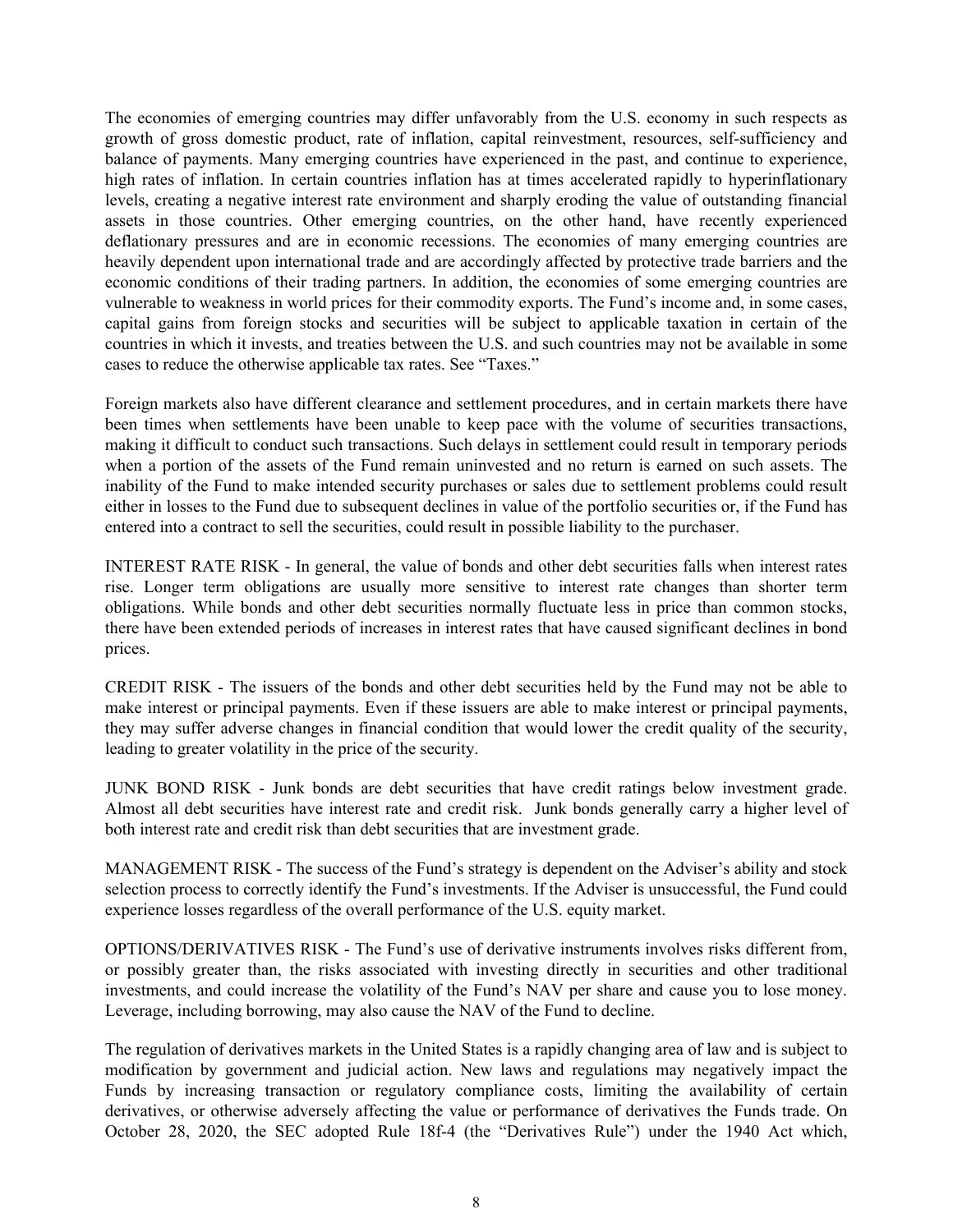The economies of emerging countries may differ unfavorably from the U.S. economy in such respects as growth of gross domestic product, rate of inflation, capital reinvestment, resources, self-sufficiency and balance of payments. Many emerging countries have experienced in the past, and continue to experience, high rates of inflation. In certain countries inflation has at times accelerated rapidly to hyperinflationary levels, creating a negative interest rate environment and sharply eroding the value of outstanding financial assets in those countries. Other emerging countries, on the other hand, have recently experienced deflationary pressures and are in economic recessions. The economies of many emerging countries are heavily dependent upon international trade and are accordingly affected by protective trade barriers and the economic conditions of their trading partners. In addition, the economies of some emerging countries are vulnerable to weakness in world prices for their commodity exports. The Fund's income and, in some cases, capital gains from foreign stocks and securities will be subject to applicable taxation in certain of the countries in which it invests, and treaties between the U.S. and such countries may not be available in some cases to reduce the otherwise applicable tax rates. See "Taxes."

Foreign markets also have different clearance and settlement procedures, and in certain markets there have been times when settlements have been unable to keep pace with the volume of securities transactions, making it difficult to conduct such transactions. Such delays in settlement could result in temporary periods when a portion of the assets of the Fund remain uninvested and no return is earned on such assets. The inability of the Fund to make intended security purchases or sales due to settlement problems could result either in losses to the Fund due to subsequent declines in value of the portfolio securities or, if the Fund has entered into a contract to sell the securities, could result in possible liability to the purchaser.

INTEREST RATE RISK - In general, the value of bonds and other debt securities falls when interest rates rise. Longer term obligations are usually more sensitive to interest rate changes than shorter term obligations. While bonds and other debt securities normally fluctuate less in price than common stocks, there have been extended periods of increases in interest rates that have caused significant declines in bond prices.

CREDIT RISK - The issuers of the bonds and other debt securities held by the Fund may not be able to make interest or principal payments. Even if these issuers are able to make interest or principal payments, they may suffer adverse changes in financial condition that would lower the credit quality of the security, leading to greater volatility in the price of the security.

JUNK BOND RISK - Junk bonds are debt securities that have credit ratings below investment grade. Almost all debt securities have interest rate and credit risk. Junk bonds generally carry a higher level of both interest rate and credit risk than debt securities that are investment grade.

MANAGEMENT RISK - The success of the Fund's strategy is dependent on the Adviser's ability and stock selection process to correctly identify the Fund's investments. If the Adviser is unsuccessful, the Fund could experience losses regardless of the overall performance of the U.S. equity market.

OPTIONS/DERIVATIVES RISK - The Fund's use of derivative instruments involves risks different from, or possibly greater than, the risks associated with investing directly in securities and other traditional investments, and could increase the volatility of the Fund's NAV per share and cause you to lose money. Leverage, including borrowing, may also cause the NAV of the Fund to decline.

The regulation of derivatives markets in the United States is a rapidly changing area of law and is subject to modification by government and judicial action. New laws and regulations may negatively impact the Funds by increasing transaction or regulatory compliance costs, limiting the availability of certain derivatives, or otherwise adversely affecting the value or performance of derivatives the Funds trade. On October 28, 2020, the SEC adopted Rule 18f-4 (the "Derivatives Rule") under the 1940 Act which,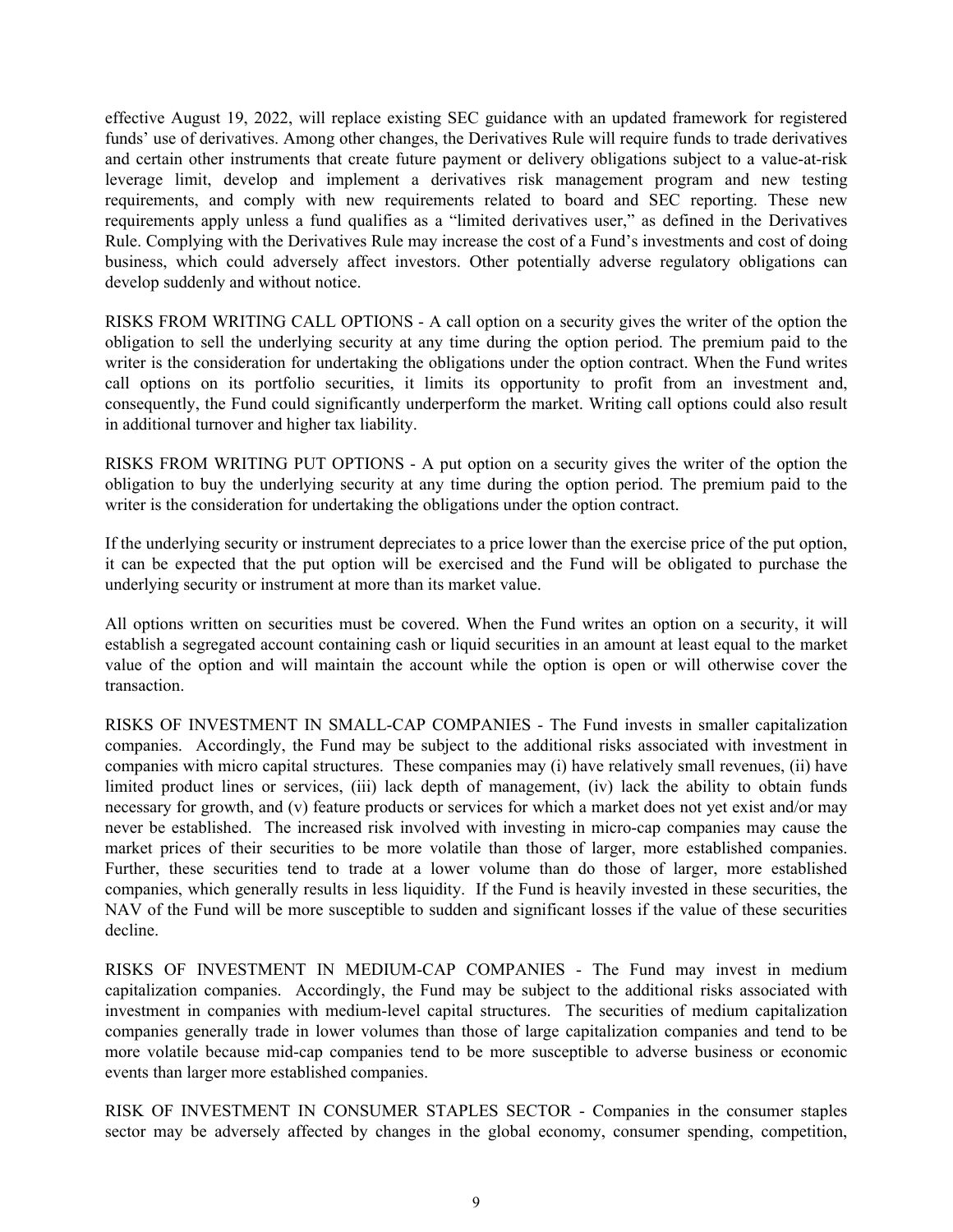effective August 19, 2022, will replace existing SEC guidance with an updated framework for registered funds' use of derivatives. Among other changes, the Derivatives Rule will require funds to trade derivatives and certain other instruments that create future payment or delivery obligations subject to a value-at-risk leverage limit, develop and implement a derivatives risk management program and new testing requirements, and comply with new requirements related to board and SEC reporting. These new requirements apply unless a fund qualifies as a "limited derivatives user," as defined in the Derivatives Rule. Complying with the Derivatives Rule may increase the cost of a Fund's investments and cost of doing business, which could adversely affect investors. Other potentially adverse regulatory obligations can develop suddenly and without notice.

RISKS FROM WRITING CALL OPTIONS - A call option on a security gives the writer of the option the obligation to sell the underlying security at any time during the option period. The premium paid to the writer is the consideration for undertaking the obligations under the option contract. When the Fund writes call options on its portfolio securities, it limits its opportunity to profit from an investment and, consequently, the Fund could significantly underperform the market. Writing call options could also result in additional turnover and higher tax liability.

RISKS FROM WRITING PUT OPTIONS - A put option on a security gives the writer of the option the obligation to buy the underlying security at any time during the option period. The premium paid to the writer is the consideration for undertaking the obligations under the option contract.

If the underlying security or instrument depreciates to a price lower than the exercise price of the put option, it can be expected that the put option will be exercised and the Fund will be obligated to purchase the underlying security or instrument at more than its market value.

All options written on securities must be covered. When the Fund writes an option on a security, it will establish a segregated account containing cash or liquid securities in an amount at least equal to the market value of the option and will maintain the account while the option is open or will otherwise cover the transaction.

RISKS OF INVESTMENT IN SMALL-CAP COMPANIES - The Fund invests in smaller capitalization companies. Accordingly, the Fund may be subject to the additional risks associated with investment in companies with micro capital structures. These companies may (i) have relatively small revenues, (ii) have limited product lines or services, (iii) lack depth of management, (iv) lack the ability to obtain funds necessary for growth, and (v) feature products or services for which a market does not yet exist and/or may never be established. The increased risk involved with investing in micro-cap companies may cause the market prices of their securities to be more volatile than those of larger, more established companies. Further, these securities tend to trade at a lower volume than do those of larger, more established companies, which generally results in less liquidity. If the Fund is heavily invested in these securities, the NAV of the Fund will be more susceptible to sudden and significant losses if the value of these securities decline.

RISKS OF INVESTMENT IN MEDIUM-CAP COMPANIES - The Fund may invest in medium capitalization companies. Accordingly, the Fund may be subject to the additional risks associated with investment in companies with medium-level capital structures. The securities of medium capitalization companies generally trade in lower volumes than those of large capitalization companies and tend to be more volatile because mid-cap companies tend to be more susceptible to adverse business or economic events than larger more established companies.

RISK OF INVESTMENT IN CONSUMER STAPLES SECTOR - Companies in the consumer staples sector may be adversely affected by changes in the global economy, consumer spending, competition,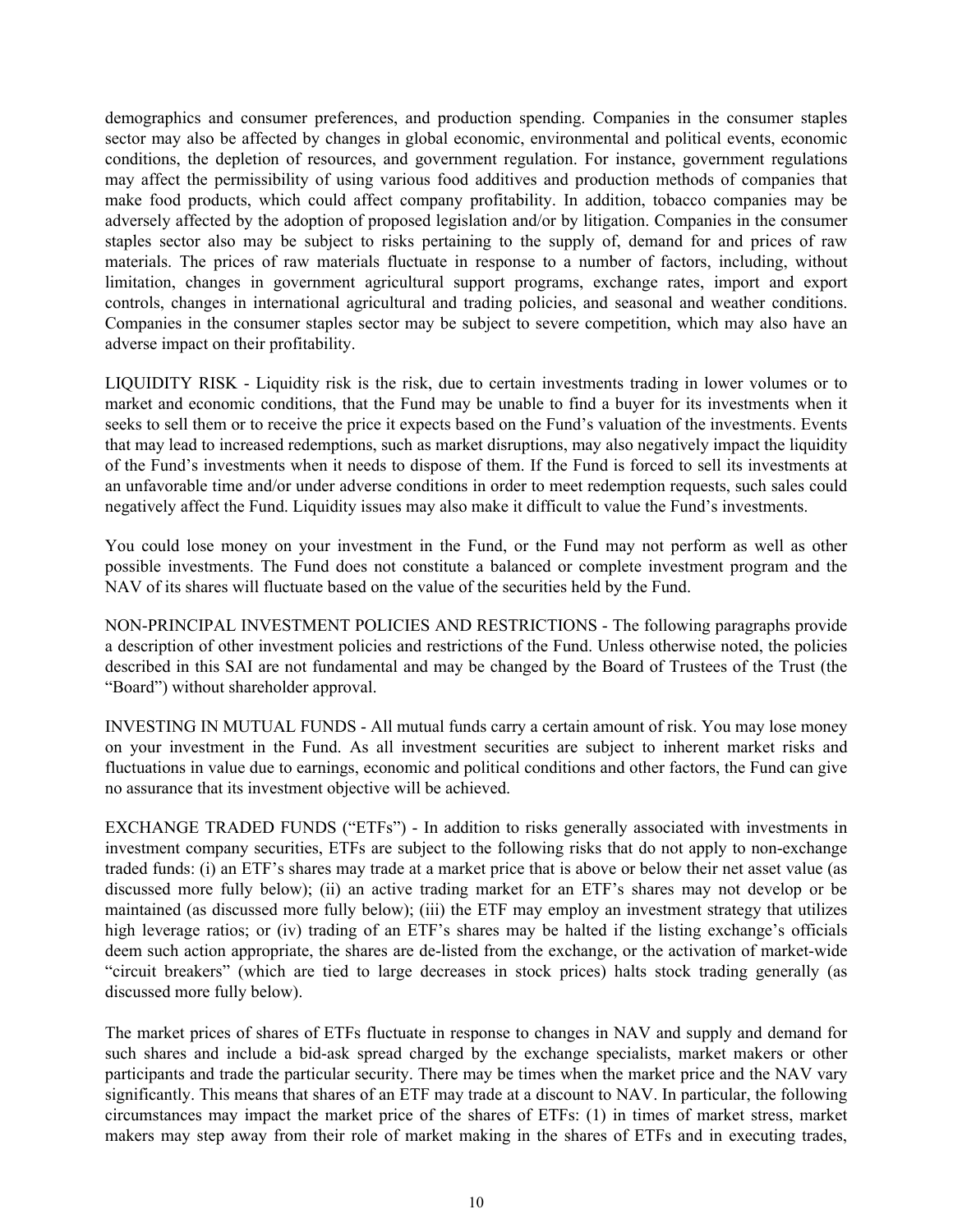demographics and consumer preferences, and production spending. Companies in the consumer staples sector may also be affected by changes in global economic, environmental and political events, economic conditions, the depletion of resources, and government regulation. For instance, government regulations may affect the permissibility of using various food additives and production methods of companies that make food products, which could affect company profitability. In addition, tobacco companies may be adversely affected by the adoption of proposed legislation and/or by litigation. Companies in the consumer staples sector also may be subject to risks pertaining to the supply of, demand for and prices of raw materials. The prices of raw materials fluctuate in response to a number of factors, including, without limitation, changes in government agricultural support programs, exchange rates, import and export controls, changes in international agricultural and trading policies, and seasonal and weather conditions. Companies in the consumer staples sector may be subject to severe competition, which may also have an adverse impact on their profitability.

LIQUIDITY RISK - Liquidity risk is the risk, due to certain investments trading in lower volumes or to market and economic conditions, that the Fund may be unable to find a buyer for its investments when it seeks to sell them or to receive the price it expects based on the Fund's valuation of the investments. Events that may lead to increased redemptions, such as market disruptions, may also negatively impact the liquidity of the Fund's investments when it needs to dispose of them. If the Fund is forced to sell its investments at an unfavorable time and/or under adverse conditions in order to meet redemption requests, such sales could negatively affect the Fund. Liquidity issues may also make it difficult to value the Fund's investments.

You could lose money on your investment in the Fund, or the Fund may not perform as well as other possible investments. The Fund does not constitute a balanced or complete investment program and the NAV of its shares will fluctuate based on the value of the securities held by the Fund.

NON-PRINCIPAL INVESTMENT POLICIES AND RESTRICTIONS - The following paragraphs provide a description of other investment policies and restrictions of the Fund. Unless otherwise noted, the policies described in this SAI are not fundamental and may be changed by the Board of Trustees of the Trust (the "Board") without shareholder approval.

INVESTING IN MUTUAL FUNDS - All mutual funds carry a certain amount of risk. You may lose money on your investment in the Fund. As all investment securities are subject to inherent market risks and fluctuations in value due to earnings, economic and political conditions and other factors, the Fund can give no assurance that its investment objective will be achieved.

EXCHANGE TRADED FUNDS ("ETFs") - In addition to risks generally associated with investments in investment company securities, ETFs are subject to the following risks that do not apply to non-exchange traded funds: (i) an ETF's shares may trade at a market price that is above or below their net asset value (as discussed more fully below); (ii) an active trading market for an ETF's shares may not develop or be maintained (as discussed more fully below); (iii) the ETF may employ an investment strategy that utilizes high leverage ratios; or (iv) trading of an ETF's shares may be halted if the listing exchange's officials deem such action appropriate, the shares are de-listed from the exchange, or the activation of market-wide "circuit breakers" (which are tied to large decreases in stock prices) halts stock trading generally (as discussed more fully below).

The market prices of shares of ETFs fluctuate in response to changes in NAV and supply and demand for such shares and include a bid-ask spread charged by the exchange specialists, market makers or other participants and trade the particular security. There may be times when the market price and the NAV vary significantly. This means that shares of an ETF may trade at a discount to NAV. In particular, the following circumstances may impact the market price of the shares of ETFs: (1) in times of market stress, market makers may step away from their role of market making in the shares of ETFs and in executing trades,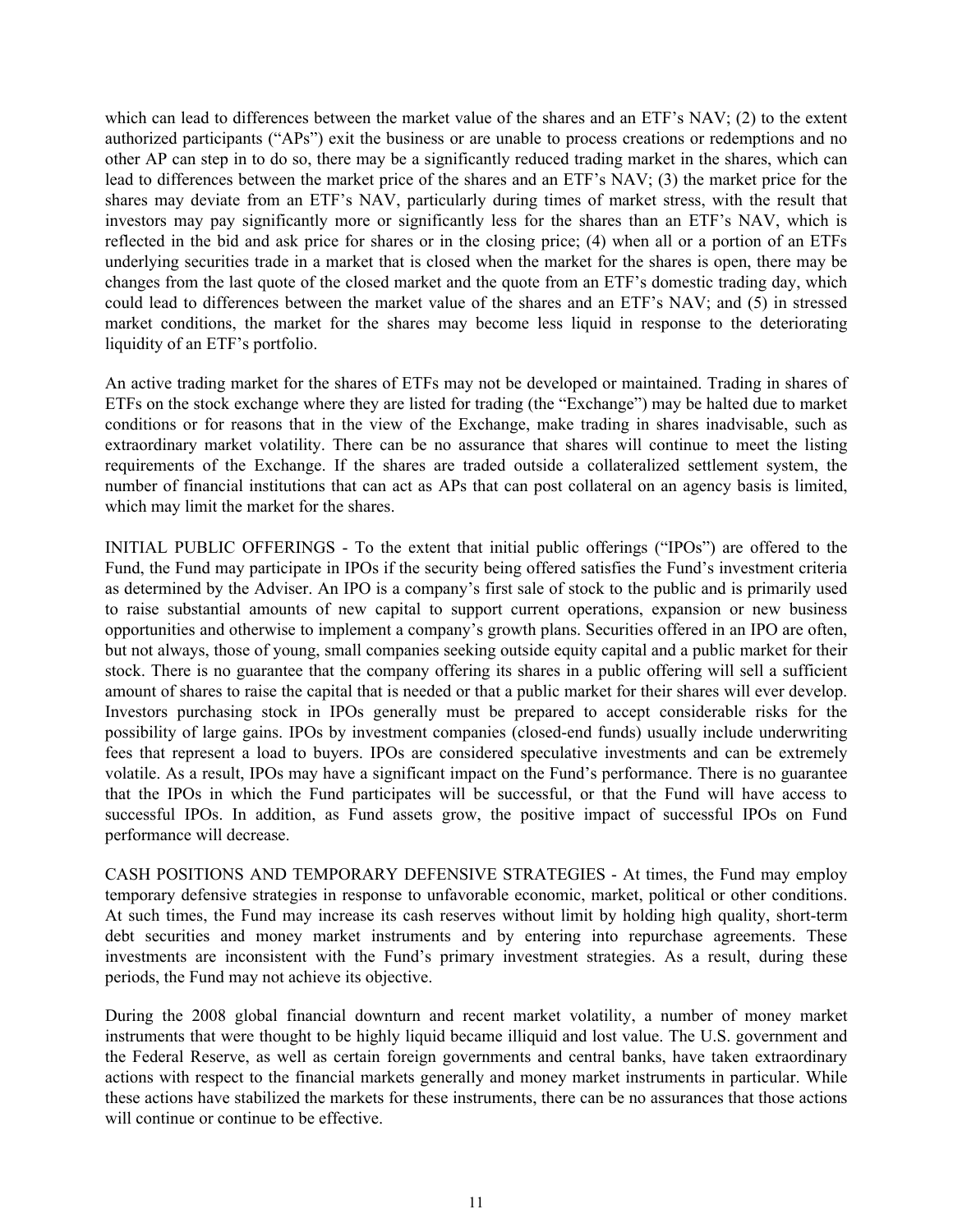which can lead to differences between the market value of the shares and an ETF's NAV; (2) to the extent authorized participants ("APs") exit the business or are unable to process creations or redemptions and no other AP can step in to do so, there may be a significantly reduced trading market in the shares, which can lead to differences between the market price of the shares and an ETF's NAV; (3) the market price for the shares may deviate from an ETF's NAV, particularly during times of market stress, with the result that investors may pay significantly more or significantly less for the shares than an ETF's NAV, which is reflected in the bid and ask price for shares or in the closing price; (4) when all or a portion of an ETFs underlying securities trade in a market that is closed when the market for the shares is open, there may be changes from the last quote of the closed market and the quote from an ETF's domestic trading day, which could lead to differences between the market value of the shares and an ETF's NAV; and (5) in stressed market conditions, the market for the shares may become less liquid in response to the deteriorating liquidity of an ETF's portfolio.

An active trading market for the shares of ETFs may not be developed or maintained. Trading in shares of ETFs on the stock exchange where they are listed for trading (the "Exchange") may be halted due to market conditions or for reasons that in the view of the Exchange, make trading in shares inadvisable, such as extraordinary market volatility. There can be no assurance that shares will continue to meet the listing requirements of the Exchange. If the shares are traded outside a collateralized settlement system, the number of financial institutions that can act as APs that can post collateral on an agency basis is limited, which may limit the market for the shares.

INITIAL PUBLIC OFFERINGS - To the extent that initial public offerings ("IPOs") are offered to the Fund, the Fund may participate in IPOs if the security being offered satisfies the Fund's investment criteria as determined by the Adviser. An IPO is a company's first sale of stock to the public and is primarily used to raise substantial amounts of new capital to support current operations, expansion or new business opportunities and otherwise to implement a company's growth plans. Securities offered in an IPO are often, but not always, those of young, small companies seeking outside equity capital and a public market for their stock. There is no guarantee that the company offering its shares in a public offering will sell a sufficient amount of shares to raise the capital that is needed or that a public market for their shares will ever develop. Investors purchasing stock in IPOs generally must be prepared to accept considerable risks for the possibility of large gains. IPOs by investment companies (closed-end funds) usually include underwriting fees that represent a load to buyers. IPOs are considered speculative investments and can be extremely volatile. As a result, IPOs may have a significant impact on the Fund's performance. There is no guarantee that the IPOs in which the Fund participates will be successful, or that the Fund will have access to successful IPOs. In addition, as Fund assets grow, the positive impact of successful IPOs on Fund performance will decrease.

CASH POSITIONS AND TEMPORARY DEFENSIVE STRATEGIES - At times, the Fund may employ temporary defensive strategies in response to unfavorable economic, market, political or other conditions. At such times, the Fund may increase its cash reserves without limit by holding high quality, short-term debt securities and money market instruments and by entering into repurchase agreements. These investments are inconsistent with the Fund's primary investment strategies. As a result, during these periods, the Fund may not achieve its objective.

During the 2008 global financial downturn and recent market volatility, a number of money market instruments that were thought to be highly liquid became illiquid and lost value. The U.S. government and the Federal Reserve, as well as certain foreign governments and central banks, have taken extraordinary actions with respect to the financial markets generally and money market instruments in particular. While these actions have stabilized the markets for these instruments, there can be no assurances that those actions will continue or continue to be effective.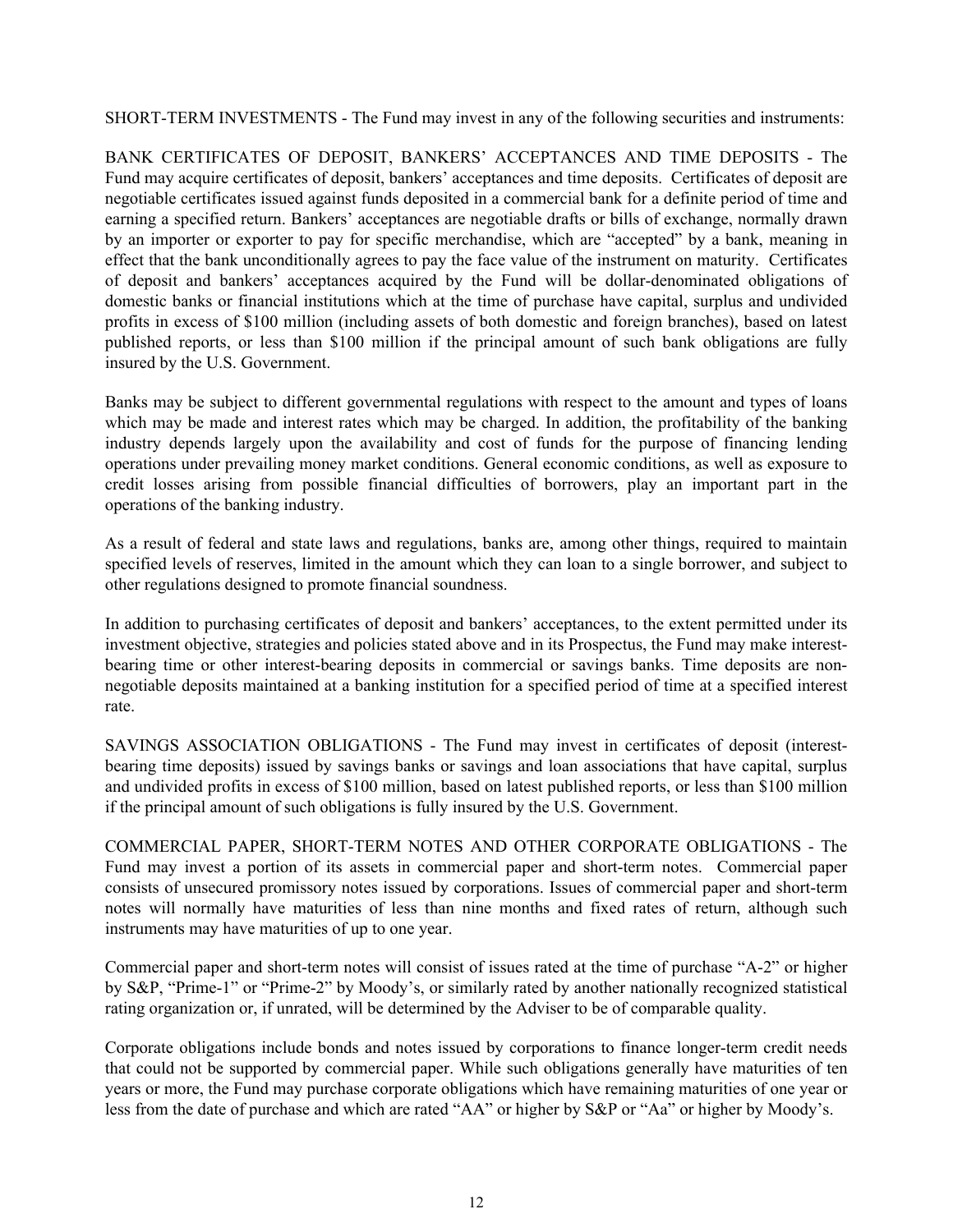SHORT-TERM INVESTMENTS - The Fund may invest in any of the following securities and instruments:

BANK CERTIFICATES OF DEPOSIT, BANKERS' ACCEPTANCES AND TIME DEPOSITS - The Fund may acquire certificates of deposit, bankers' acceptances and time deposits. Certificates of deposit are negotiable certificates issued against funds deposited in a commercial bank for a definite period of time and earning a specified return. Bankers' acceptances are negotiable drafts or bills of exchange, normally drawn by an importer or exporter to pay for specific merchandise, which are "accepted" by a bank, meaning in effect that the bank unconditionally agrees to pay the face value of the instrument on maturity. Certificates of deposit and bankers' acceptances acquired by the Fund will be dollar-denominated obligations of domestic banks or financial institutions which at the time of purchase have capital, surplus and undivided profits in excess of \$100 million (including assets of both domestic and foreign branches), based on latest published reports, or less than \$100 million if the principal amount of such bank obligations are fully insured by the U.S. Government.

Banks may be subject to different governmental regulations with respect to the amount and types of loans which may be made and interest rates which may be charged. In addition, the profitability of the banking industry depends largely upon the availability and cost of funds for the purpose of financing lending operations under prevailing money market conditions. General economic conditions, as well as exposure to credit losses arising from possible financial difficulties of borrowers, play an important part in the operations of the banking industry.

As a result of federal and state laws and regulations, banks are, among other things, required to maintain specified levels of reserves, limited in the amount which they can loan to a single borrower, and subject to other regulations designed to promote financial soundness.

In addition to purchasing certificates of deposit and bankers' acceptances, to the extent permitted under its investment objective, strategies and policies stated above and in its Prospectus, the Fund may make interestbearing time or other interest-bearing deposits in commercial or savings banks. Time deposits are nonnegotiable deposits maintained at a banking institution for a specified period of time at a specified interest rate.

SAVINGS ASSOCIATION OBLIGATIONS - The Fund may invest in certificates of deposit (interestbearing time deposits) issued by savings banks or savings and loan associations that have capital, surplus and undivided profits in excess of \$100 million, based on latest published reports, or less than \$100 million if the principal amount of such obligations is fully insured by the U.S. Government.

COMMERCIAL PAPER, SHORT-TERM NOTES AND OTHER CORPORATE OBLIGATIONS - The Fund may invest a portion of its assets in commercial paper and short-term notes. Commercial paper consists of unsecured promissory notes issued by corporations. Issues of commercial paper and short-term notes will normally have maturities of less than nine months and fixed rates of return, although such instruments may have maturities of up to one year.

Commercial paper and short-term notes will consist of issues rated at the time of purchase "A-2" or higher by S&P, "Prime-1" or "Prime-2" by Moody's, or similarly rated by another nationally recognized statistical rating organization or, if unrated, will be determined by the Adviser to be of comparable quality.

Corporate obligations include bonds and notes issued by corporations to finance longer-term credit needs that could not be supported by commercial paper. While such obligations generally have maturities of ten years or more, the Fund may purchase corporate obligations which have remaining maturities of one year or less from the date of purchase and which are rated "AA" or higher by S&P or "Aa" or higher by Moody's.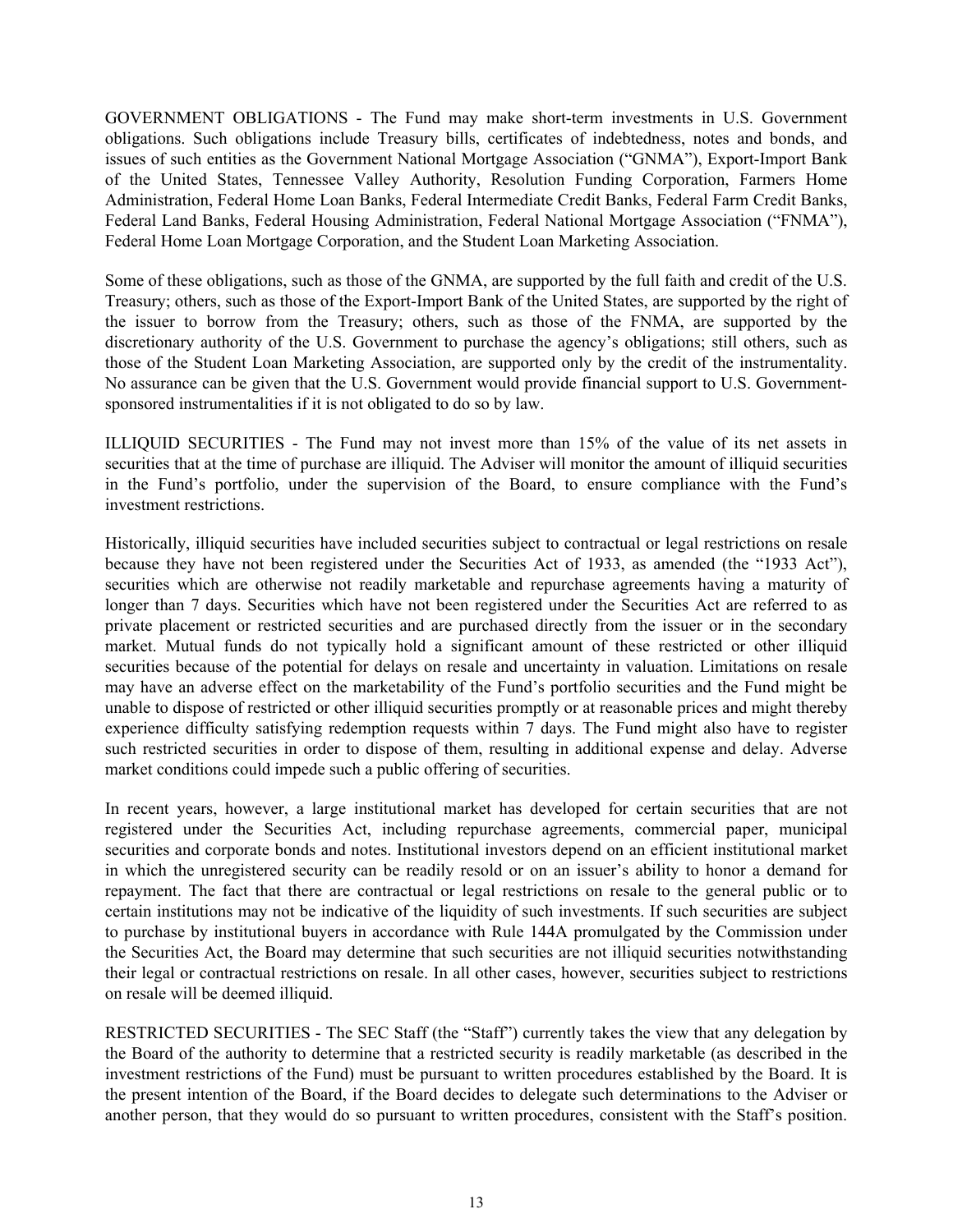GOVERNMENT OBLIGATIONS - The Fund may make short-term investments in U.S. Government obligations. Such obligations include Treasury bills, certificates of indebtedness, notes and bonds, and issues of such entities as the Government National Mortgage Association ("GNMA"), Export-Import Bank of the United States, Tennessee Valley Authority, Resolution Funding Corporation, Farmers Home Administration, Federal Home Loan Banks, Federal Intermediate Credit Banks, Federal Farm Credit Banks, Federal Land Banks, Federal Housing Administration, Federal National Mortgage Association ("FNMA"), Federal Home Loan Mortgage Corporation, and the Student Loan Marketing Association.

Some of these obligations, such as those of the GNMA, are supported by the full faith and credit of the U.S. Treasury; others, such as those of the Export-Import Bank of the United States, are supported by the right of the issuer to borrow from the Treasury; others, such as those of the FNMA, are supported by the discretionary authority of the U.S. Government to purchase the agency's obligations; still others, such as those of the Student Loan Marketing Association, are supported only by the credit of the instrumentality. No assurance can be given that the U.S. Government would provide financial support to U.S. Governmentsponsored instrumentalities if it is not obligated to do so by law.

ILLIQUID SECURITIES - The Fund may not invest more than 15% of the value of its net assets in securities that at the time of purchase are illiquid. The Adviser will monitor the amount of illiquid securities in the Fund's portfolio, under the supervision of the Board, to ensure compliance with the Fund's investment restrictions.

Historically, illiquid securities have included securities subject to contractual or legal restrictions on resale because they have not been registered under the Securities Act of 1933, as amended (the "1933 Act"), securities which are otherwise not readily marketable and repurchase agreements having a maturity of longer than 7 days. Securities which have not been registered under the Securities Act are referred to as private placement or restricted securities and are purchased directly from the issuer or in the secondary market. Mutual funds do not typically hold a significant amount of these restricted or other illiquid securities because of the potential for delays on resale and uncertainty in valuation. Limitations on resale may have an adverse effect on the marketability of the Fund's portfolio securities and the Fund might be unable to dispose of restricted or other illiquid securities promptly or at reasonable prices and might thereby experience difficulty satisfying redemption requests within 7 days. The Fund might also have to register such restricted securities in order to dispose of them, resulting in additional expense and delay. Adverse market conditions could impede such a public offering of securities.

In recent years, however, a large institutional market has developed for certain securities that are not registered under the Securities Act, including repurchase agreements, commercial paper, municipal securities and corporate bonds and notes. Institutional investors depend on an efficient institutional market in which the unregistered security can be readily resold or on an issuer's ability to honor a demand for repayment. The fact that there are contractual or legal restrictions on resale to the general public or to certain institutions may not be indicative of the liquidity of such investments. If such securities are subject to purchase by institutional buyers in accordance with Rule 144A promulgated by the Commission under the Securities Act, the Board may determine that such securities are not illiquid securities notwithstanding their legal or contractual restrictions on resale. In all other cases, however, securities subject to restrictions on resale will be deemed illiquid.

RESTRICTED SECURITIES - The SEC Staff (the "Staff") currently takes the view that any delegation by the Board of the authority to determine that a restricted security is readily marketable (as described in the investment restrictions of the Fund) must be pursuant to written procedures established by the Board. It is the present intention of the Board, if the Board decides to delegate such determinations to the Adviser or another person, that they would do so pursuant to written procedures, consistent with the Staff's position.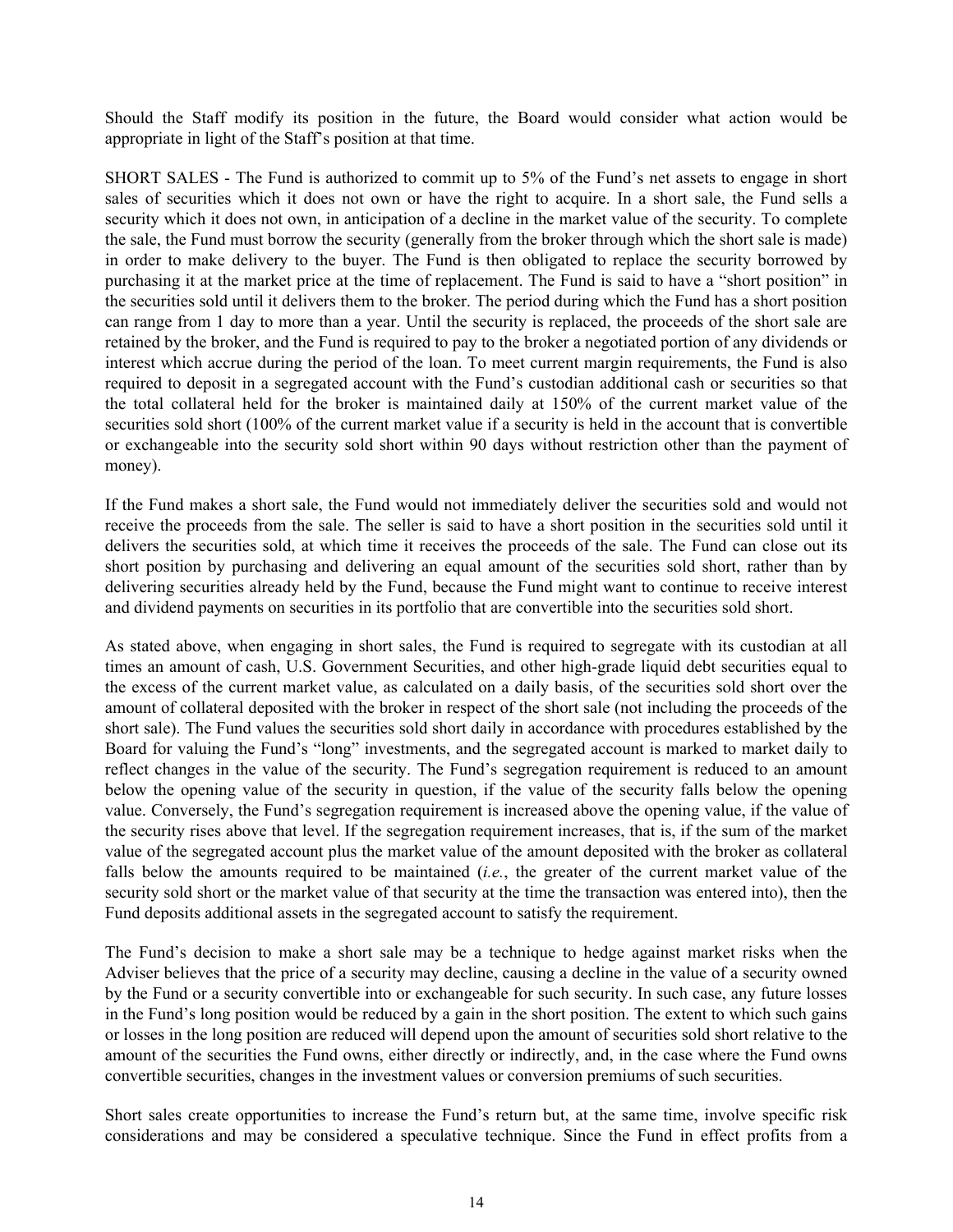Should the Staff modify its position in the future, the Board would consider what action would be appropriate in light of the Staff's position at that time.

SHORT SALES - The Fund is authorized to commit up to 5% of the Fund's net assets to engage in short sales of securities which it does not own or have the right to acquire. In a short sale, the Fund sells a security which it does not own, in anticipation of a decline in the market value of the security. To complete the sale, the Fund must borrow the security (generally from the broker through which the short sale is made) in order to make delivery to the buyer. The Fund is then obligated to replace the security borrowed by purchasing it at the market price at the time of replacement. The Fund is said to have a "short position" in the securities sold until it delivers them to the broker. The period during which the Fund has a short position can range from 1 day to more than a year. Until the security is replaced, the proceeds of the short sale are retained by the broker, and the Fund is required to pay to the broker a negotiated portion of any dividends or interest which accrue during the period of the loan. To meet current margin requirements, the Fund is also required to deposit in a segregated account with the Fund's custodian additional cash or securities so that the total collateral held for the broker is maintained daily at 150% of the current market value of the securities sold short (100% of the current market value if a security is held in the account that is convertible or exchangeable into the security sold short within 90 days without restriction other than the payment of money).

If the Fund makes a short sale, the Fund would not immediately deliver the securities sold and would not receive the proceeds from the sale. The seller is said to have a short position in the securities sold until it delivers the securities sold, at which time it receives the proceeds of the sale. The Fund can close out its short position by purchasing and delivering an equal amount of the securities sold short, rather than by delivering securities already held by the Fund, because the Fund might want to continue to receive interest and dividend payments on securities in its portfolio that are convertible into the securities sold short.

As stated above, when engaging in short sales, the Fund is required to segregate with its custodian at all times an amount of cash, U.S. Government Securities, and other high-grade liquid debt securities equal to the excess of the current market value, as calculated on a daily basis, of the securities sold short over the amount of collateral deposited with the broker in respect of the short sale (not including the proceeds of the short sale). The Fund values the securities sold short daily in accordance with procedures established by the Board for valuing the Fund's "long" investments, and the segregated account is marked to market daily to reflect changes in the value of the security. The Fund's segregation requirement is reduced to an amount below the opening value of the security in question, if the value of the security falls below the opening value. Conversely, the Fund's segregation requirement is increased above the opening value, if the value of the security rises above that level. If the segregation requirement increases, that is, if the sum of the market value of the segregated account plus the market value of the amount deposited with the broker as collateral falls below the amounts required to be maintained (*i.e.*, the greater of the current market value of the security sold short or the market value of that security at the time the transaction was entered into), then the Fund deposits additional assets in the segregated account to satisfy the requirement.

The Fund's decision to make a short sale may be a technique to hedge against market risks when the Adviser believes that the price of a security may decline, causing a decline in the value of a security owned by the Fund or a security convertible into or exchangeable for such security. In such case, any future losses in the Fund's long position would be reduced by a gain in the short position. The extent to which such gains or losses in the long position are reduced will depend upon the amount of securities sold short relative to the amount of the securities the Fund owns, either directly or indirectly, and, in the case where the Fund owns convertible securities, changes in the investment values or conversion premiums of such securities.

Short sales create opportunities to increase the Fund's return but, at the same time, involve specific risk considerations and may be considered a speculative technique. Since the Fund in effect profits from a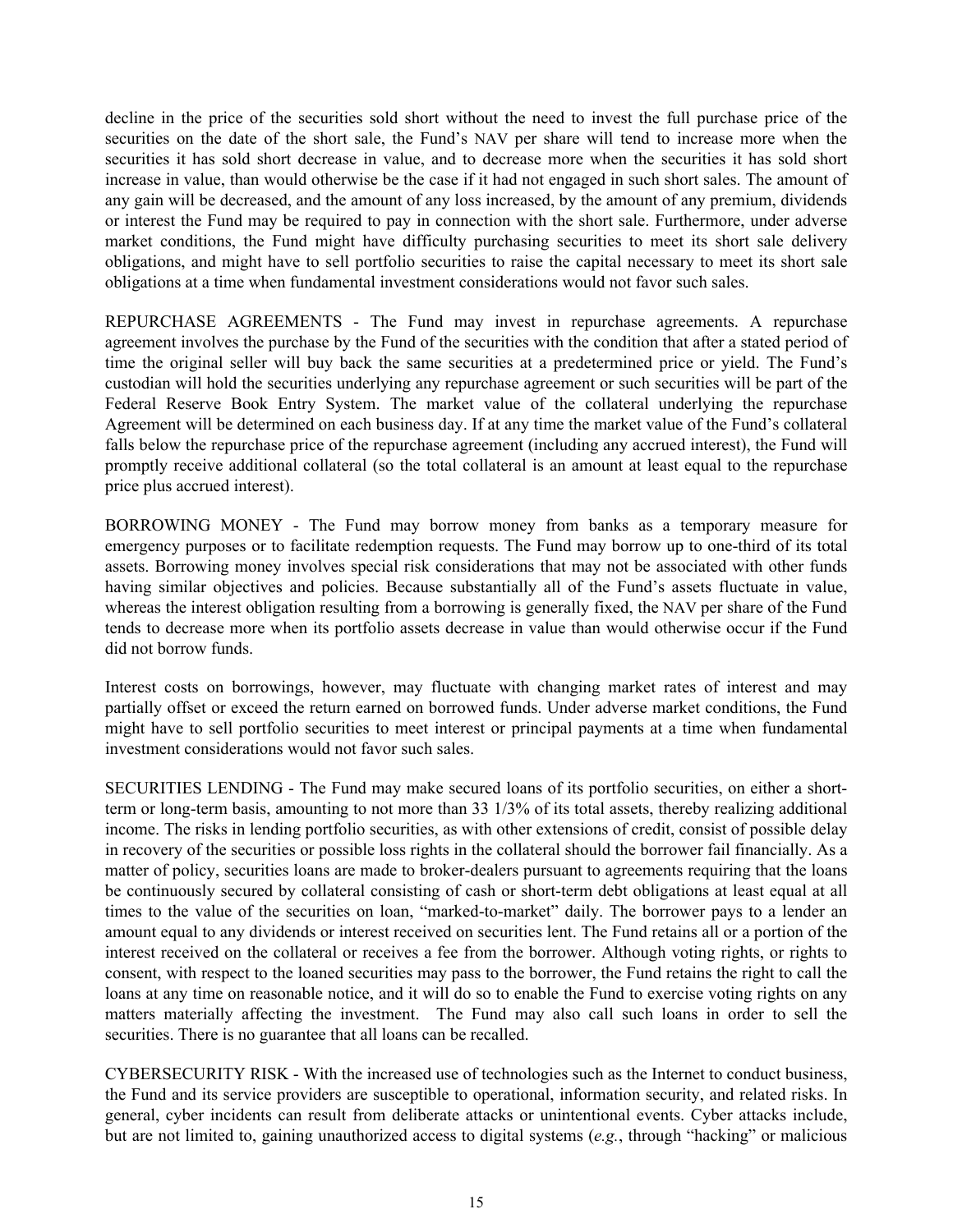decline in the price of the securities sold short without the need to invest the full purchase price of the securities on the date of the short sale, the Fund's NAV per share will tend to increase more when the securities it has sold short decrease in value, and to decrease more when the securities it has sold short increase in value, than would otherwise be the case if it had not engaged in such short sales. The amount of any gain will be decreased, and the amount of any loss increased, by the amount of any premium, dividends or interest the Fund may be required to pay in connection with the short sale. Furthermore, under adverse market conditions, the Fund might have difficulty purchasing securities to meet its short sale delivery obligations, and might have to sell portfolio securities to raise the capital necessary to meet its short sale obligations at a time when fundamental investment considerations would not favor such sales.

REPURCHASE AGREEMENTS - The Fund may invest in repurchase agreements. A repurchase agreement involves the purchase by the Fund of the securities with the condition that after a stated period of time the original seller will buy back the same securities at a predetermined price or yield. The Fund's custodian will hold the securities underlying any repurchase agreement or such securities will be part of the Federal Reserve Book Entry System. The market value of the collateral underlying the repurchase Agreement will be determined on each business day. If at any time the market value of the Fund's collateral falls below the repurchase price of the repurchase agreement (including any accrued interest), the Fund will promptly receive additional collateral (so the total collateral is an amount at least equal to the repurchase price plus accrued interest).

BORROWING MONEY - The Fund may borrow money from banks as a temporary measure for emergency purposes or to facilitate redemption requests. The Fund may borrow up to one-third of its total assets. Borrowing money involves special risk considerations that may not be associated with other funds having similar objectives and policies. Because substantially all of the Fund's assets fluctuate in value, whereas the interest obligation resulting from a borrowing is generally fixed, the NAV per share of the Fund tends to decrease more when its portfolio assets decrease in value than would otherwise occur if the Fund did not borrow funds.

Interest costs on borrowings, however, may fluctuate with changing market rates of interest and may partially offset or exceed the return earned on borrowed funds. Under adverse market conditions, the Fund might have to sell portfolio securities to meet interest or principal payments at a time when fundamental investment considerations would not favor such sales.

SECURITIES LENDING - The Fund may make secured loans of its portfolio securities, on either a shortterm or long-term basis, amounting to not more than 33 1/3% of its total assets, thereby realizing additional income. The risks in lending portfolio securities, as with other extensions of credit, consist of possible delay in recovery of the securities or possible loss rights in the collateral should the borrower fail financially. As a matter of policy, securities loans are made to broker-dealers pursuant to agreements requiring that the loans be continuously secured by collateral consisting of cash or short-term debt obligations at least equal at all times to the value of the securities on loan, "marked-to-market" daily. The borrower pays to a lender an amount equal to any dividends or interest received on securities lent. The Fund retains all or a portion of the interest received on the collateral or receives a fee from the borrower. Although voting rights, or rights to consent, with respect to the loaned securities may pass to the borrower, the Fund retains the right to call the loans at any time on reasonable notice, and it will do so to enable the Fund to exercise voting rights on any matters materially affecting the investment. The Fund may also call such loans in order to sell the securities. There is no guarantee that all loans can be recalled.

CYBERSECURITY RISK - With the increased use of technologies such as the Internet to conduct business, the Fund and its service providers are susceptible to operational, information security, and related risks. In general, cyber incidents can result from deliberate attacks or unintentional events. Cyber attacks include, but are not limited to, gaining unauthorized access to digital systems (*e.g.*, through "hacking" or malicious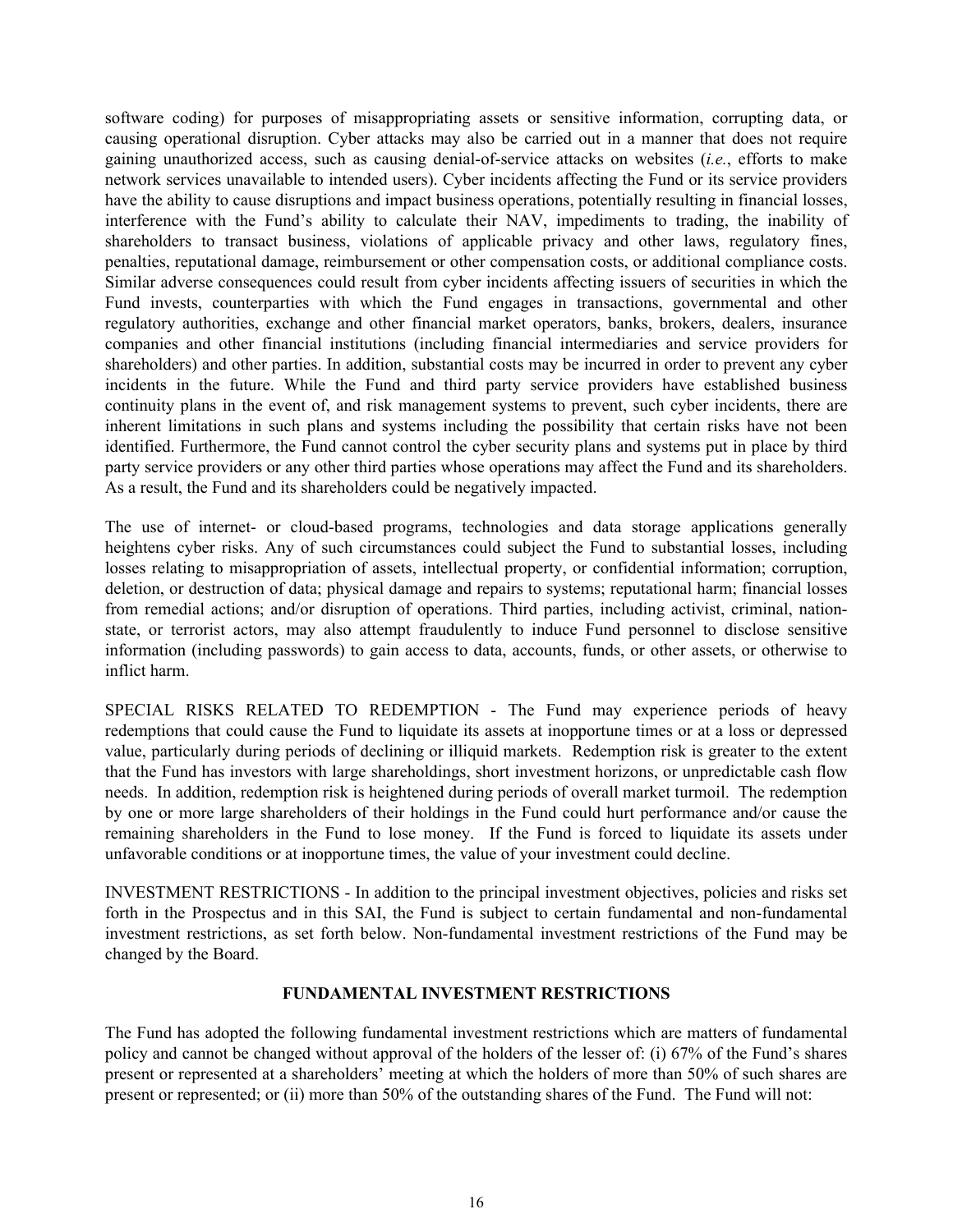<span id="page-18-0"></span>software coding) for purposes of misappropriating assets or sensitive information, corrupting data, or causing operational disruption. Cyber attacks may also be carried out in a manner that does not require gaining unauthorized access, such as causing denial-of-service attacks on websites (*i.e.*, efforts to make network services unavailable to intended users). Cyber incidents affecting the Fund or its service providers have the ability to cause disruptions and impact business operations, potentially resulting in financial losses, interference with the Fund's ability to calculate their NAV, impediments to trading, the inability of shareholders to transact business, violations of applicable privacy and other laws, regulatory fines, penalties, reputational damage, reimbursement or other compensation costs, or additional compliance costs. Similar adverse consequences could result from cyber incidents affecting issuers of securities in which the Fund invests, counterparties with which the Fund engages in transactions, governmental and other regulatory authorities, exchange and other financial market operators, banks, brokers, dealers, insurance companies and other financial institutions (including financial intermediaries and service providers for shareholders) and other parties. In addition, substantial costs may be incurred in order to prevent any cyber incidents in the future. While the Fund and third party service providers have established business continuity plans in the event of, and risk management systems to prevent, such cyber incidents, there are inherent limitations in such plans and systems including the possibility that certain risks have not been identified. Furthermore, the Fund cannot control the cyber security plans and systems put in place by third party service providers or any other third parties whose operations may affect the Fund and its shareholders. As a result, the Fund and its shareholders could be negatively impacted.

The use of internet- or cloud-based programs, technologies and data storage applications generally heightens cyber risks. Any of such circumstances could subject the Fund to substantial losses, including losses relating to misappropriation of assets, intellectual property, or confidential information; corruption, deletion, or destruction of data; physical damage and repairs to systems; reputational harm; financial losses from remedial actions; and/or disruption of operations. Third parties, including activist, criminal, nationstate, or terrorist actors, may also attempt fraudulently to induce Fund personnel to disclose sensitive information (including passwords) to gain access to data, accounts, funds, or other assets, or otherwise to inflict harm.

SPECIAL RISKS RELATED TO REDEMPTION - The Fund may experience periods of heavy redemptions that could cause the Fund to liquidate its assets at inopportune times or at a loss or depressed value, particularly during periods of declining or illiquid markets. Redemption risk is greater to the extent that the Fund has investors with large shareholdings, short investment horizons, or unpredictable cash flow needs. In addition, redemption risk is heightened during periods of overall market turmoil. The redemption by one or more large shareholders of their holdings in the Fund could hurt performance and/or cause the remaining shareholders in the Fund to lose money. If the Fund is forced to liquidate its assets under unfavorable conditions or at inopportune times, the value of your investment could decline.

INVESTMENT RESTRICTIONS - In addition to the principal investment objectives, policies and risks set forth in the Prospectus and in this SAI, the Fund is subject to certain fundamental and non-fundamental investment restrictions, as set forth below. Non-fundamental investment restrictions of the Fund may be changed by the Board.

#### **FUNDAMENTAL INVESTMENT RESTRICTIONS**

The Fund has adopted the following fundamental investment restrictions which are matters of fundamental policy and cannot be changed without approval of the holders of the lesser of: (i) 67% of the Fund's shares present or represented at a shareholders' meeting at which the holders of more than 50% of such shares are present or represented; or (ii) more than 50% of the outstanding shares of the Fund. The Fund will not: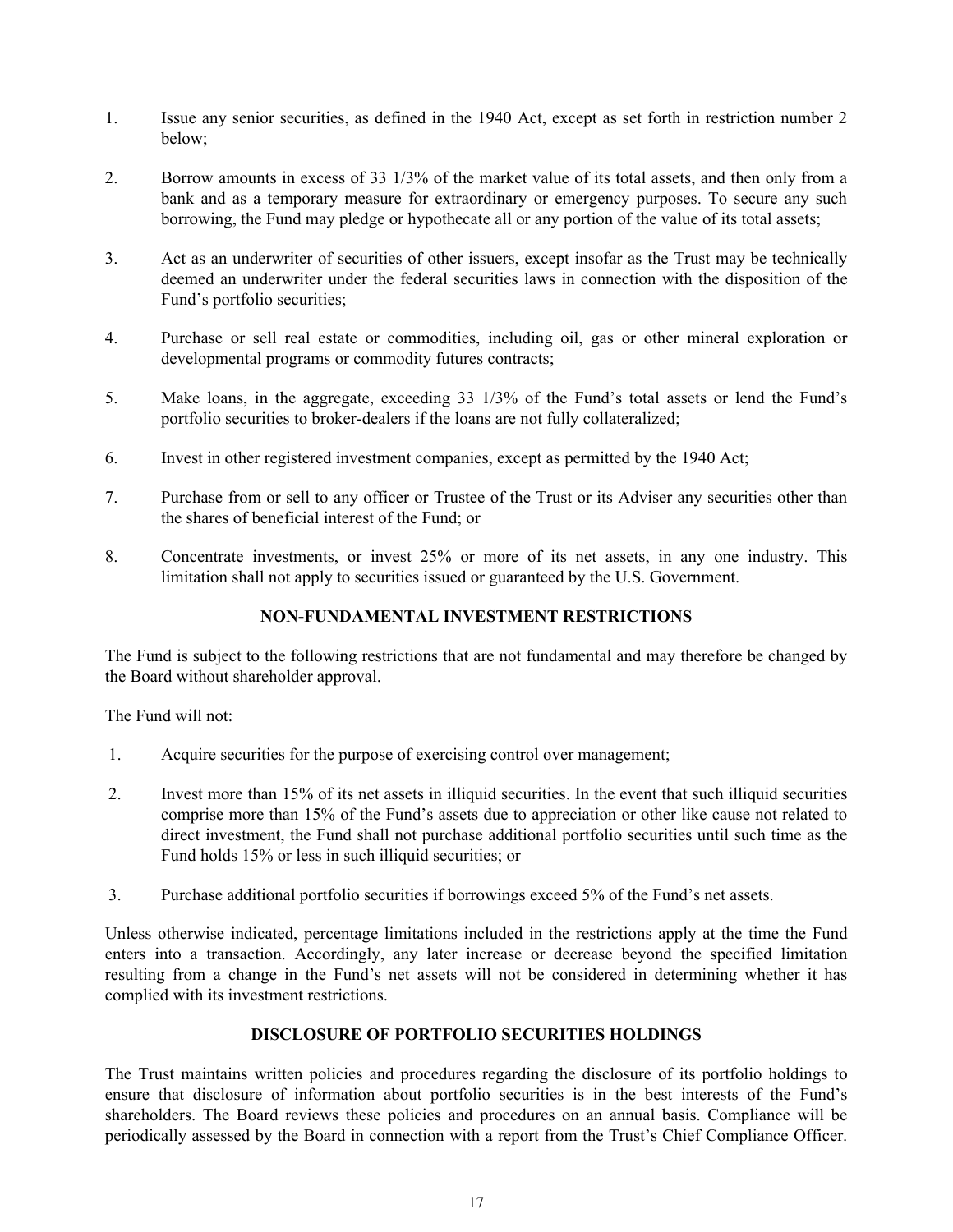- <span id="page-19-0"></span>1. Issue any senior securities, as defined in the 1940 Act, except as set forth in restriction number 2 below;
- 2. Borrow amounts in excess of 33 1/3% of the market value of its total assets, and then only from a bank and as a temporary measure for extraordinary or emergency purposes. To secure any such borrowing, the Fund may pledge or hypothecate all or any portion of the value of its total assets;
- 3. Act as an underwriter of securities of other issuers, except insofar as the Trust may be technically deemed an underwriter under the federal securities laws in connection with the disposition of the Fund's portfolio securities;
- 4. Purchase or sell real estate or commodities, including oil, gas or other mineral exploration or developmental programs or commodity futures contracts;
- 5. Make loans, in the aggregate, exceeding 33 1/3% of the Fund's total assets or lend the Fund's portfolio securities to broker-dealers if the loans are not fully collateralized;
- 6. Invest in other registered investment companies, except as permitted by the 1940 Act;
- 7. Purchase from or sell to any officer or Trustee of the Trust or its Adviser any securities other than the shares of beneficial interest of the Fund; or
- 8. Concentrate investments, or invest 25% or more of its net assets, in any one industry. This limitation shall not apply to securities issued or guaranteed by the U.S. Government.

## **NON-FUNDAMENTAL INVESTMENT RESTRICTIONS**

The Fund is subject to the following restrictions that are not fundamental and may therefore be changed by the Board without shareholder approval.

The Fund will not:

- 1. Acquire securities for the purpose of exercising control over management;
- 2. Invest more than 15% of its net assets in illiquid securities. In the event that such illiquid securities comprise more than 15% of the Fund's assets due to appreciation or other like cause not related to direct investment, the Fund shall not purchase additional portfolio securities until such time as the Fund holds 15% or less in such illiquid securities; or
- 3. Purchase additional portfolio securities if borrowings exceed 5% of the Fund's net assets.

Unless otherwise indicated, percentage limitations included in the restrictions apply at the time the Fund enters into a transaction. Accordingly, any later increase or decrease beyond the specified limitation resulting from a change in the Fund's net assets will not be considered in determining whether it has complied with its investment restrictions.

### **DISCLOSURE OF PORTFOLIO SECURITIES HOLDINGS**

The Trust maintains written policies and procedures regarding the disclosure of its portfolio holdings to ensure that disclosure of information about portfolio securities is in the best interests of the Fund's shareholders. The Board reviews these policies and procedures on an annual basis. Compliance will be periodically assessed by the Board in connection with a report from the Trust's Chief Compliance Officer.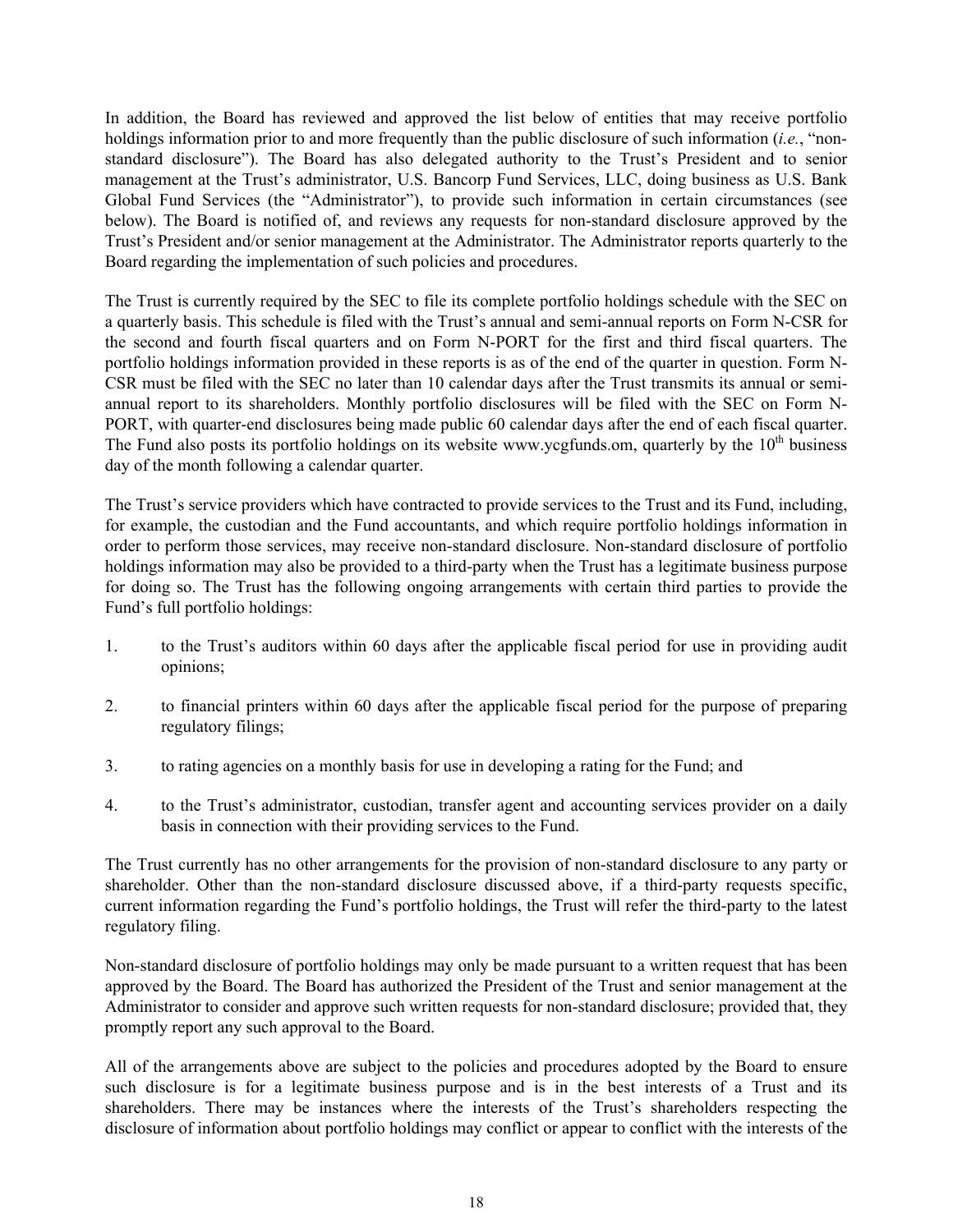In addition, the Board has reviewed and approved the list below of entities that may receive portfolio holdings information prior to and more frequently than the public disclosure of such information (*i.e.*, "nonstandard disclosure"). The Board has also delegated authority to the Trust's President and to senior management at the Trust's administrator, U.S. Bancorp Fund Services, LLC, doing business as U.S. Bank Global Fund Services (the "Administrator"), to provide such information in certain circumstances (see below). The Board is notified of, and reviews any requests for non-standard disclosure approved by the Trust's President and/or senior management at the Administrator. The Administrator reports quarterly to the Board regarding the implementation of such policies and procedures.

The Trust is currently required by the SEC to file its complete portfolio holdings schedule with the SEC on a quarterly basis. This schedule is filed with the Trust's annual and semi-annual reports on Form N-CSR for the second and fourth fiscal quarters and on Form N-PORT for the first and third fiscal quarters. The portfolio holdings information provided in these reports is as of the end of the quarter in question. Form N-CSR must be filed with the SEC no later than 10 calendar days after the Trust transmits its annual or semiannual report to its shareholders. Monthly portfolio disclosures will be filed with the SEC on Form N-PORT, with quarter-end disclosures being made public 60 calendar days after the end of each fiscal quarter. The Fund also posts its portfolio holdings on its website www.ycgfunds.om, quarterly by the  $10<sup>th</sup>$  business day of the month following a calendar quarter.

The Trust's service providers which have contracted to provide services to the Trust and its Fund, including, for example, the custodian and the Fund accountants, and which require portfolio holdings information in order to perform those services, may receive non-standard disclosure. Non-standard disclosure of portfolio holdings information may also be provided to a third-party when the Trust has a legitimate business purpose for doing so. The Trust has the following ongoing arrangements with certain third parties to provide the Fund's full portfolio holdings:

- 1. to the Trust's auditors within 60 days after the applicable fiscal period for use in providing audit opinions;
- 2. to financial printers within 60 days after the applicable fiscal period for the purpose of preparing regulatory filings;
- 3. to rating agencies on a monthly basis for use in developing a rating for the Fund; and
- 4. to the Trust's administrator, custodian, transfer agent and accounting services provider on a daily basis in connection with their providing services to the Fund.

The Trust currently has no other arrangements for the provision of non-standard disclosure to any party or shareholder. Other than the non-standard disclosure discussed above, if a third-party requests specific, current information regarding the Fund's portfolio holdings, the Trust will refer the third-party to the latest regulatory filing.

Non-standard disclosure of portfolio holdings may only be made pursuant to a written request that has been approved by the Board. The Board has authorized the President of the Trust and senior management at the Administrator to consider and approve such written requests for non-standard disclosure; provided that, they promptly report any such approval to the Board.

All of the arrangements above are subject to the policies and procedures adopted by the Board to ensure such disclosure is for a legitimate business purpose and is in the best interests of a Trust and its shareholders. There may be instances where the interests of the Trust's shareholders respecting the disclosure of information about portfolio holdings may conflict or appear to conflict with the interests of the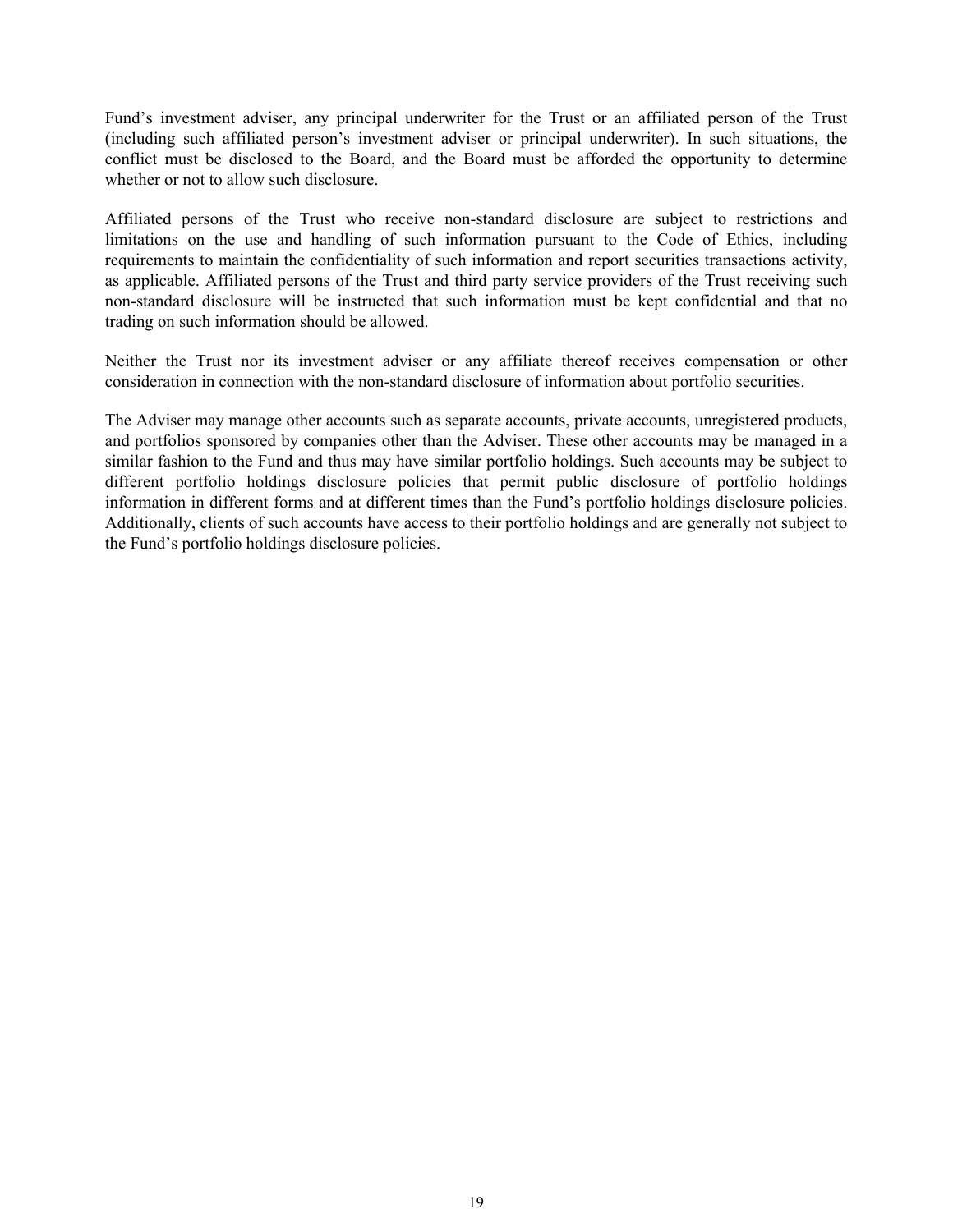Fund's investment adviser, any principal underwriter for the Trust or an affiliated person of the Trust (including such affiliated person's investment adviser or principal underwriter). In such situations, the conflict must be disclosed to the Board, and the Board must be afforded the opportunity to determine whether or not to allow such disclosure.

Affiliated persons of the Trust who receive non-standard disclosure are subject to restrictions and limitations on the use and handling of such information pursuant to the Code of Ethics, including requirements to maintain the confidentiality of such information and report securities transactions activity, as applicable. Affiliated persons of the Trust and third party service providers of the Trust receiving such non-standard disclosure will be instructed that such information must be kept confidential and that no trading on such information should be allowed.

Neither the Trust nor its investment adviser or any affiliate thereof receives compensation or other consideration in connection with the non-standard disclosure of information about portfolio securities.

The Adviser may manage other accounts such as separate accounts, private accounts, unregistered products, and portfolios sponsored by companies other than the Adviser. These other accounts may be managed in a similar fashion to the Fund and thus may have similar portfolio holdings. Such accounts may be subject to different portfolio holdings disclosure policies that permit public disclosure of portfolio holdings information in different forms and at different times than the Fund's portfolio holdings disclosure policies. Additionally, clients of such accounts have access to their portfolio holdings and are generally not subject to the Fund's portfolio holdings disclosure policies.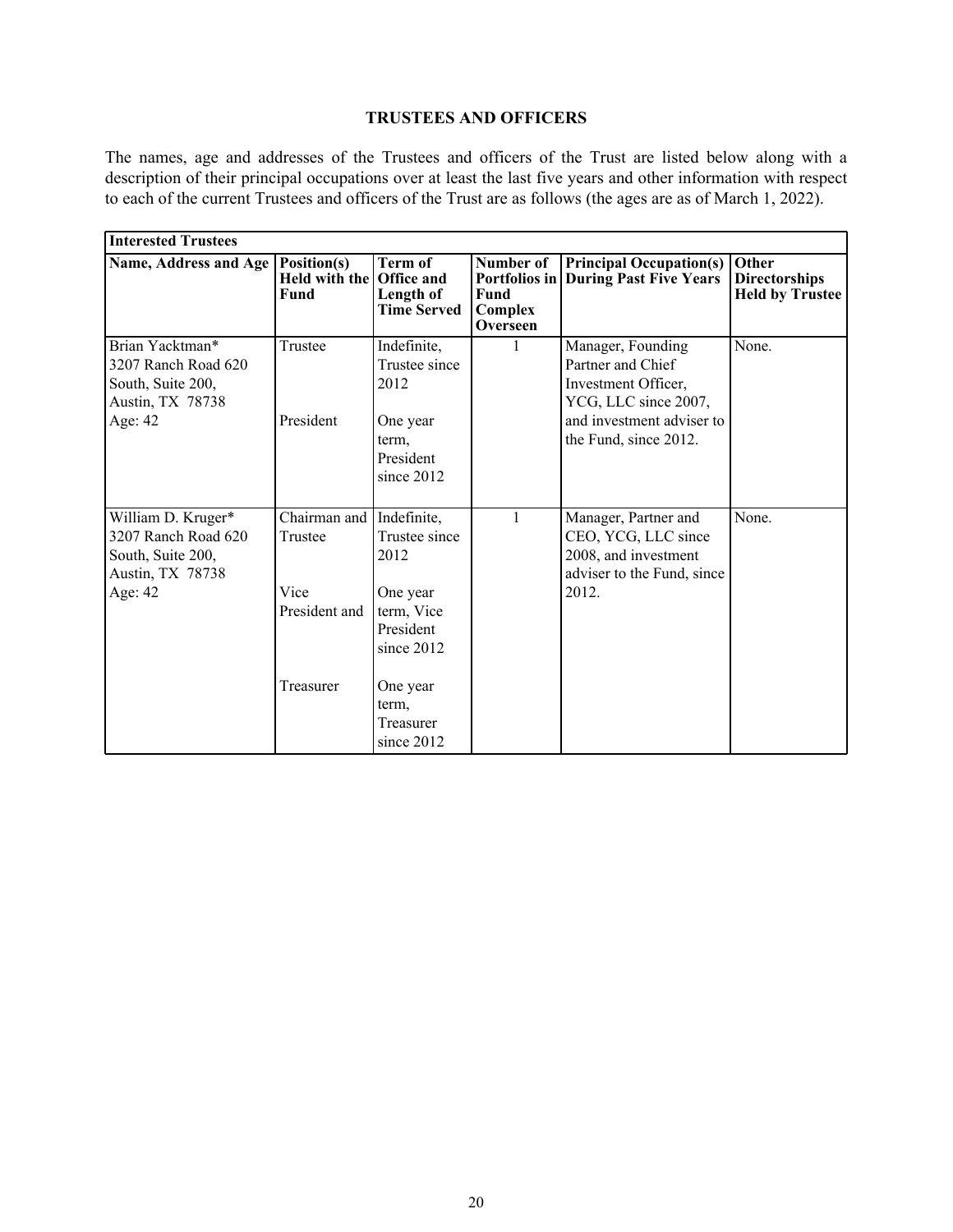## **TRUSTEES AND OFFICERS**

<span id="page-22-0"></span>The names, age and addresses of the Trustees and officers of the Trust are listed below along with a description of their principal occupations over at least the last five years and other information with respect to each of the current Trustees and officers of the Trust are as follows (the ages are as of March 1, 2022).

| <b>Interested Trustees</b>                                                                           |                                                  |                                                                                           |                                          |                                                                                                                                             |                                                         |
|------------------------------------------------------------------------------------------------------|--------------------------------------------------|-------------------------------------------------------------------------------------------|------------------------------------------|---------------------------------------------------------------------------------------------------------------------------------------------|---------------------------------------------------------|
| Name, Address and Age                                                                                | Position(s)<br>Held with the Office and<br>Fund  | Term of<br>Length of<br><b>Time Served</b>                                                | Number of<br>Fund<br>Complex<br>Overseen | <b>Principal Occupation(s)</b><br><b>Portfolios in During Past Five Years</b>                                                               | Other<br><b>Directorships</b><br><b>Held by Trustee</b> |
| Brian Yacktman*<br>3207 Ranch Road 620<br>South, Suite 200,<br><b>Austin, TX 78738</b><br>Age: 42    | Trustee<br>President                             | Indefinite,<br>Trustee since<br>2012<br>One year<br>term,<br>President<br>since 2012      | 1                                        | Manager, Founding<br>Partner and Chief<br>Investment Officer,<br>YCG, LLC since 2007,<br>and investment adviser to<br>the Fund, since 2012. | None.                                                   |
| William D. Kruger*<br>3207 Ranch Road 620<br>South, Suite 200,<br><b>Austin, TX 78738</b><br>Age: 42 | Chairman and<br>Trustee<br>Vice<br>President and | Indefinite,<br>Trustee since<br>2012<br>One year<br>term, Vice<br>President<br>since 2012 | $\mathbf{1}$                             | Manager, Partner and<br>CEO, YCG, LLC since<br>2008, and investment<br>adviser to the Fund, since<br>2012.                                  | None.                                                   |
|                                                                                                      | Treasurer                                        | One year<br>term,<br>Treasurer<br>since 2012                                              |                                          |                                                                                                                                             |                                                         |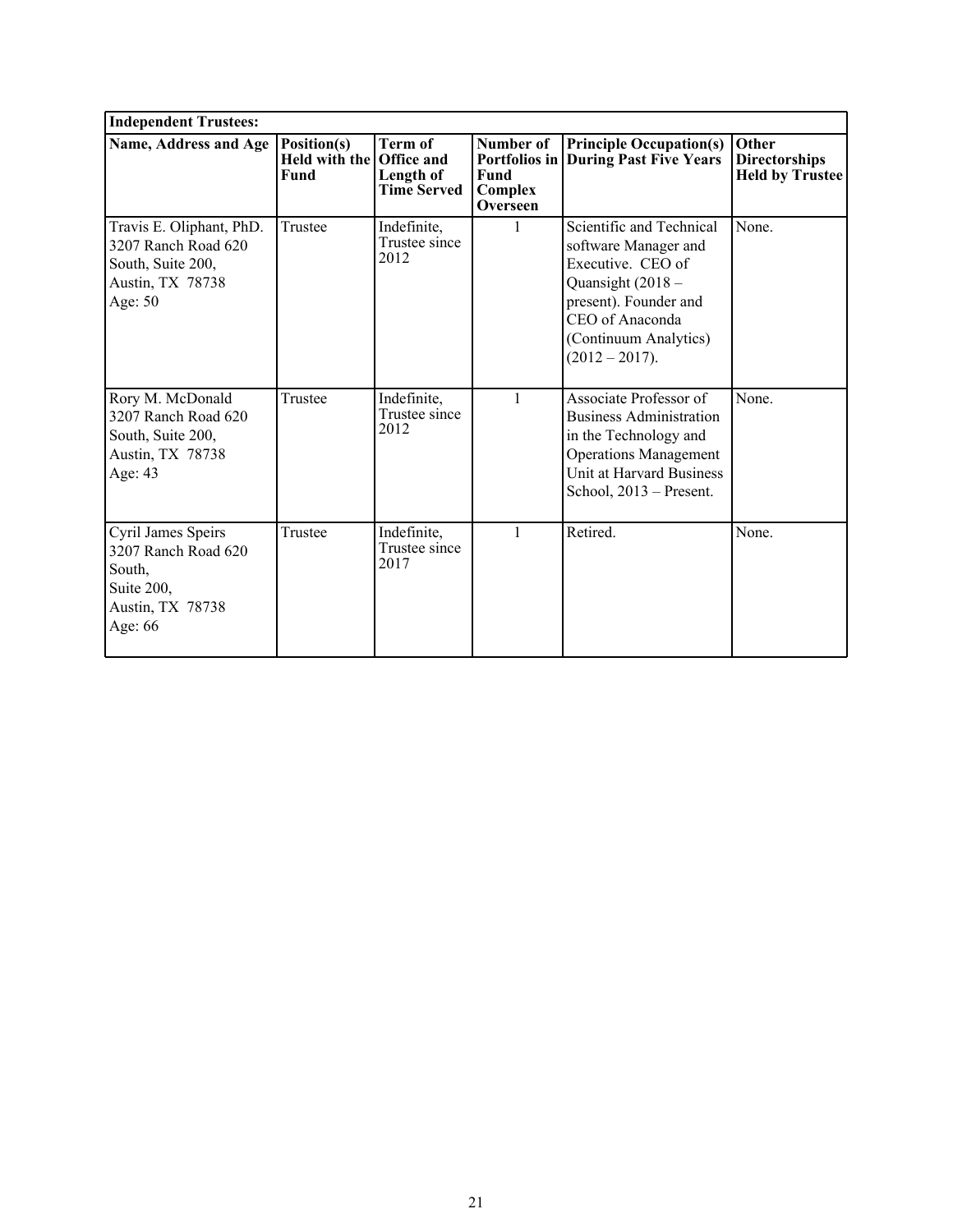| <b>Independent Trustees:</b>                                                                        |                                                        |                                                   |                                          |                                                                                                                                                                                     |                                                         |
|-----------------------------------------------------------------------------------------------------|--------------------------------------------------------|---------------------------------------------------|------------------------------------------|-------------------------------------------------------------------------------------------------------------------------------------------------------------------------------------|---------------------------------------------------------|
| Name, Address and Age                                                                               | Position(s)<br>Held with the Office and<br><b>Fund</b> | <b>Term of</b><br>Length of<br><b>Time Served</b> | Number of<br>Fund<br>Complex<br>Overseen | <b>Principle Occupation(s)</b><br><b>Portfolios in   During Past Five Years</b>                                                                                                     | Other<br><b>Directorships</b><br><b>Held by Trustee</b> |
| Travis E. Oliphant, PhD.<br>3207 Ranch Road 620<br>South, Suite 200,<br>Austin, TX 78738<br>Age: 50 | Trustee                                                | Indefinite,<br>Trustee since<br>2012              |                                          | Scientific and Technical<br>software Manager and<br>Executive. CEO of<br>Quansight (2018 -<br>present). Founder and<br>CEO of Anaconda<br>(Continuum Analytics)<br>$(2012 - 2017).$ | None.                                                   |
| Rory M. McDonald<br>3207 Ranch Road 620<br>South, Suite 200,<br>Austin, TX 78738<br>Age: 43         | Trustee                                                | Indefinite,<br>Trustee since<br>2012              | 1                                        | Associate Professor of<br><b>Business Administration</b><br>in the Technology and<br><b>Operations Management</b><br>Unit at Harvard Business<br>School, 2013 - Present.            | None.                                                   |
| Cyril James Speirs<br>3207 Ranch Road 620<br>South,<br>Suite 200,<br>Austin, TX 78738<br>Age: 66    | Trustee                                                | Indefinite,<br>Trustee since<br>2017              | $\mathbf{1}$                             | Retired.                                                                                                                                                                            | None.                                                   |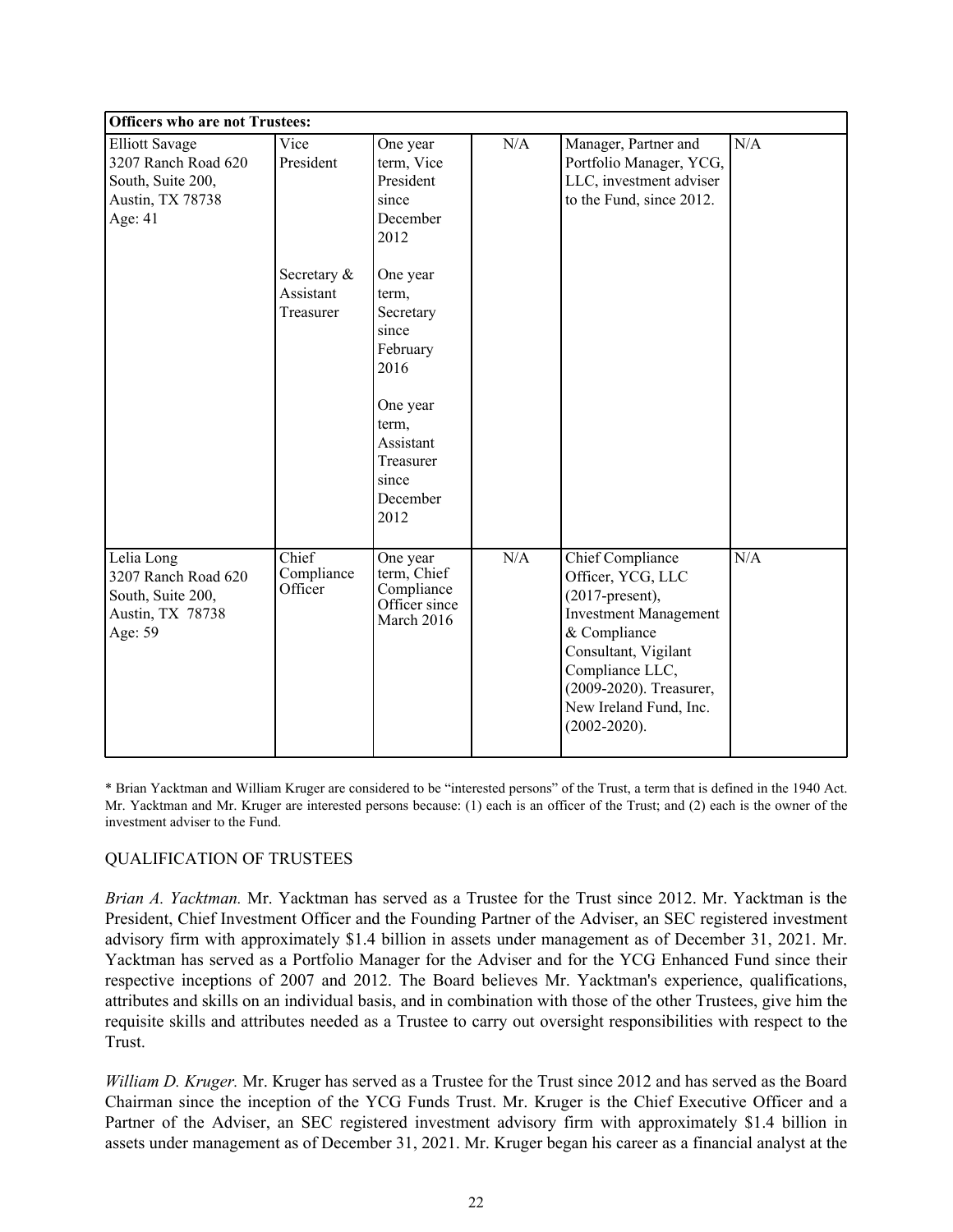| <b>Officers who are not Trustees:</b>                                                            |                                       |                                                                                                                                         |     |                                                                                                                                                                                                                                         |     |  |
|--------------------------------------------------------------------------------------------------|---------------------------------------|-----------------------------------------------------------------------------------------------------------------------------------------|-----|-----------------------------------------------------------------------------------------------------------------------------------------------------------------------------------------------------------------------------------------|-----|--|
| <b>Elliott Savage</b><br>3207 Ranch Road 620<br>South, Suite 200,<br>Austin, TX 78738<br>Age: 41 | Vice<br>President                     | One year<br>term, Vice<br>President<br>since<br>December<br>2012                                                                        | N/A | Manager, Partner and<br>Portfolio Manager, YCG,<br>LLC, investment adviser<br>to the Fund, since 2012.                                                                                                                                  | N/A |  |
|                                                                                                  | Secretary &<br>Assistant<br>Treasurer | One year<br>term,<br>Secretary<br>since<br>February<br>2016<br>One year<br>term,<br>Assistant<br>Treasurer<br>since<br>December<br>2012 |     |                                                                                                                                                                                                                                         |     |  |
| Lelia Long<br>3207 Ranch Road 620<br>South, Suite 200,<br>Austin, TX 78738<br>Age: 59            | Chief<br>Compliance<br>Officer        | One year<br>term, Chief<br>Compliance<br>Officer since<br>March 2016                                                                    | N/A | <b>Chief Compliance</b><br>Officer, YCG, LLC<br>$(2017$ -present),<br><b>Investment Management</b><br>& Compliance<br>Consultant, Vigilant<br>Compliance LLC,<br>(2009-2020). Treasurer,<br>New Ireland Fund, Inc.<br>$(2002 - 2020)$ . | N/A |  |

\* Brian Yacktman and William Kruger are considered to be "interested persons" of the Trust, a term that is defined in the 1940 Act. Mr. Yacktman and Mr. Kruger are interested persons because: (1) each is an officer of the Trust; and (2) each is the owner of the investment adviser to the Fund.

### QUALIFICATION OF TRUSTEES

*Brian A. Yacktman.* Mr. Yacktman has served as a Trustee for the Trust since 2012. Mr. Yacktman is the President, Chief Investment Officer and the Founding Partner of the Adviser, an SEC registered investment advisory firm with approximately \$1.4 billion in assets under management as of December 31, 2021. Mr. Yacktman has served as a Portfolio Manager for the Adviser and for the YCG Enhanced Fund since their respective inceptions of 2007 and 2012. The Board believes Mr. Yacktman's experience, qualifications, attributes and skills on an individual basis, and in combination with those of the other Trustees, give him the requisite skills and attributes needed as a Trustee to carry out oversight responsibilities with respect to the Trust.

*William D. Kruger.* Mr. Kruger has served as a Trustee for the Trust since 2012 and has served as the Board Chairman since the inception of the YCG Funds Trust. Mr. Kruger is the Chief Executive Officer and a Partner of the Adviser, an SEC registered investment advisory firm with approximately \$1.4 billion in assets under management as of December 31, 2021. Mr. Kruger began his career as a financial analyst at the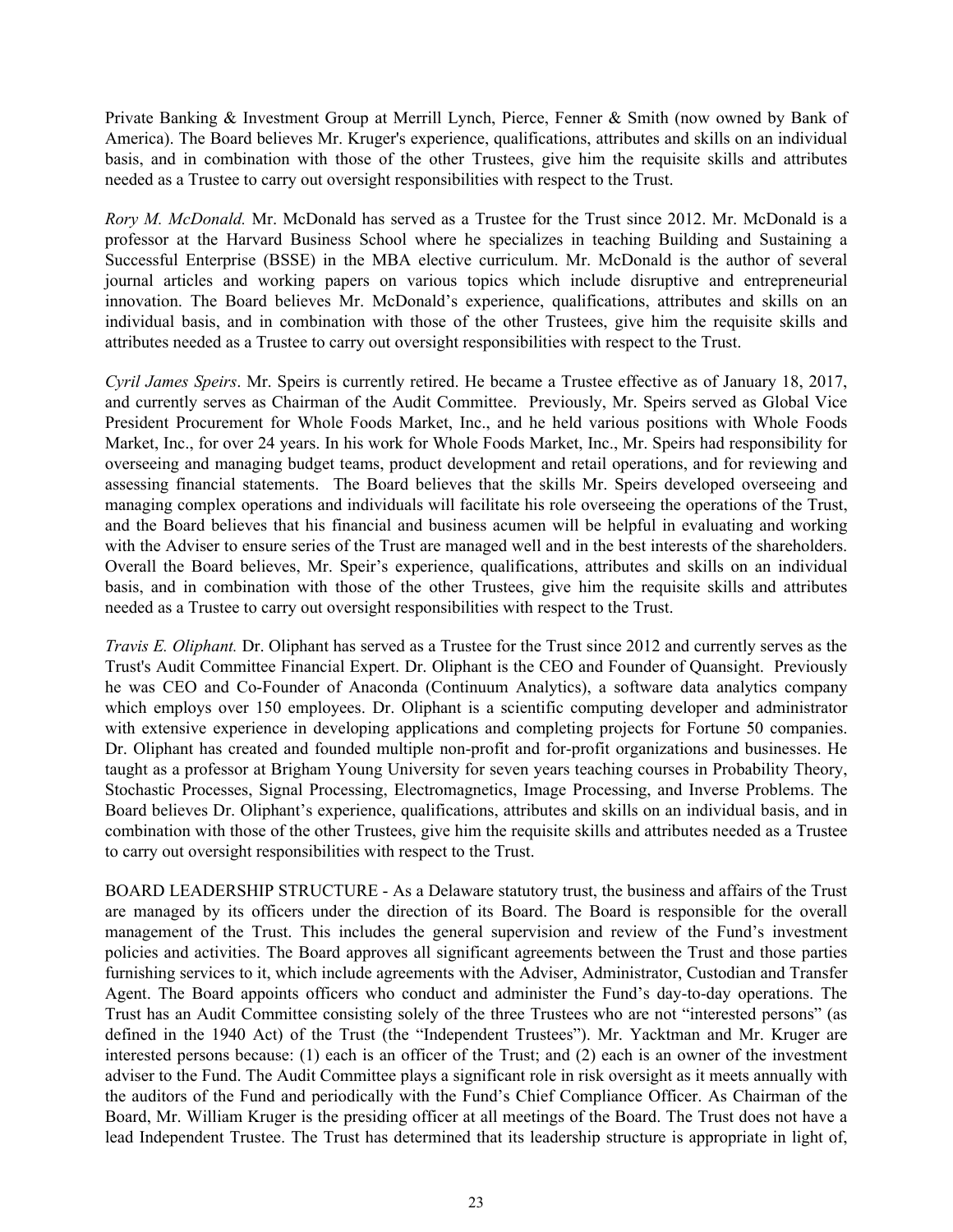Private Banking & Investment Group at Merrill Lynch, Pierce, Fenner & Smith (now owned by Bank of America). The Board believes Mr. Kruger's experience, qualifications, attributes and skills on an individual basis, and in combination with those of the other Trustees, give him the requisite skills and attributes needed as a Trustee to carry out oversight responsibilities with respect to the Trust.

*Rory M. McDonald.* Mr. McDonald has served as a Trustee for the Trust since 2012. Mr. McDonald is a professor at the Harvard Business School where he specializes in teaching Building and Sustaining a Successful Enterprise (BSSE) in the MBA elective curriculum. Mr. McDonald is the author of several journal articles and working papers on various topics which include disruptive and entrepreneurial innovation. The Board believes Mr. McDonald's experience, qualifications, attributes and skills on an individual basis, and in combination with those of the other Trustees, give him the requisite skills and attributes needed as a Trustee to carry out oversight responsibilities with respect to the Trust.

*Cyril James Speirs*. Mr. Speirs is currently retired. He became a Trustee effective as of January 18, 2017, and currently serves as Chairman of the Audit Committee. Previously, Mr. Speirs served as Global Vice President Procurement for Whole Foods Market, Inc., and he held various positions with Whole Foods Market, Inc., for over 24 years. In his work for Whole Foods Market, Inc., Mr. Speirs had responsibility for overseeing and managing budget teams, product development and retail operations, and for reviewing and assessing financial statements. The Board believes that the skills Mr. Speirs developed overseeing and managing complex operations and individuals will facilitate his role overseeing the operations of the Trust, and the Board believes that his financial and business acumen will be helpful in evaluating and working with the Adviser to ensure series of the Trust are managed well and in the best interests of the shareholders. Overall the Board believes, Mr. Speir's experience, qualifications, attributes and skills on an individual basis, and in combination with those of the other Trustees, give him the requisite skills and attributes needed as a Trustee to carry out oversight responsibilities with respect to the Trust.

*Travis E. Oliphant.* Dr. Oliphant has served as a Trustee for the Trust since 2012 and currently serves as the Trust's Audit Committee Financial Expert. Dr. Oliphant is the CEO and Founder of Quansight. Previously he was CEO and Co-Founder of Anaconda (Continuum Analytics), a software data analytics company which employs over 150 employees. Dr. Oliphant is a scientific computing developer and administrator with extensive experience in developing applications and completing projects for Fortune 50 companies. Dr. Oliphant has created and founded multiple non-profit and for-profit organizations and businesses. He taught as a professor at Brigham Young University for seven years teaching courses in Probability Theory, Stochastic Processes, Signal Processing, Electromagnetics, Image Processing, and Inverse Problems. The Board believes Dr. Oliphant's experience, qualifications, attributes and skills on an individual basis, and in combination with those of the other Trustees, give him the requisite skills and attributes needed as a Trustee to carry out oversight responsibilities with respect to the Trust.

BOARD LEADERSHIP STRUCTURE - As a Delaware statutory trust, the business and affairs of the Trust are managed by its officers under the direction of its Board. The Board is responsible for the overall management of the Trust. This includes the general supervision and review of the Fund's investment policies and activities. The Board approves all significant agreements between the Trust and those parties furnishing services to it, which include agreements with the Adviser, Administrator, Custodian and Transfer Agent. The Board appoints officers who conduct and administer the Fund's day-to-day operations. The Trust has an Audit Committee consisting solely of the three Trustees who are not "interested persons" (as defined in the 1940 Act) of the Trust (the "Independent Trustees"). Mr. Yacktman and Mr. Kruger are interested persons because: (1) each is an officer of the Trust; and (2) each is an owner of the investment adviser to the Fund. The Audit Committee plays a significant role in risk oversight as it meets annually with the auditors of the Fund and periodically with the Fund's Chief Compliance Officer. As Chairman of the Board, Mr. William Kruger is the presiding officer at all meetings of the Board. The Trust does not have a lead Independent Trustee. The Trust has determined that its leadership structure is appropriate in light of,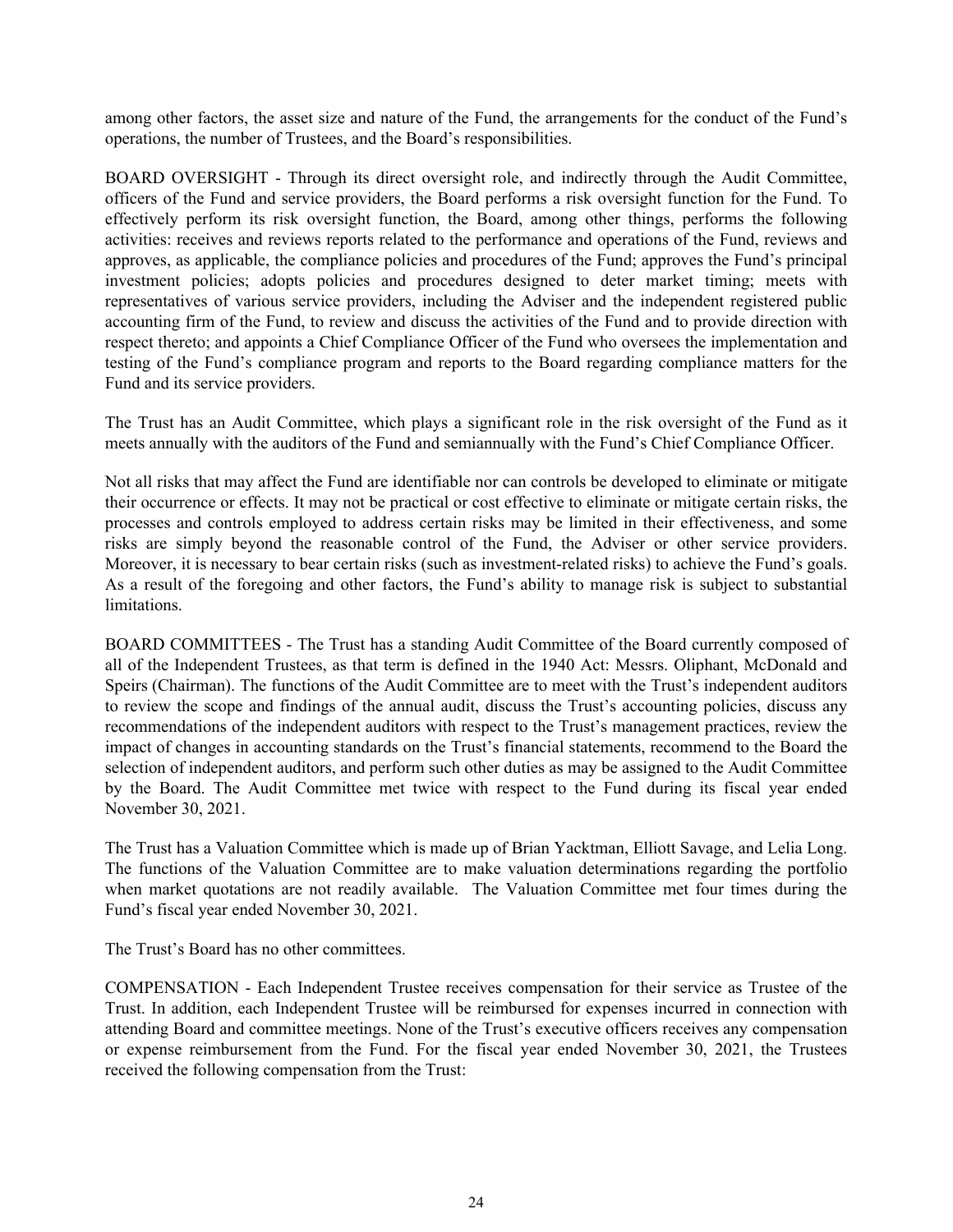among other factors, the asset size and nature of the Fund, the arrangements for the conduct of the Fund's operations, the number of Trustees, and the Board's responsibilities.

BOARD OVERSIGHT - Through its direct oversight role, and indirectly through the Audit Committee, officers of the Fund and service providers, the Board performs a risk oversight function for the Fund. To effectively perform its risk oversight function, the Board, among other things, performs the following activities: receives and reviews reports related to the performance and operations of the Fund, reviews and approves, as applicable, the compliance policies and procedures of the Fund; approves the Fund's principal investment policies; adopts policies and procedures designed to deter market timing; meets with representatives of various service providers, including the Adviser and the independent registered public accounting firm of the Fund, to review and discuss the activities of the Fund and to provide direction with respect thereto; and appoints a Chief Compliance Officer of the Fund who oversees the implementation and testing of the Fund's compliance program and reports to the Board regarding compliance matters for the Fund and its service providers.

The Trust has an Audit Committee, which plays a significant role in the risk oversight of the Fund as it meets annually with the auditors of the Fund and semiannually with the Fund's Chief Compliance Officer.

Not all risks that may affect the Fund are identifiable nor can controls be developed to eliminate or mitigate their occurrence or effects. It may not be practical or cost effective to eliminate or mitigate certain risks, the processes and controls employed to address certain risks may be limited in their effectiveness, and some risks are simply beyond the reasonable control of the Fund, the Adviser or other service providers. Moreover, it is necessary to bear certain risks (such as investment-related risks) to achieve the Fund's goals. As a result of the foregoing and other factors, the Fund's ability to manage risk is subject to substantial limitations.

BOARD COMMITTEES - The Trust has a standing Audit Committee of the Board currently composed of all of the Independent Trustees, as that term is defined in the 1940 Act: Messrs. Oliphant, McDonald and Speirs (Chairman). The functions of the Audit Committee are to meet with the Trust's independent auditors to review the scope and findings of the annual audit, discuss the Trust's accounting policies, discuss any recommendations of the independent auditors with respect to the Trust's management practices, review the impact of changes in accounting standards on the Trust's financial statements, recommend to the Board the selection of independent auditors, and perform such other duties as may be assigned to the Audit Committee by the Board. The Audit Committee met twice with respect to the Fund during its fiscal year ended November 30, 2021.

The Trust has a Valuation Committee which is made up of Brian Yacktman, Elliott Savage, and Lelia Long. The functions of the Valuation Committee are to make valuation determinations regarding the portfolio when market quotations are not readily available. The Valuation Committee met four times during the Fund's fiscal year ended November 30, 2021.

The Trust's Board has no other committees.

COMPENSATION - Each Independent Trustee receives compensation for their service as Trustee of the Trust. In addition, each Independent Trustee will be reimbursed for expenses incurred in connection with attending Board and committee meetings. None of the Trust's executive officers receives any compensation or expense reimbursement from the Fund. For the fiscal year ended November 30, 2021, the Trustees received the following compensation from the Trust: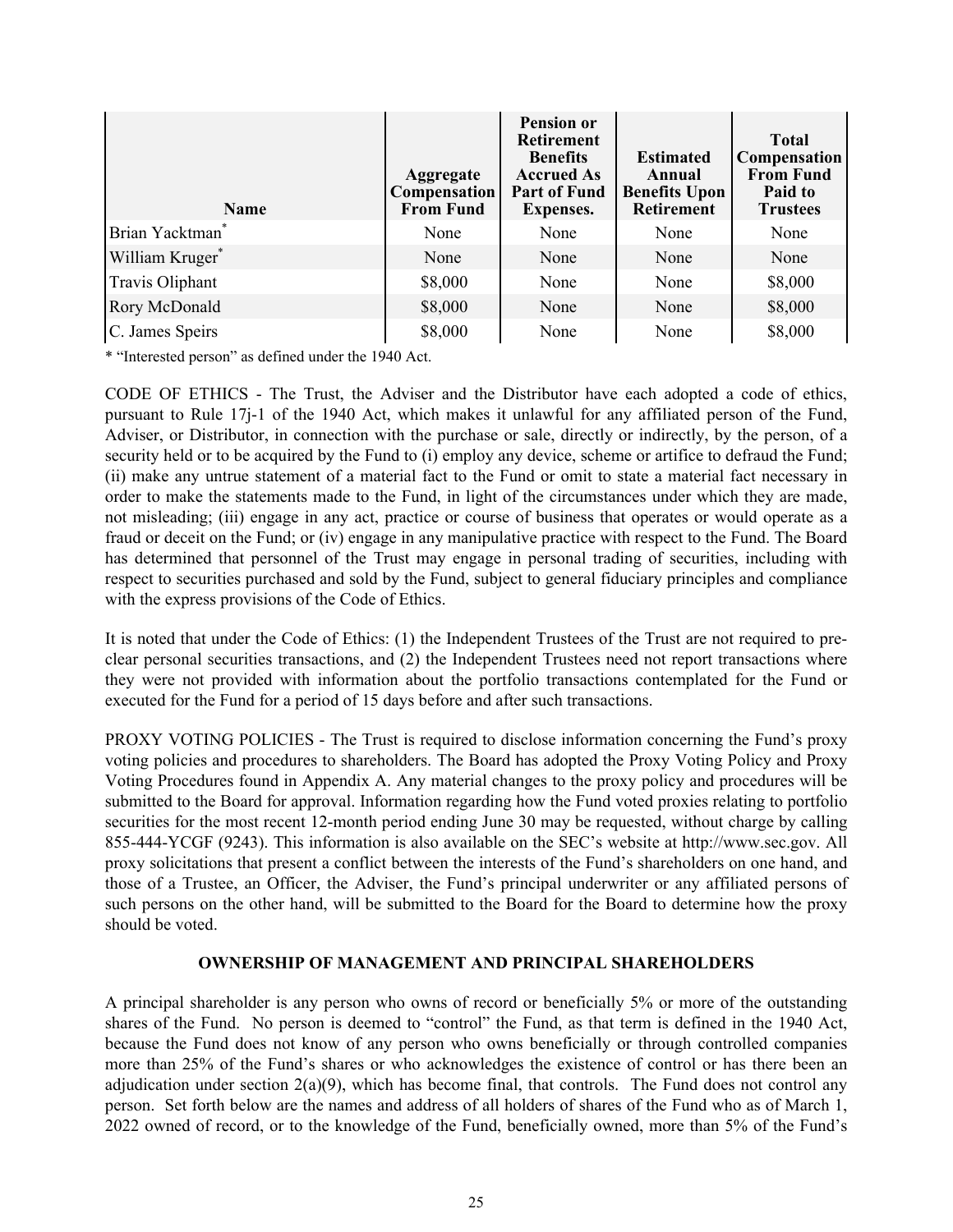<span id="page-27-0"></span>

| <b>Name</b>                 | <b>Aggregate</b><br><b>Compensation</b><br><b>From Fund</b> | <b>Pension or</b><br><b>Retirement</b><br><b>Benefits</b><br><b>Accrued As</b><br><b>Part of Fund</b><br><b>Expenses.</b> | <b>Estimated</b><br>Annual<br><b>Benefits Upon</b><br><b>Retirement</b> | <b>Total</b><br>Compensation<br><b>From Fund</b><br>Paid to<br><b>Trustees</b> |
|-----------------------------|-------------------------------------------------------------|---------------------------------------------------------------------------------------------------------------------------|-------------------------------------------------------------------------|--------------------------------------------------------------------------------|
| Brian Yacktman <sup>®</sup> | None                                                        | None                                                                                                                      | None                                                                    | None                                                                           |
| William Kruger*             | None                                                        | None                                                                                                                      | None                                                                    | None                                                                           |
| Travis Oliphant             | \$8,000                                                     | None                                                                                                                      | None                                                                    | \$8,000                                                                        |
| <b>Rory McDonald</b>        | \$8,000                                                     | None                                                                                                                      | None                                                                    | \$8,000                                                                        |
| C. James Speirs             | \$8,000                                                     | None                                                                                                                      | None                                                                    | \$8,000                                                                        |

\* "Interested person" as defined under the 1940 Act.

CODE OF ETHICS - The Trust, the Adviser and the Distributor have each adopted a code of ethics, pursuant to Rule 17j-1 of the 1940 Act, which makes it unlawful for any affiliated person of the Fund, Adviser, or Distributor, in connection with the purchase or sale, directly or indirectly, by the person, of a security held or to be acquired by the Fund to (i) employ any device, scheme or artifice to defraud the Fund; (ii) make any untrue statement of a material fact to the Fund or omit to state a material fact necessary in order to make the statements made to the Fund, in light of the circumstances under which they are made, not misleading; (iii) engage in any act, practice or course of business that operates or would operate as a fraud or deceit on the Fund; or (iv) engage in any manipulative practice with respect to the Fund. The Board has determined that personnel of the Trust may engage in personal trading of securities, including with respect to securities purchased and sold by the Fund, subject to general fiduciary principles and compliance with the express provisions of the Code of Ethics.

It is noted that under the Code of Ethics: (1) the Independent Trustees of the Trust are not required to preclear personal securities transactions, and (2) the Independent Trustees need not report transactions where they were not provided with information about the portfolio transactions contemplated for the Fund or executed for the Fund for a period of 15 days before and after such transactions.

PROXY VOTING POLICIES - The Trust is required to disclose information concerning the Fund's proxy voting policies and procedures to shareholders. The Board has adopted the Proxy Voting Policy and Proxy Voting Procedures found in Appendix A. Any material changes to the proxy policy and procedures will be submitted to the Board for approval. Information regarding how the Fund voted proxies relating to portfolio securities for the most recent 12-month period ending June 30 may be requested, without charge by calling 855-444-YCGF (9243). This information is also available on the SEC's website at http://www.sec.gov. All proxy solicitations that present a conflict between the interests of the Fund's shareholders on one hand, and those of a Trustee, an Officer, the Adviser, the Fund's principal underwriter or any affiliated persons of such persons on the other hand, will be submitted to the Board for the Board to determine how the proxy should be voted.

### **OWNERSHIP OF MANAGEMENT AND PRINCIPAL SHAREHOLDERS**

A principal shareholder is any person who owns of record or beneficially 5% or more of the outstanding shares of the Fund. No person is deemed to "control" the Fund, as that term is defined in the 1940 Act, because the Fund does not know of any person who owns beneficially or through controlled companies more than 25% of the Fund's shares or who acknowledges the existence of control or has there been an adjudication under section  $2(a)(9)$ , which has become final, that controls. The Fund does not control any person. Set forth below are the names and address of all holders of shares of the Fund who as of March 1, 2022 owned of record, or to the knowledge of the Fund, beneficially owned, more than 5% of the Fund's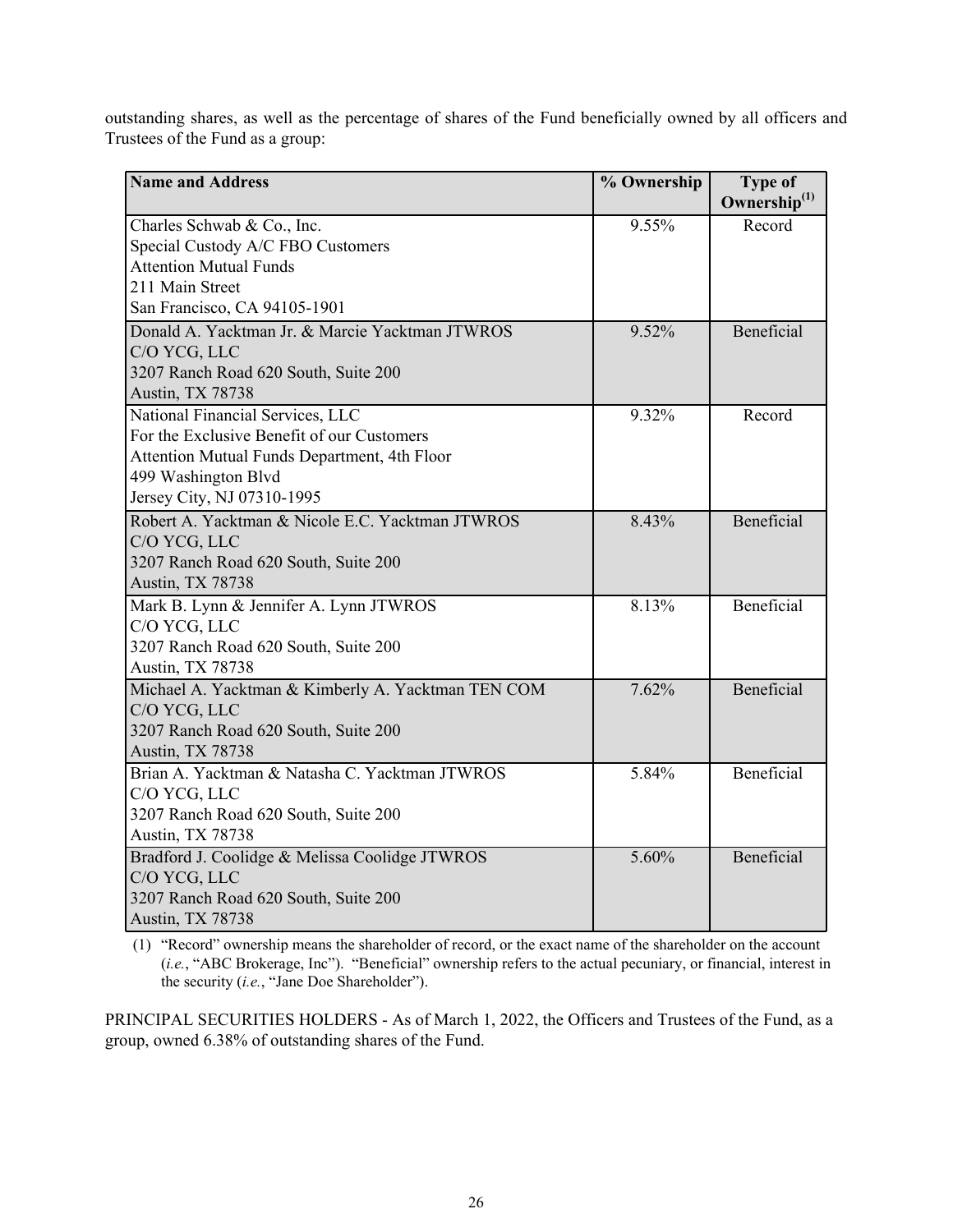outstanding shares, as well as the percentage of shares of the Fund beneficially owned by all officers and Trustees of the Fund as a group:

| <b>Name and Address</b>                            | % Ownership | <b>Type of</b>           |
|----------------------------------------------------|-------------|--------------------------|
|                                                    |             | Ownership <sup>(1)</sup> |
| Charles Schwab & Co., Inc.                         | 9.55%       | Record                   |
| Special Custody A/C FBO Customers                  |             |                          |
| <b>Attention Mutual Funds</b>                      |             |                          |
| 211 Main Street                                    |             |                          |
| San Francisco, CA 94105-1901                       |             |                          |
| Donald A. Yacktman Jr. & Marcie Yacktman JTWROS    | 9.52%       | Beneficial               |
| C/O YCG, LLC                                       |             |                          |
| 3207 Ranch Road 620 South, Suite 200               |             |                          |
| Austin, TX 78738                                   |             |                          |
| National Financial Services, LLC                   | 9.32%       | Record                   |
| For the Exclusive Benefit of our Customers         |             |                          |
| Attention Mutual Funds Department, 4th Floor       |             |                          |
| 499 Washington Blvd                                |             |                          |
| Jersey City, NJ 07310-1995                         |             |                          |
| Robert A. Yacktman & Nicole E.C. Yacktman JTWROS   | 8.43%       | Beneficial               |
| C/O YCG, LLC                                       |             |                          |
| 3207 Ranch Road 620 South, Suite 200               |             |                          |
| Austin, TX 78738                                   |             |                          |
| Mark B. Lynn & Jennifer A. Lynn JTWROS             | 8.13%       | Beneficial               |
| C/O YCG, LLC                                       |             |                          |
| 3207 Ranch Road 620 South, Suite 200               |             |                          |
| <b>Austin, TX 78738</b>                            |             |                          |
| Michael A. Yacktman & Kimberly A. Yacktman TEN COM | 7.62%       | <b>Beneficial</b>        |
| C/O YCG, LLC                                       |             |                          |
| 3207 Ranch Road 620 South, Suite 200               |             |                          |
| <b>Austin, TX 78738</b>                            |             |                          |
| Brian A. Yacktman & Natasha C. Yacktman JTWROS     | 5.84%       | Beneficial               |
| C/O YCG, LLC                                       |             |                          |
| 3207 Ranch Road 620 South, Suite 200               |             |                          |
| <b>Austin, TX 78738</b>                            |             |                          |
| Bradford J. Coolidge & Melissa Coolidge JTWROS     | 5.60%       | Beneficial               |
| C/O YCG, LLC                                       |             |                          |
| 3207 Ranch Road 620 South, Suite 200               |             |                          |
| Austin, TX 78738                                   |             |                          |

(1) "Record" ownership means the shareholder of record, or the exact name of the shareholder on the account (*i.e.*, "ABC Brokerage, Inc"). "Beneficial" ownership refers to the actual pecuniary, or financial, interest in the security (*i.e.*, "Jane Doe Shareholder").

PRINCIPAL SECURITIES HOLDERS - As of March 1, 2022, the Officers and Trustees of the Fund, as a group, owned 6.38% of outstanding shares of the Fund.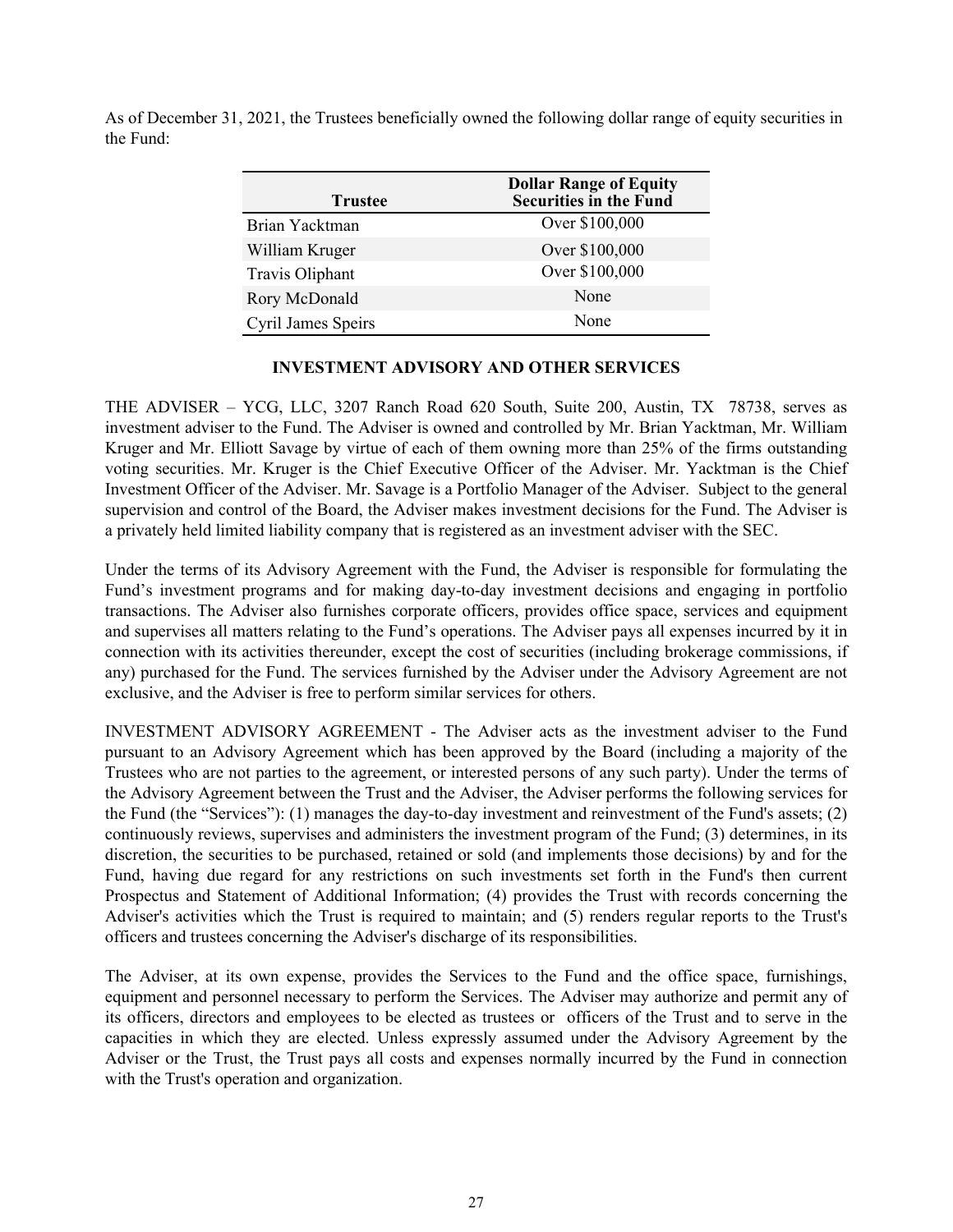<span id="page-29-0"></span>As of December 31, 2021, the Trustees beneficially owned the following dollar range of equity securities in the Fund:

| <b>Trustee</b>     | <b>Dollar Range of Equity</b><br>Securities in the Fund |
|--------------------|---------------------------------------------------------|
| Brian Yacktman     | Over \$100,000                                          |
| William Kruger     | Over \$100,000                                          |
| Travis Oliphant    | Over \$100,000                                          |
| Rory McDonald      | None                                                    |
| Cyril James Speirs | None                                                    |

## **INVESTMENT ADVISORY AND OTHER SERVICES**

THE ADVISER – YCG, LLC, 3207 Ranch Road 620 South, Suite 200, Austin, TX 78738, serves as investment adviser to the Fund. The Adviser is owned and controlled by Mr. Brian Yacktman, Mr. William Kruger and Mr. Elliott Savage by virtue of each of them owning more than 25% of the firms outstanding voting securities. Mr. Kruger is the Chief Executive Officer of the Adviser. Mr. Yacktman is the Chief Investment Officer of the Adviser. Mr. Savage is a Portfolio Manager of the Adviser. Subject to the general supervision and control of the Board, the Adviser makes investment decisions for the Fund. The Adviser is a privately held limited liability company that is registered as an investment adviser with the SEC.

Under the terms of its Advisory Agreement with the Fund, the Adviser is responsible for formulating the Fund's investment programs and for making day-to-day investment decisions and engaging in portfolio transactions. The Adviser also furnishes corporate officers, provides office space, services and equipment and supervises all matters relating to the Fund's operations. The Adviser pays all expenses incurred by it in connection with its activities thereunder, except the cost of securities (including brokerage commissions, if any) purchased for the Fund. The services furnished by the Adviser under the Advisory Agreement are not exclusive, and the Adviser is free to perform similar services for others.

INVESTMENT ADVISORY AGREEMENT - The Adviser acts as the investment adviser to the Fund pursuant to an Advisory Agreement which has been approved by the Board (including a majority of the Trustees who are not parties to the agreement, or interested persons of any such party). Under the terms of the Advisory Agreement between the Trust and the Adviser, the Adviser performs the following services for the Fund (the "Services"): (1) manages the day-to-day investment and reinvestment of the Fund's assets; (2) continuously reviews, supervises and administers the investment program of the Fund; (3) determines, in its discretion, the securities to be purchased, retained or sold (and implements those decisions) by and for the Fund, having due regard for any restrictions on such investments set forth in the Fund's then current Prospectus and Statement of Additional Information; (4) provides the Trust with records concerning the Adviser's activities which the Trust is required to maintain; and (5) renders regular reports to the Trust's officers and trustees concerning the Adviser's discharge of its responsibilities.

The Adviser, at its own expense, provides the Services to the Fund and the office space, furnishings, equipment and personnel necessary to perform the Services. The Adviser may authorize and permit any of its officers, directors and employees to be elected as trustees or officers of the Trust and to serve in the capacities in which they are elected. Unless expressly assumed under the Advisory Agreement by the Adviser or the Trust, the Trust pays all costs and expenses normally incurred by the Fund in connection with the Trust's operation and organization.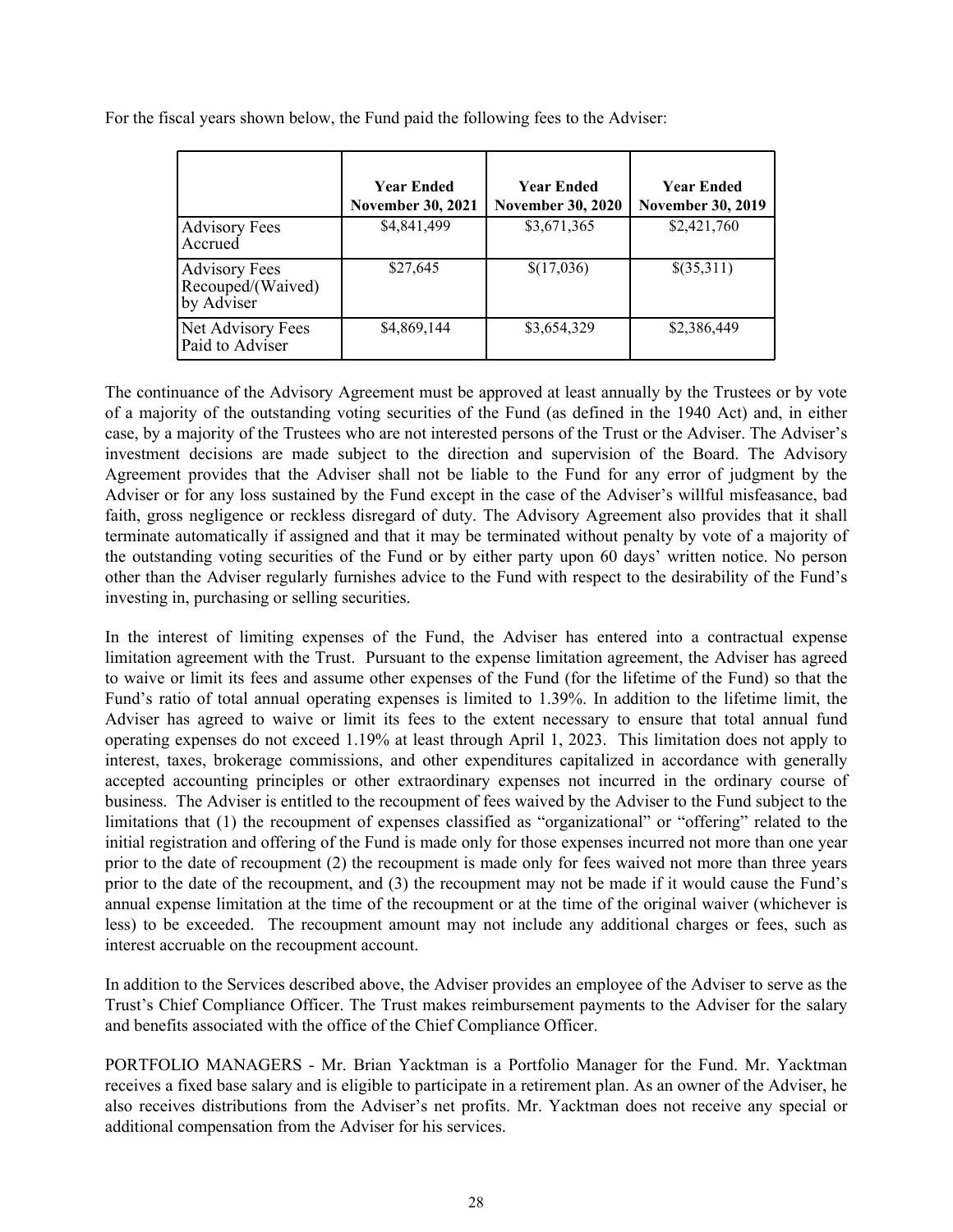For the fiscal years shown below, the Fund paid the following fees to the Adviser:

|                                                         | <b>Year Ended</b><br><b>November 30, 2021</b> | <b>Year Ended</b><br><b>November 30, 2020</b> | <b>Year Ended</b><br><b>November 30, 2019</b> |
|---------------------------------------------------------|-----------------------------------------------|-----------------------------------------------|-----------------------------------------------|
| <b>Advisory Fees</b><br>Accrued                         | \$4,841,499                                   | \$3,671,365                                   | \$2,421,760                                   |
| <b>Advisory Fees</b><br>Recouped/(Waived)<br>by Adviser | \$27,645                                      | \$(17,036)                                    | \$(35,311)                                    |
| Net Advisory Fees<br>Paid to Adviser                    | \$4,869,144                                   | \$3,654,329                                   | \$2,386,449                                   |

The continuance of the Advisory Agreement must be approved at least annually by the Trustees or by vote of a majority of the outstanding voting securities of the Fund (as defined in the 1940 Act) and, in either case, by a majority of the Trustees who are not interested persons of the Trust or the Adviser. The Adviser's investment decisions are made subject to the direction and supervision of the Board. The Advisory Agreement provides that the Adviser shall not be liable to the Fund for any error of judgment by the Adviser or for any loss sustained by the Fund except in the case of the Adviser's willful misfeasance, bad faith, gross negligence or reckless disregard of duty. The Advisory Agreement also provides that it shall terminate automatically if assigned and that it may be terminated without penalty by vote of a majority of the outstanding voting securities of the Fund or by either party upon 60 days' written notice. No person other than the Adviser regularly furnishes advice to the Fund with respect to the desirability of the Fund's investing in, purchasing or selling securities.

In the interest of limiting expenses of the Fund, the Adviser has entered into a contractual expense limitation agreement with the Trust. Pursuant to the expense limitation agreement, the Adviser has agreed to waive or limit its fees and assume other expenses of the Fund (for the lifetime of the Fund) so that the Fund's ratio of total annual operating expenses is limited to 1.39%. In addition to the lifetime limit, the Adviser has agreed to waive or limit its fees to the extent necessary to ensure that total annual fund operating expenses do not exceed 1.19% at least through April 1, 2023. This limitation does not apply to interest, taxes, brokerage commissions, and other expenditures capitalized in accordance with generally accepted accounting principles or other extraordinary expenses not incurred in the ordinary course of business. The Adviser is entitled to the recoupment of fees waived by the Adviser to the Fund subject to the limitations that (1) the recoupment of expenses classified as "organizational" or "offering" related to the initial registration and offering of the Fund is made only for those expenses incurred not more than one year prior to the date of recoupment (2) the recoupment is made only for fees waived not more than three years prior to the date of the recoupment, and (3) the recoupment may not be made if it would cause the Fund's annual expense limitation at the time of the recoupment or at the time of the original waiver (whichever is less) to be exceeded. The recoupment amount may not include any additional charges or fees, such as interest accruable on the recoupment account.

In addition to the Services described above, the Adviser provides an employee of the Adviser to serve as the Trust's Chief Compliance Officer. The Trust makes reimbursement payments to the Adviser for the salary and benefits associated with the office of the Chief Compliance Officer.

PORTFOLIO MANAGERS - Mr. Brian Yacktman is a Portfolio Manager for the Fund. Mr. Yacktman receives a fixed base salary and is eligible to participate in a retirement plan. As an owner of the Adviser, he also receives distributions from the Adviser's net profits. Mr. Yacktman does not receive any special or additional compensation from the Adviser for his services.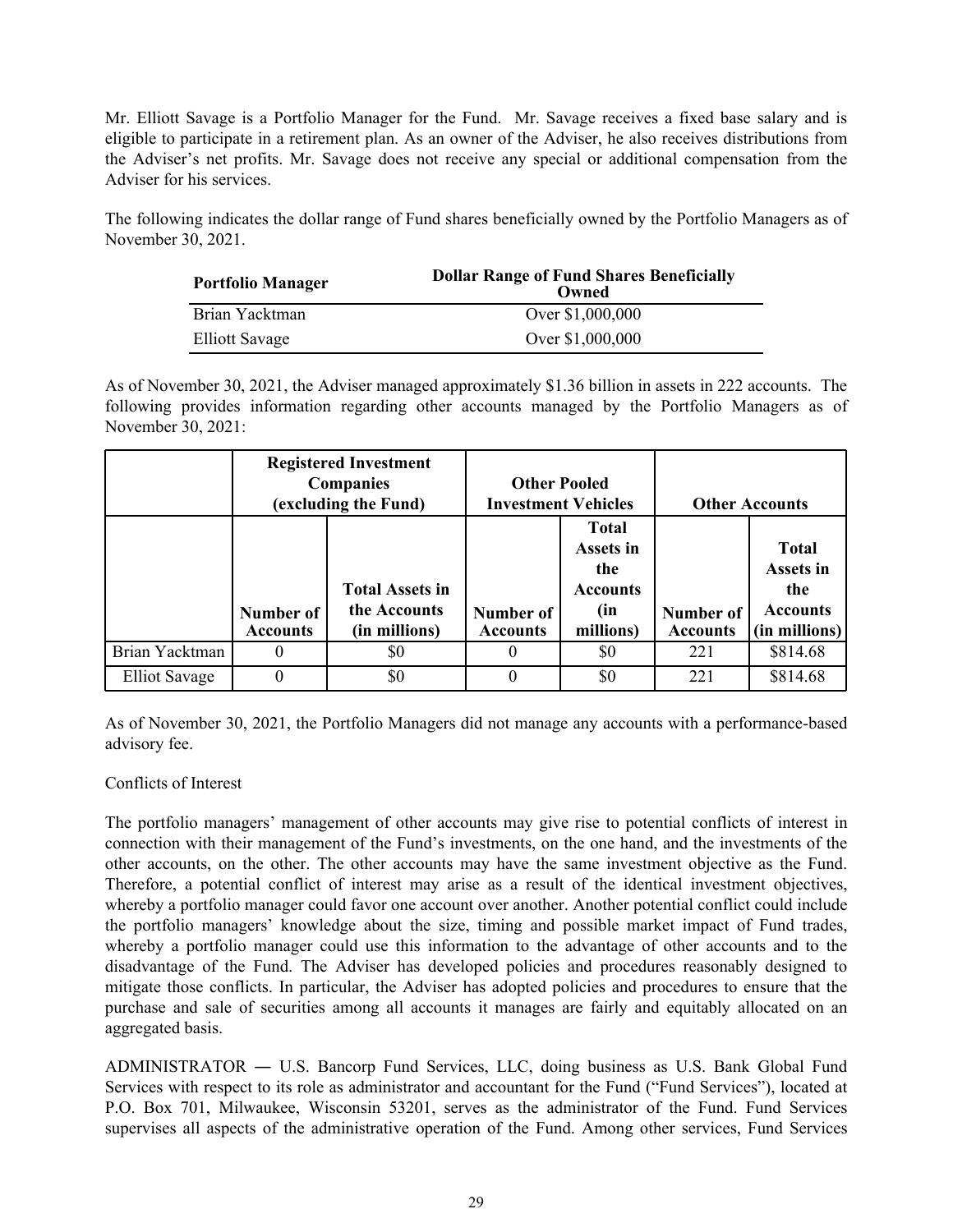Mr. Elliott Savage is a Portfolio Manager for the Fund. Mr. Savage receives a fixed base salary and is eligible to participate in a retirement plan. As an owner of the Adviser, he also receives distributions from the Adviser's net profits. Mr. Savage does not receive any special or additional compensation from the Adviser for his services.

The following indicates the dollar range of Fund shares beneficially owned by the Portfolio Managers as of November 30, 2021.

| <b>Portfolio Manager</b> | <b>Dollar Range of Fund Shares Beneficially</b><br>Owned |
|--------------------------|----------------------------------------------------------|
| Brian Yacktman           | Over \$1,000,000                                         |
| <b>Elliott Savage</b>    | Over \$1,000,000                                         |

As of November 30, 2021, the Adviser managed approximately \$1.36 billion in assets in 222 accounts. The following provides information regarding other accounts managed by the Portfolio Managers as of November 30, 2021:

|                | <b>Registered Investment</b><br><b>Companies</b><br>(excluding the Fund) |                                                         |                              | <b>Other Pooled</b><br><b>Investment Vehicles</b>                       |                                     | <b>Other Accounts</b>                                                  |
|----------------|--------------------------------------------------------------------------|---------------------------------------------------------|------------------------------|-------------------------------------------------------------------------|-------------------------------------|------------------------------------------------------------------------|
|                | Number of<br><b>Accounts</b>                                             | <b>Total Assets in</b><br>the Accounts<br>(in millions) | Number of<br><b>Accounts</b> | <b>Total</b><br>Assets in<br>the<br><b>Accounts</b><br>(in<br>millions) | <b>Number of</b><br><b>Accounts</b> | <b>Total</b><br>Assets in<br>the<br><b>Accounts</b><br>$(in$ millions) |
| Brian Yacktman | $_{0}$                                                                   | \$0                                                     |                              | \$0                                                                     | 221                                 | \$814.68                                                               |
| Elliot Savage  | $\Omega$                                                                 | \$0                                                     |                              | \$0                                                                     | 221                                 | \$814.68                                                               |

As of November 30, 2021, the Portfolio Managers did not manage any accounts with a performance-based advisory fee.

### Conflicts of Interest

The portfolio managers' management of other accounts may give rise to potential conflicts of interest in connection with their management of the Fund's investments, on the one hand, and the investments of the other accounts, on the other. The other accounts may have the same investment objective as the Fund. Therefore, a potential conflict of interest may arise as a result of the identical investment objectives, whereby a portfolio manager could favor one account over another. Another potential conflict could include the portfolio managers' knowledge about the size, timing and possible market impact of Fund trades, whereby a portfolio manager could use this information to the advantage of other accounts and to the disadvantage of the Fund. The Adviser has developed policies and procedures reasonably designed to mitigate those conflicts. In particular, the Adviser has adopted policies and procedures to ensure that the purchase and sale of securities among all accounts it manages are fairly and equitably allocated on an aggregated basis.

ADMINISTRATOR ― U.S. Bancorp Fund Services, LLC, doing business as U.S. Bank Global Fund Services with respect to its role as administrator and accountant for the Fund ("Fund Services"), located at P.O. Box 701, Milwaukee, Wisconsin 53201, serves as the administrator of the Fund. Fund Services supervises all aspects of the administrative operation of the Fund. Among other services, Fund Services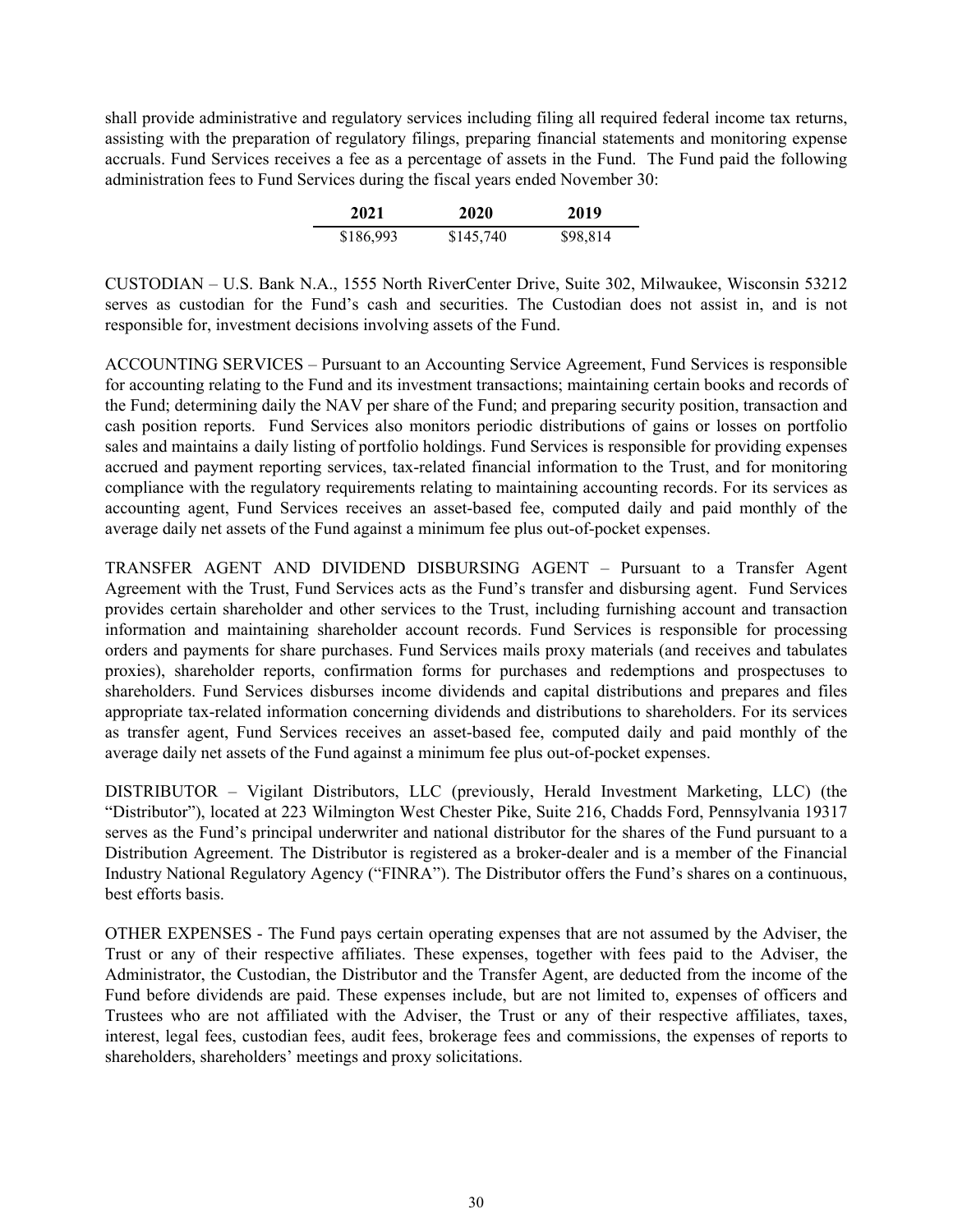shall provide administrative and regulatory services including filing all required federal income tax returns, assisting with the preparation of regulatory filings, preparing financial statements and monitoring expense accruals. Fund Services receives a fee as a percentage of assets in the Fund. The Fund paid the following administration fees to Fund Services during the fiscal years ended November 30:

| 2021      | 2020      | 2019     |
|-----------|-----------|----------|
| \$186,993 | \$145,740 | \$98,814 |

CUSTODIAN – U.S. Bank N.A., 1555 North RiverCenter Drive, Suite 302, Milwaukee, Wisconsin 53212 serves as custodian for the Fund's cash and securities. The Custodian does not assist in, and is not responsible for, investment decisions involving assets of the Fund.

ACCOUNTING SERVICES – Pursuant to an Accounting Service Agreement, Fund Services is responsible for accounting relating to the Fund and its investment transactions; maintaining certain books and records of the Fund; determining daily the NAV per share of the Fund; and preparing security position, transaction and cash position reports. Fund Services also monitors periodic distributions of gains or losses on portfolio sales and maintains a daily listing of portfolio holdings. Fund Services is responsible for providing expenses accrued and payment reporting services, tax-related financial information to the Trust, and for monitoring compliance with the regulatory requirements relating to maintaining accounting records. For its services as accounting agent, Fund Services receives an asset-based fee, computed daily and paid monthly of the average daily net assets of the Fund against a minimum fee plus out-of-pocket expenses.

TRANSFER AGENT AND DIVIDEND DISBURSING AGENT – Pursuant to a Transfer Agent Agreement with the Trust, Fund Services acts as the Fund's transfer and disbursing agent. Fund Services provides certain shareholder and other services to the Trust, including furnishing account and transaction information and maintaining shareholder account records. Fund Services is responsible for processing orders and payments for share purchases. Fund Services mails proxy materials (and receives and tabulates proxies), shareholder reports, confirmation forms for purchases and redemptions and prospectuses to shareholders. Fund Services disburses income dividends and capital distributions and prepares and files appropriate tax-related information concerning dividends and distributions to shareholders. For its services as transfer agent, Fund Services receives an asset-based fee, computed daily and paid monthly of the average daily net assets of the Fund against a minimum fee plus out-of-pocket expenses.

DISTRIBUTOR – Vigilant Distributors, LLC (previously, Herald Investment Marketing, LLC) (the "Distributor"), located at 223 Wilmington West Chester Pike, Suite 216, Chadds Ford, Pennsylvania 19317 serves as the Fund's principal underwriter and national distributor for the shares of the Fund pursuant to a Distribution Agreement. The Distributor is registered as a broker-dealer and is a member of the Financial Industry National Regulatory Agency ("FINRA"). The Distributor offers the Fund's shares on a continuous, best efforts basis.

OTHER EXPENSES - The Fund pays certain operating expenses that are not assumed by the Adviser, the Trust or any of their respective affiliates. These expenses, together with fees paid to the Adviser, the Administrator, the Custodian, the Distributor and the Transfer Agent, are deducted from the income of the Fund before dividends are paid. These expenses include, but are not limited to, expenses of officers and Trustees who are not affiliated with the Adviser, the Trust or any of their respective affiliates, taxes, interest, legal fees, custodian fees, audit fees, brokerage fees and commissions, the expenses of reports to shareholders, shareholders' meetings and proxy solicitations.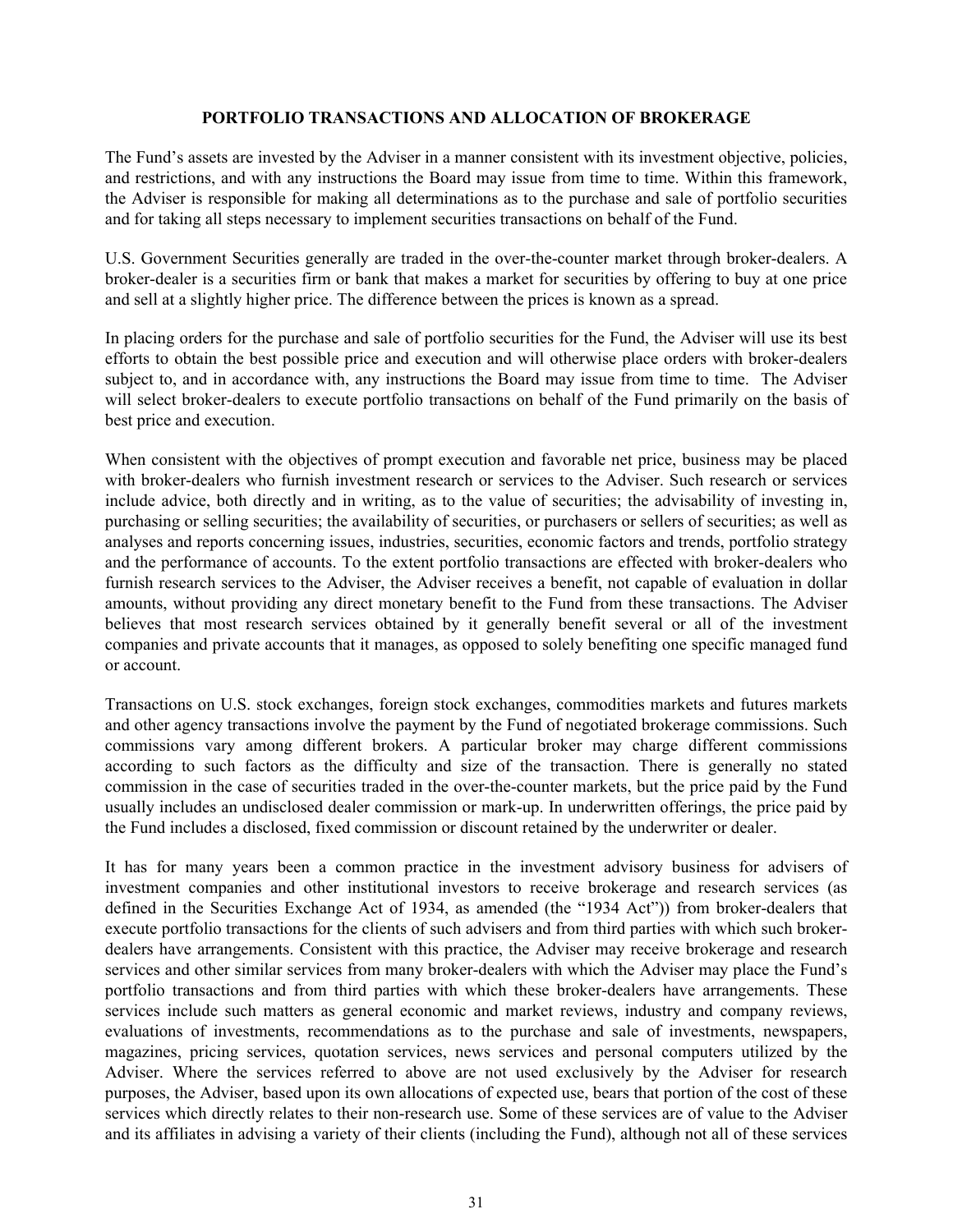### **PORTFOLIO TRANSACTIONS AND ALLOCATION OF BROKERAGE**

<span id="page-33-0"></span>The Fund's assets are invested by the Adviser in a manner consistent with its investment objective, policies, and restrictions, and with any instructions the Board may issue from time to time. Within this framework, the Adviser is responsible for making all determinations as to the purchase and sale of portfolio securities and for taking all steps necessary to implement securities transactions on behalf of the Fund.

U.S. Government Securities generally are traded in the over-the-counter market through broker-dealers. A broker-dealer is a securities firm or bank that makes a market for securities by offering to buy at one price and sell at a slightly higher price. The difference between the prices is known as a spread.

In placing orders for the purchase and sale of portfolio securities for the Fund, the Adviser will use its best efforts to obtain the best possible price and execution and will otherwise place orders with broker-dealers subject to, and in accordance with, any instructions the Board may issue from time to time. The Adviser will select broker-dealers to execute portfolio transactions on behalf of the Fund primarily on the basis of best price and execution.

When consistent with the objectives of prompt execution and favorable net price, business may be placed with broker-dealers who furnish investment research or services to the Adviser. Such research or services include advice, both directly and in writing, as to the value of securities; the advisability of investing in, purchasing or selling securities; the availability of securities, or purchasers or sellers of securities; as well as analyses and reports concerning issues, industries, securities, economic factors and trends, portfolio strategy and the performance of accounts. To the extent portfolio transactions are effected with broker-dealers who furnish research services to the Adviser, the Adviser receives a benefit, not capable of evaluation in dollar amounts, without providing any direct monetary benefit to the Fund from these transactions. The Adviser believes that most research services obtained by it generally benefit several or all of the investment companies and private accounts that it manages, as opposed to solely benefiting one specific managed fund or account.

Transactions on U.S. stock exchanges, foreign stock exchanges, commodities markets and futures markets and other agency transactions involve the payment by the Fund of negotiated brokerage commissions. Such commissions vary among different brokers. A particular broker may charge different commissions according to such factors as the difficulty and size of the transaction. There is generally no stated commission in the case of securities traded in the over-the-counter markets, but the price paid by the Fund usually includes an undisclosed dealer commission or mark-up. In underwritten offerings, the price paid by the Fund includes a disclosed, fixed commission or discount retained by the underwriter or dealer.

It has for many years been a common practice in the investment advisory business for advisers of investment companies and other institutional investors to receive brokerage and research services (as defined in the Securities Exchange Act of 1934, as amended (the "1934 Act")) from broker-dealers that execute portfolio transactions for the clients of such advisers and from third parties with which such brokerdealers have arrangements. Consistent with this practice, the Adviser may receive brokerage and research services and other similar services from many broker-dealers with which the Adviser may place the Fund's portfolio transactions and from third parties with which these broker-dealers have arrangements. These services include such matters as general economic and market reviews, industry and company reviews, evaluations of investments, recommendations as to the purchase and sale of investments, newspapers, magazines, pricing services, quotation services, news services and personal computers utilized by the Adviser. Where the services referred to above are not used exclusively by the Adviser for research purposes, the Adviser, based upon its own allocations of expected use, bears that portion of the cost of these services which directly relates to their non-research use. Some of these services are of value to the Adviser and its affiliates in advising a variety of their clients (including the Fund), although not all of these services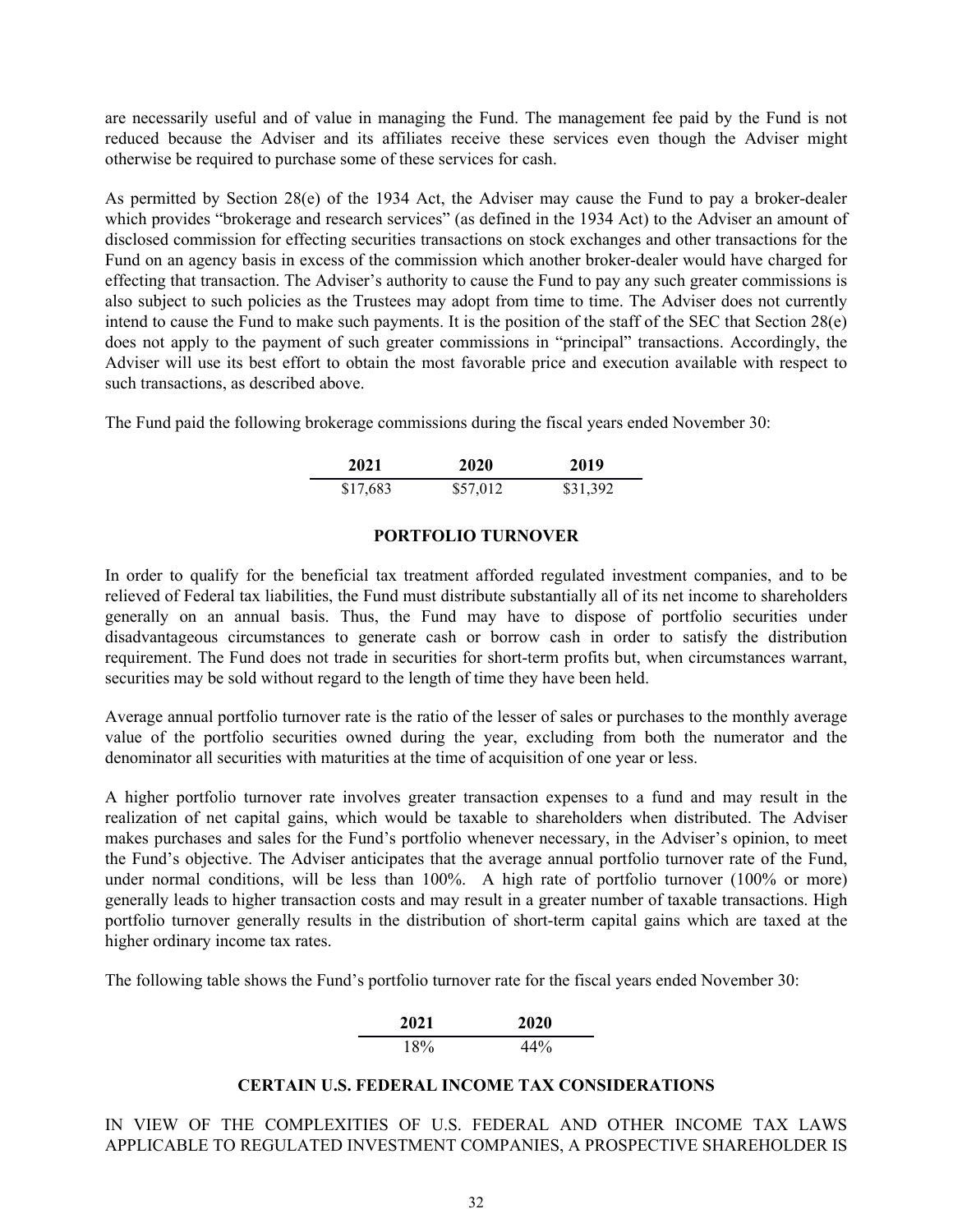<span id="page-34-0"></span>are necessarily useful and of value in managing the Fund. The management fee paid by the Fund is not reduced because the Adviser and its affiliates receive these services even though the Adviser might otherwise be required to purchase some of these services for cash.

As permitted by Section 28(e) of the 1934 Act, the Adviser may cause the Fund to pay a broker-dealer which provides "brokerage and research services" (as defined in the 1934 Act) to the Adviser an amount of disclosed commission for effecting securities transactions on stock exchanges and other transactions for the Fund on an agency basis in excess of the commission which another broker-dealer would have charged for effecting that transaction. The Adviser's authority to cause the Fund to pay any such greater commissions is also subject to such policies as the Trustees may adopt from time to time. The Adviser does not currently intend to cause the Fund to make such payments. It is the position of the staff of the SEC that Section 28(e) does not apply to the payment of such greater commissions in "principal" transactions. Accordingly, the Adviser will use its best effort to obtain the most favorable price and execution available with respect to such transactions, as described above.

The Fund paid the following brokerage commissions during the fiscal years ended November 30:

| 2021     | 2020     | 2019     |
|----------|----------|----------|
| \$17,683 | \$57,012 | \$31,392 |

#### **PORTFOLIO TURNOVER**

In order to qualify for the beneficial tax treatment afforded regulated investment companies, and to be relieved of Federal tax liabilities, the Fund must distribute substantially all of its net income to shareholders generally on an annual basis. Thus, the Fund may have to dispose of portfolio securities under disadvantageous circumstances to generate cash or borrow cash in order to satisfy the distribution requirement. The Fund does not trade in securities for short-term profits but, when circumstances warrant, securities may be sold without regard to the length of time they have been held.

Average annual portfolio turnover rate is the ratio of the lesser of sales or purchases to the monthly average value of the portfolio securities owned during the year, excluding from both the numerator and the denominator all securities with maturities at the time of acquisition of one year or less.

A higher portfolio turnover rate involves greater transaction expenses to a fund and may result in the realization of net capital gains, which would be taxable to shareholders when distributed. The Adviser makes purchases and sales for the Fund's portfolio whenever necessary, in the Adviser's opinion, to meet the Fund's objective. The Adviser anticipates that the average annual portfolio turnover rate of the Fund, under normal conditions, will be less than 100%. A high rate of portfolio turnover (100% or more) generally leads to higher transaction costs and may result in a greater number of taxable transactions. High portfolio turnover generally results in the distribution of short-term capital gains which are taxed at the higher ordinary income tax rates.

The following table shows the Fund's portfolio turnover rate for the fiscal years ended November 30:



### **CERTAIN U.S. FEDERAL INCOME TAX CONSIDERATIONS**

IN VIEW OF THE COMPLEXITIES OF U.S. FEDERAL AND OTHER INCOME TAX LAWS APPLICABLE TO REGULATED INVESTMENT COMPANIES, A PROSPECTIVE SHAREHOLDER IS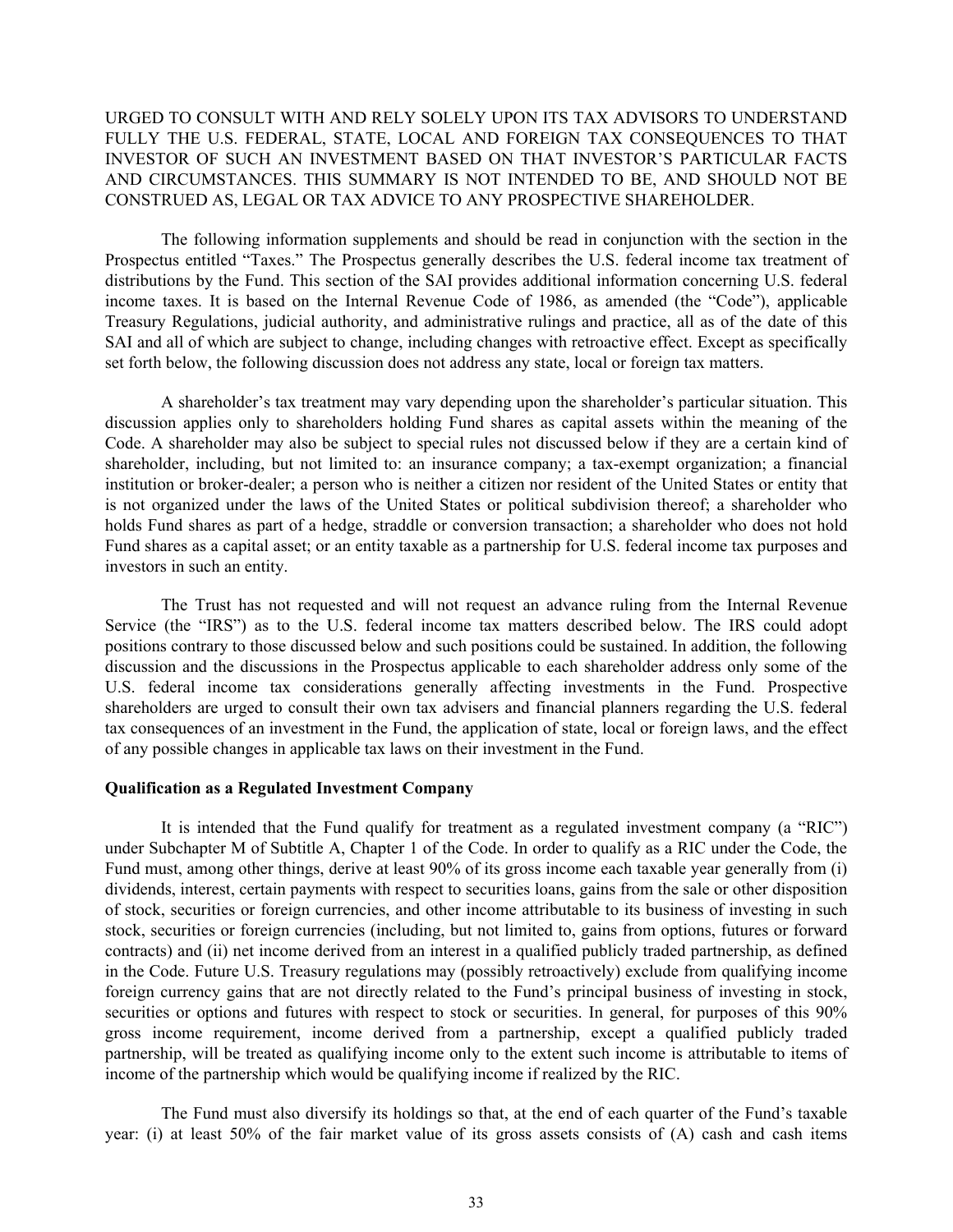## URGED TO CONSULT WITH AND RELY SOLELY UPON ITS TAX ADVISORS TO UNDERSTAND FULLY THE U.S. FEDERAL, STATE, LOCAL AND FOREIGN TAX CONSEQUENCES TO THAT INVESTOR OF SUCH AN INVESTMENT BASED ON THAT INVESTOR'S PARTICULAR FACTS AND CIRCUMSTANCES. THIS SUMMARY IS NOT INTENDED TO BE, AND SHOULD NOT BE CONSTRUED AS, LEGAL OR TAX ADVICE TO ANY PROSPECTIVE SHAREHOLDER.

The following information supplements and should be read in conjunction with the section in the Prospectus entitled "Taxes." The Prospectus generally describes the U.S. federal income tax treatment of distributions by the Fund. This section of the SAI provides additional information concerning U.S. federal income taxes. It is based on the Internal Revenue Code of 1986, as amended (the "Code"), applicable Treasury Regulations, judicial authority, and administrative rulings and practice, all as of the date of this SAI and all of which are subject to change, including changes with retroactive effect. Except as specifically set forth below, the following discussion does not address any state, local or foreign tax matters.

A shareholder's tax treatment may vary depending upon the shareholder's particular situation. This discussion applies only to shareholders holding Fund shares as capital assets within the meaning of the Code. A shareholder may also be subject to special rules not discussed below if they are a certain kind of shareholder, including, but not limited to: an insurance company; a tax-exempt organization; a financial institution or broker-dealer; a person who is neither a citizen nor resident of the United States or entity that is not organized under the laws of the United States or political subdivision thereof; a shareholder who holds Fund shares as part of a hedge, straddle or conversion transaction; a shareholder who does not hold Fund shares as a capital asset; or an entity taxable as a partnership for U.S. federal income tax purposes and investors in such an entity.

The Trust has not requested and will not request an advance ruling from the Internal Revenue Service (the "IRS") as to the U.S. federal income tax matters described below. The IRS could adopt positions contrary to those discussed below and such positions could be sustained. In addition, the following discussion and the discussions in the Prospectus applicable to each shareholder address only some of the U.S. federal income tax considerations generally affecting investments in the Fund. Prospective shareholders are urged to consult their own tax advisers and financial planners regarding the U.S. federal tax consequences of an investment in the Fund, the application of state, local or foreign laws, and the effect of any possible changes in applicable tax laws on their investment in the Fund.

#### **Qualification as a Regulated Investment Company**

It is intended that the Fund qualify for treatment as a regulated investment company (a "RIC") under Subchapter M of Subtitle A, Chapter 1 of the Code. In order to qualify as a RIC under the Code, the Fund must, among other things, derive at least 90% of its gross income each taxable year generally from (i) dividends, interest, certain payments with respect to securities loans, gains from the sale or other disposition of stock, securities or foreign currencies, and other income attributable to its business of investing in such stock, securities or foreign currencies (including, but not limited to, gains from options, futures or forward contracts) and (ii) net income derived from an interest in a qualified publicly traded partnership, as defined in the Code. Future U.S. Treasury regulations may (possibly retroactively) exclude from qualifying income foreign currency gains that are not directly related to the Fund's principal business of investing in stock, securities or options and futures with respect to stock or securities. In general, for purposes of this 90% gross income requirement, income derived from a partnership, except a qualified publicly traded partnership, will be treated as qualifying income only to the extent such income is attributable to items of income of the partnership which would be qualifying income if realized by the RIC.

The Fund must also diversify its holdings so that, at the end of each quarter of the Fund's taxable year: (i) at least 50% of the fair market value of its gross assets consists of (A) cash and cash items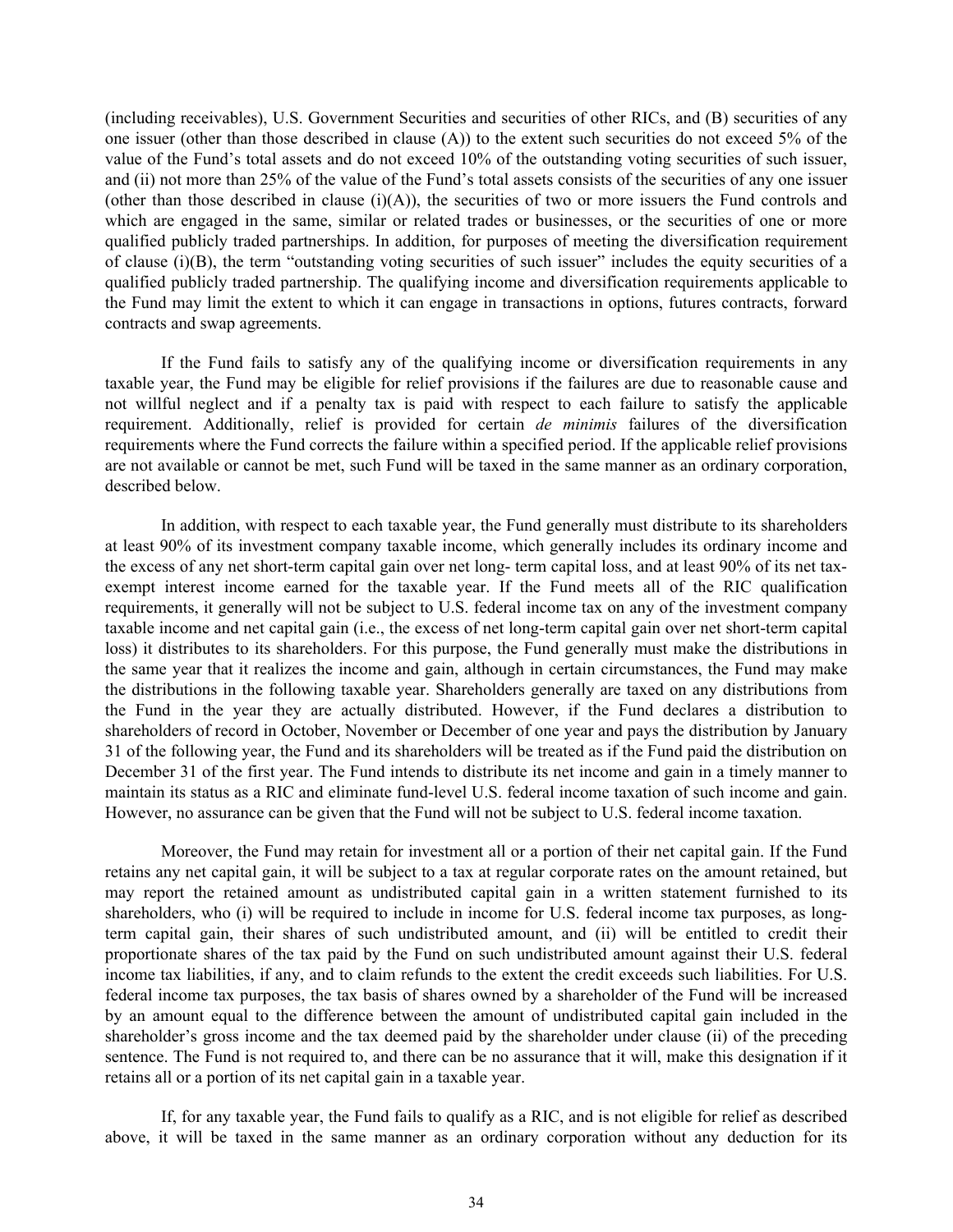(including receivables), U.S. Government Securities and securities of other RICs, and (B) securities of any one issuer (other than those described in clause (A)) to the extent such securities do not exceed 5% of the value of the Fund's total assets and do not exceed 10% of the outstanding voting securities of such issuer, and (ii) not more than 25% of the value of the Fund's total assets consists of the securities of any one issuer (other than those described in clause  $(i)(A)$ ), the securities of two or more issuers the Fund controls and which are engaged in the same, similar or related trades or businesses, or the securities of one or more qualified publicly traded partnerships. In addition, for purposes of meeting the diversification requirement of clause (i)(B), the term "outstanding voting securities of such issuer" includes the equity securities of a qualified publicly traded partnership. The qualifying income and diversification requirements applicable to the Fund may limit the extent to which it can engage in transactions in options, futures contracts, forward contracts and swap agreements.

If the Fund fails to satisfy any of the qualifying income or diversification requirements in any taxable year, the Fund may be eligible for relief provisions if the failures are due to reasonable cause and not willful neglect and if a penalty tax is paid with respect to each failure to satisfy the applicable requirement. Additionally, relief is provided for certain *de minimis* failures of the diversification requirements where the Fund corrects the failure within a specified period. If the applicable relief provisions are not available or cannot be met, such Fund will be taxed in the same manner as an ordinary corporation, described below.

In addition, with respect to each taxable year, the Fund generally must distribute to its shareholders at least 90% of its investment company taxable income, which generally includes its ordinary income and the excess of any net short-term capital gain over net long- term capital loss, and at least 90% of its net taxexempt interest income earned for the taxable year. If the Fund meets all of the RIC qualification requirements, it generally will not be subject to U.S. federal income tax on any of the investment company taxable income and net capital gain (i.e., the excess of net long-term capital gain over net short-term capital loss) it distributes to its shareholders. For this purpose, the Fund generally must make the distributions in the same year that it realizes the income and gain, although in certain circumstances, the Fund may make the distributions in the following taxable year. Shareholders generally are taxed on any distributions from the Fund in the year they are actually distributed. However, if the Fund declares a distribution to shareholders of record in October, November or December of one year and pays the distribution by January 31 of the following year, the Fund and its shareholders will be treated as if the Fund paid the distribution on December 31 of the first year. The Fund intends to distribute its net income and gain in a timely manner to maintain its status as a RIC and eliminate fund-level U.S. federal income taxation of such income and gain. However, no assurance can be given that the Fund will not be subject to U.S. federal income taxation.

Moreover, the Fund may retain for investment all or a portion of their net capital gain. If the Fund retains any net capital gain, it will be subject to a tax at regular corporate rates on the amount retained, but may report the retained amount as undistributed capital gain in a written statement furnished to its shareholders, who (i) will be required to include in income for U.S. federal income tax purposes, as longterm capital gain, their shares of such undistributed amount, and (ii) will be entitled to credit their proportionate shares of the tax paid by the Fund on such undistributed amount against their U.S. federal income tax liabilities, if any, and to claim refunds to the extent the credit exceeds such liabilities. For U.S. federal income tax purposes, the tax basis of shares owned by a shareholder of the Fund will be increased by an amount equal to the difference between the amount of undistributed capital gain included in the shareholder's gross income and the tax deemed paid by the shareholder under clause (ii) of the preceding sentence. The Fund is not required to, and there can be no assurance that it will, make this designation if it retains all or a portion of its net capital gain in a taxable year.

If, for any taxable year, the Fund fails to qualify as a RIC, and is not eligible for relief as described above, it will be taxed in the same manner as an ordinary corporation without any deduction for its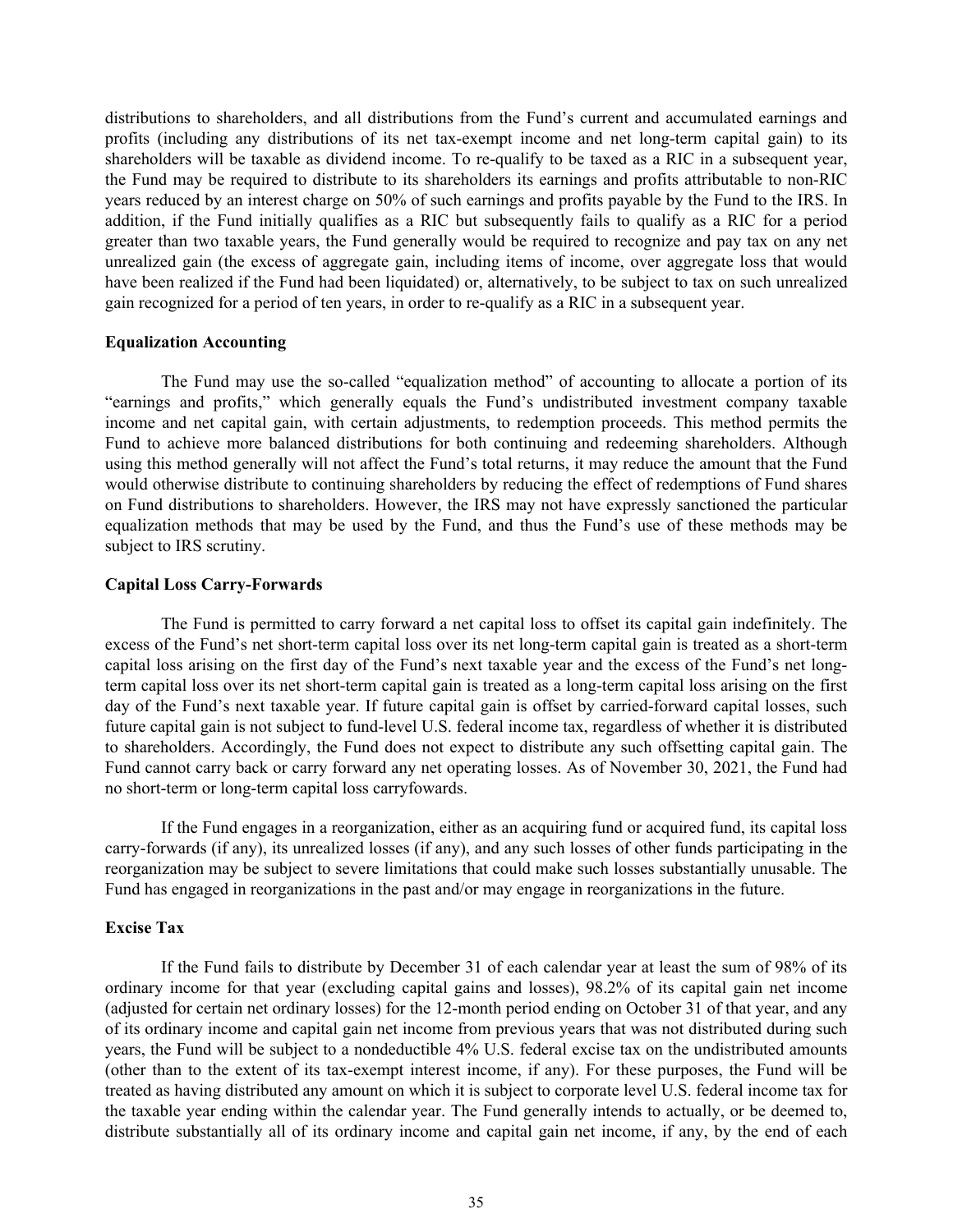distributions to shareholders, and all distributions from the Fund's current and accumulated earnings and profits (including any distributions of its net tax-exempt income and net long-term capital gain) to its shareholders will be taxable as dividend income. To re-qualify to be taxed as a RIC in a subsequent year, the Fund may be required to distribute to its shareholders its earnings and profits attributable to non-RIC years reduced by an interest charge on 50% of such earnings and profits payable by the Fund to the IRS. In addition, if the Fund initially qualifies as a RIC but subsequently fails to qualify as a RIC for a period greater than two taxable years, the Fund generally would be required to recognize and pay tax on any net unrealized gain (the excess of aggregate gain, including items of income, over aggregate loss that would have been realized if the Fund had been liquidated) or, alternatively, to be subject to tax on such unrealized gain recognized for a period of ten years, in order to re-qualify as a RIC in a subsequent year.

#### **Equalization Accounting**

The Fund may use the so-called "equalization method" of accounting to allocate a portion of its "earnings and profits," which generally equals the Fund's undistributed investment company taxable income and net capital gain, with certain adjustments, to redemption proceeds. This method permits the Fund to achieve more balanced distributions for both continuing and redeeming shareholders. Although using this method generally will not affect the Fund's total returns, it may reduce the amount that the Fund would otherwise distribute to continuing shareholders by reducing the effect of redemptions of Fund shares on Fund distributions to shareholders. However, the IRS may not have expressly sanctioned the particular equalization methods that may be used by the Fund, and thus the Fund's use of these methods may be subject to IRS scrutiny.

### **Capital Loss Carry-Forwards**

The Fund is permitted to carry forward a net capital loss to offset its capital gain indefinitely. The excess of the Fund's net short-term capital loss over its net long-term capital gain is treated as a short-term capital loss arising on the first day of the Fund's next taxable year and the excess of the Fund's net longterm capital loss over its net short-term capital gain is treated as a long-term capital loss arising on the first day of the Fund's next taxable year. If future capital gain is offset by carried-forward capital losses, such future capital gain is not subject to fund-level U.S. federal income tax, regardless of whether it is distributed to shareholders. Accordingly, the Fund does not expect to distribute any such offsetting capital gain. The Fund cannot carry back or carry forward any net operating losses. As of November 30, 2021, the Fund had no short-term or long-term capital loss carryfowards.

If the Fund engages in a reorganization, either as an acquiring fund or acquired fund, its capital loss carry-forwards (if any), its unrealized losses (if any), and any such losses of other funds participating in the reorganization may be subject to severe limitations that could make such losses substantially unusable. The Fund has engaged in reorganizations in the past and/or may engage in reorganizations in the future.

#### **Excise Tax**

If the Fund fails to distribute by December 31 of each calendar year at least the sum of 98% of its ordinary income for that year (excluding capital gains and losses), 98.2% of its capital gain net income (adjusted for certain net ordinary losses) for the 12-month period ending on October 31 of that year, and any of its ordinary income and capital gain net income from previous years that was not distributed during such years, the Fund will be subject to a nondeductible 4% U.S. federal excise tax on the undistributed amounts (other than to the extent of its tax-exempt interest income, if any). For these purposes, the Fund will be treated as having distributed any amount on which it is subject to corporate level U.S. federal income tax for the taxable year ending within the calendar year. The Fund generally intends to actually, or be deemed to, distribute substantially all of its ordinary income and capital gain net income, if any, by the end of each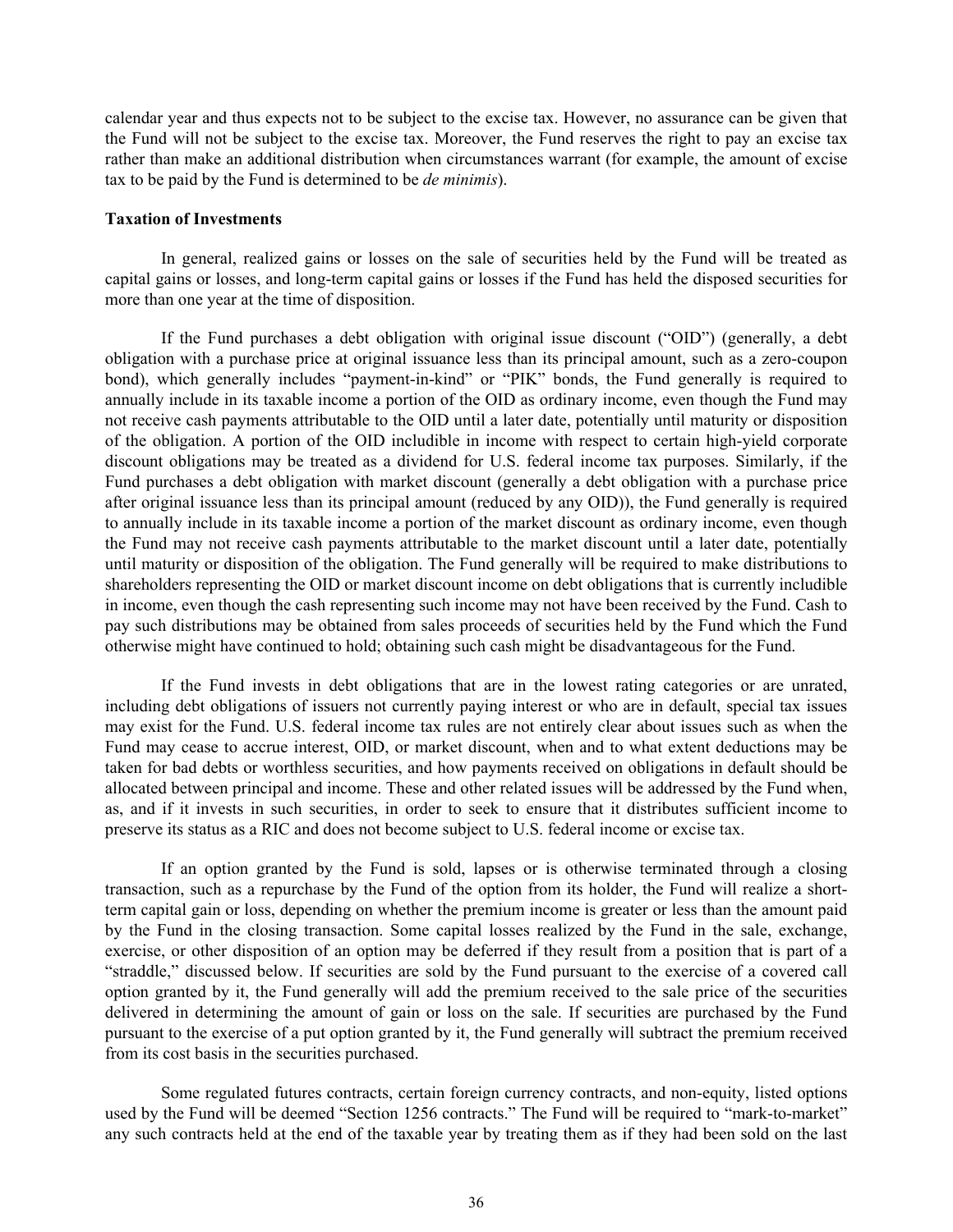calendar year and thus expects not to be subject to the excise tax. However, no assurance can be given that the Fund will not be subject to the excise tax. Moreover, the Fund reserves the right to pay an excise tax rather than make an additional distribution when circumstances warrant (for example, the amount of excise tax to be paid by the Fund is determined to be *de minimis*).

#### **Taxation of Investments**

In general, realized gains or losses on the sale of securities held by the Fund will be treated as capital gains or losses, and long-term capital gains or losses if the Fund has held the disposed securities for more than one year at the time of disposition.

If the Fund purchases a debt obligation with original issue discount ("OID") (generally, a debt obligation with a purchase price at original issuance less than its principal amount, such as a zero-coupon bond), which generally includes "payment-in-kind" or "PIK" bonds, the Fund generally is required to annually include in its taxable income a portion of the OID as ordinary income, even though the Fund may not receive cash payments attributable to the OID until a later date, potentially until maturity or disposition of the obligation. A portion of the OID includible in income with respect to certain high-yield corporate discount obligations may be treated as a dividend for U.S. federal income tax purposes. Similarly, if the Fund purchases a debt obligation with market discount (generally a debt obligation with a purchase price after original issuance less than its principal amount (reduced by any OID)), the Fund generally is required to annually include in its taxable income a portion of the market discount as ordinary income, even though the Fund may not receive cash payments attributable to the market discount until a later date, potentially until maturity or disposition of the obligation. The Fund generally will be required to make distributions to shareholders representing the OID or market discount income on debt obligations that is currently includible in income, even though the cash representing such income may not have been received by the Fund. Cash to pay such distributions may be obtained from sales proceeds of securities held by the Fund which the Fund otherwise might have continued to hold; obtaining such cash might be disadvantageous for the Fund.

If the Fund invests in debt obligations that are in the lowest rating categories or are unrated, including debt obligations of issuers not currently paying interest or who are in default, special tax issues may exist for the Fund. U.S. federal income tax rules are not entirely clear about issues such as when the Fund may cease to accrue interest, OID, or market discount, when and to what extent deductions may be taken for bad debts or worthless securities, and how payments received on obligations in default should be allocated between principal and income. These and other related issues will be addressed by the Fund when, as, and if it invests in such securities, in order to seek to ensure that it distributes sufficient income to preserve its status as a RIC and does not become subject to U.S. federal income or excise tax.

If an option granted by the Fund is sold, lapses or is otherwise terminated through a closing transaction, such as a repurchase by the Fund of the option from its holder, the Fund will realize a shortterm capital gain or loss, depending on whether the premium income is greater or less than the amount paid by the Fund in the closing transaction. Some capital losses realized by the Fund in the sale, exchange, exercise, or other disposition of an option may be deferred if they result from a position that is part of a "straddle," discussed below. If securities are sold by the Fund pursuant to the exercise of a covered call option granted by it, the Fund generally will add the premium received to the sale price of the securities delivered in determining the amount of gain or loss on the sale. If securities are purchased by the Fund pursuant to the exercise of a put option granted by it, the Fund generally will subtract the premium received from its cost basis in the securities purchased.

Some regulated futures contracts, certain foreign currency contracts, and non-equity, listed options used by the Fund will be deemed "Section 1256 contracts." The Fund will be required to "mark-to-market" any such contracts held at the end of the taxable year by treating them as if they had been sold on the last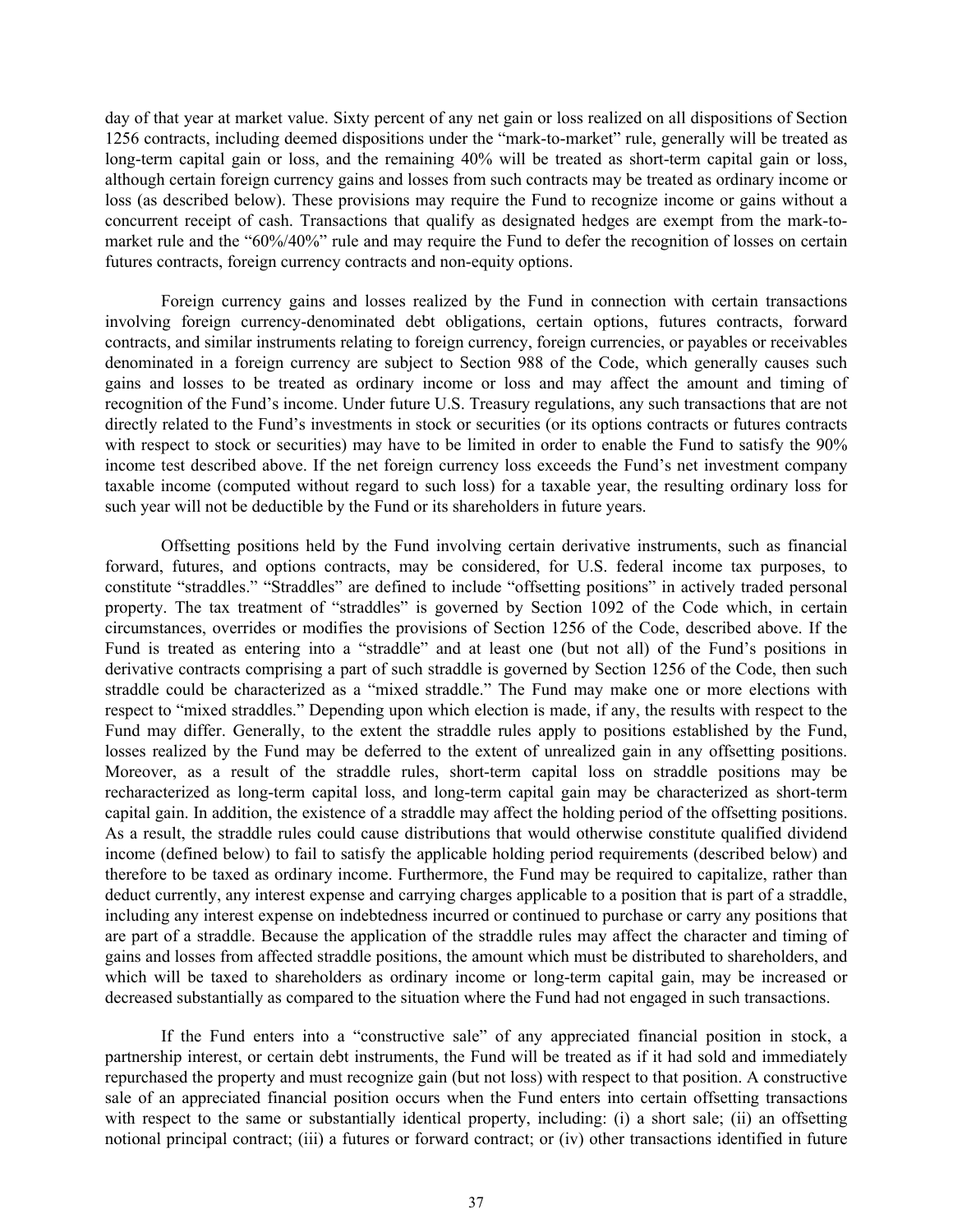day of that year at market value. Sixty percent of any net gain or loss realized on all dispositions of Section 1256 contracts, including deemed dispositions under the "mark-to-market" rule, generally will be treated as long-term capital gain or loss, and the remaining 40% will be treated as short-term capital gain or loss, although certain foreign currency gains and losses from such contracts may be treated as ordinary income or loss (as described below). These provisions may require the Fund to recognize income or gains without a concurrent receipt of cash. Transactions that qualify as designated hedges are exempt from the mark-tomarket rule and the "60%/40%" rule and may require the Fund to defer the recognition of losses on certain futures contracts, foreign currency contracts and non-equity options.

Foreign currency gains and losses realized by the Fund in connection with certain transactions involving foreign currency-denominated debt obligations, certain options, futures contracts, forward contracts, and similar instruments relating to foreign currency, foreign currencies, or payables or receivables denominated in a foreign currency are subject to Section 988 of the Code, which generally causes such gains and losses to be treated as ordinary income or loss and may affect the amount and timing of recognition of the Fund's income. Under future U.S. Treasury regulations, any such transactions that are not directly related to the Fund's investments in stock or securities (or its options contracts or futures contracts with respect to stock or securities) may have to be limited in order to enable the Fund to satisfy the 90% income test described above. If the net foreign currency loss exceeds the Fund's net investment company taxable income (computed without regard to such loss) for a taxable year, the resulting ordinary loss for such year will not be deductible by the Fund or its shareholders in future years.

Offsetting positions held by the Fund involving certain derivative instruments, such as financial forward, futures, and options contracts, may be considered, for U.S. federal income tax purposes, to constitute "straddles." "Straddles" are defined to include "offsetting positions" in actively traded personal property. The tax treatment of "straddles" is governed by Section 1092 of the Code which, in certain circumstances, overrides or modifies the provisions of Section 1256 of the Code, described above. If the Fund is treated as entering into a "straddle" and at least one (but not all) of the Fund's positions in derivative contracts comprising a part of such straddle is governed by Section 1256 of the Code, then such straddle could be characterized as a "mixed straddle." The Fund may make one or more elections with respect to "mixed straddles." Depending upon which election is made, if any, the results with respect to the Fund may differ. Generally, to the extent the straddle rules apply to positions established by the Fund, losses realized by the Fund may be deferred to the extent of unrealized gain in any offsetting positions. Moreover, as a result of the straddle rules, short-term capital loss on straddle positions may be recharacterized as long-term capital loss, and long-term capital gain may be characterized as short-term capital gain. In addition, the existence of a straddle may affect the holding period of the offsetting positions. As a result, the straddle rules could cause distributions that would otherwise constitute qualified dividend income (defined below) to fail to satisfy the applicable holding period requirements (described below) and therefore to be taxed as ordinary income. Furthermore, the Fund may be required to capitalize, rather than deduct currently, any interest expense and carrying charges applicable to a position that is part of a straddle, including any interest expense on indebtedness incurred or continued to purchase or carry any positions that are part of a straddle. Because the application of the straddle rules may affect the character and timing of gains and losses from affected straddle positions, the amount which must be distributed to shareholders, and which will be taxed to shareholders as ordinary income or long-term capital gain, may be increased or decreased substantially as compared to the situation where the Fund had not engaged in such transactions.

If the Fund enters into a "constructive sale" of any appreciated financial position in stock, a partnership interest, or certain debt instruments, the Fund will be treated as if it had sold and immediately repurchased the property and must recognize gain (but not loss) with respect to that position. A constructive sale of an appreciated financial position occurs when the Fund enters into certain offsetting transactions with respect to the same or substantially identical property, including: (i) a short sale; (ii) an offsetting notional principal contract; (iii) a futures or forward contract; or (iv) other transactions identified in future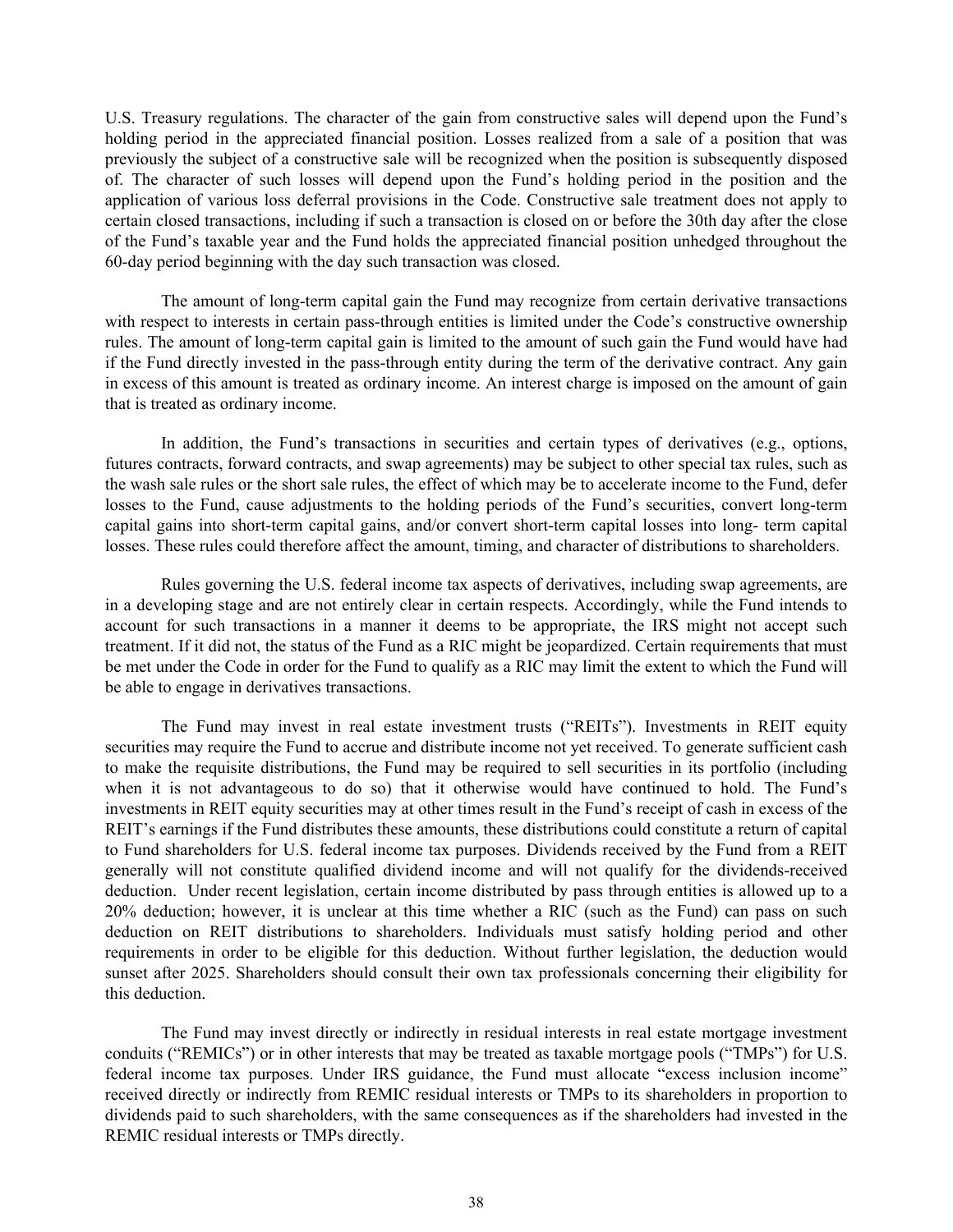U.S. Treasury regulations. The character of the gain from constructive sales will depend upon the Fund's holding period in the appreciated financial position. Losses realized from a sale of a position that was previously the subject of a constructive sale will be recognized when the position is subsequently disposed of. The character of such losses will depend upon the Fund's holding period in the position and the application of various loss deferral provisions in the Code. Constructive sale treatment does not apply to certain closed transactions, including if such a transaction is closed on or before the 30th day after the close of the Fund's taxable year and the Fund holds the appreciated financial position unhedged throughout the 60-day period beginning with the day such transaction was closed.

The amount of long-term capital gain the Fund may recognize from certain derivative transactions with respect to interests in certain pass-through entities is limited under the Code's constructive ownership rules. The amount of long-term capital gain is limited to the amount of such gain the Fund would have had if the Fund directly invested in the pass-through entity during the term of the derivative contract. Any gain in excess of this amount is treated as ordinary income. An interest charge is imposed on the amount of gain that is treated as ordinary income.

In addition, the Fund's transactions in securities and certain types of derivatives (e.g., options, futures contracts, forward contracts, and swap agreements) may be subject to other special tax rules, such as the wash sale rules or the short sale rules, the effect of which may be to accelerate income to the Fund, defer losses to the Fund, cause adjustments to the holding periods of the Fund's securities, convert long-term capital gains into short-term capital gains, and/or convert short-term capital losses into long- term capital losses. These rules could therefore affect the amount, timing, and character of distributions to shareholders.

Rules governing the U.S. federal income tax aspects of derivatives, including swap agreements, are in a developing stage and are not entirely clear in certain respects. Accordingly, while the Fund intends to account for such transactions in a manner it deems to be appropriate, the IRS might not accept such treatment. If it did not, the status of the Fund as a RIC might be jeopardized. Certain requirements that must be met under the Code in order for the Fund to qualify as a RIC may limit the extent to which the Fund will be able to engage in derivatives transactions.

The Fund may invest in real estate investment trusts ("REITs"). Investments in REIT equity securities may require the Fund to accrue and distribute income not yet received. To generate sufficient cash to make the requisite distributions, the Fund may be required to sell securities in its portfolio (including when it is not advantageous to do so) that it otherwise would have continued to hold. The Fund's investments in REIT equity securities may at other times result in the Fund's receipt of cash in excess of the REIT's earnings if the Fund distributes these amounts, these distributions could constitute a return of capital to Fund shareholders for U.S. federal income tax purposes. Dividends received by the Fund from a REIT generally will not constitute qualified dividend income and will not qualify for the dividends-received deduction. Under recent legislation, certain income distributed by pass through entities is allowed up to a 20% deduction; however, it is unclear at this time whether a RIC (such as the Fund) can pass on such deduction on REIT distributions to shareholders. Individuals must satisfy holding period and other requirements in order to be eligible for this deduction. Without further legislation, the deduction would sunset after 2025. Shareholders should consult their own tax professionals concerning their eligibility for this deduction.

The Fund may invest directly or indirectly in residual interests in real estate mortgage investment conduits ("REMICs") or in other interests that may be treated as taxable mortgage pools ("TMPs") for U.S. federal income tax purposes. Under IRS guidance, the Fund must allocate "excess inclusion income" received directly or indirectly from REMIC residual interests or TMPs to its shareholders in proportion to dividends paid to such shareholders, with the same consequences as if the shareholders had invested in the REMIC residual interests or TMPs directly.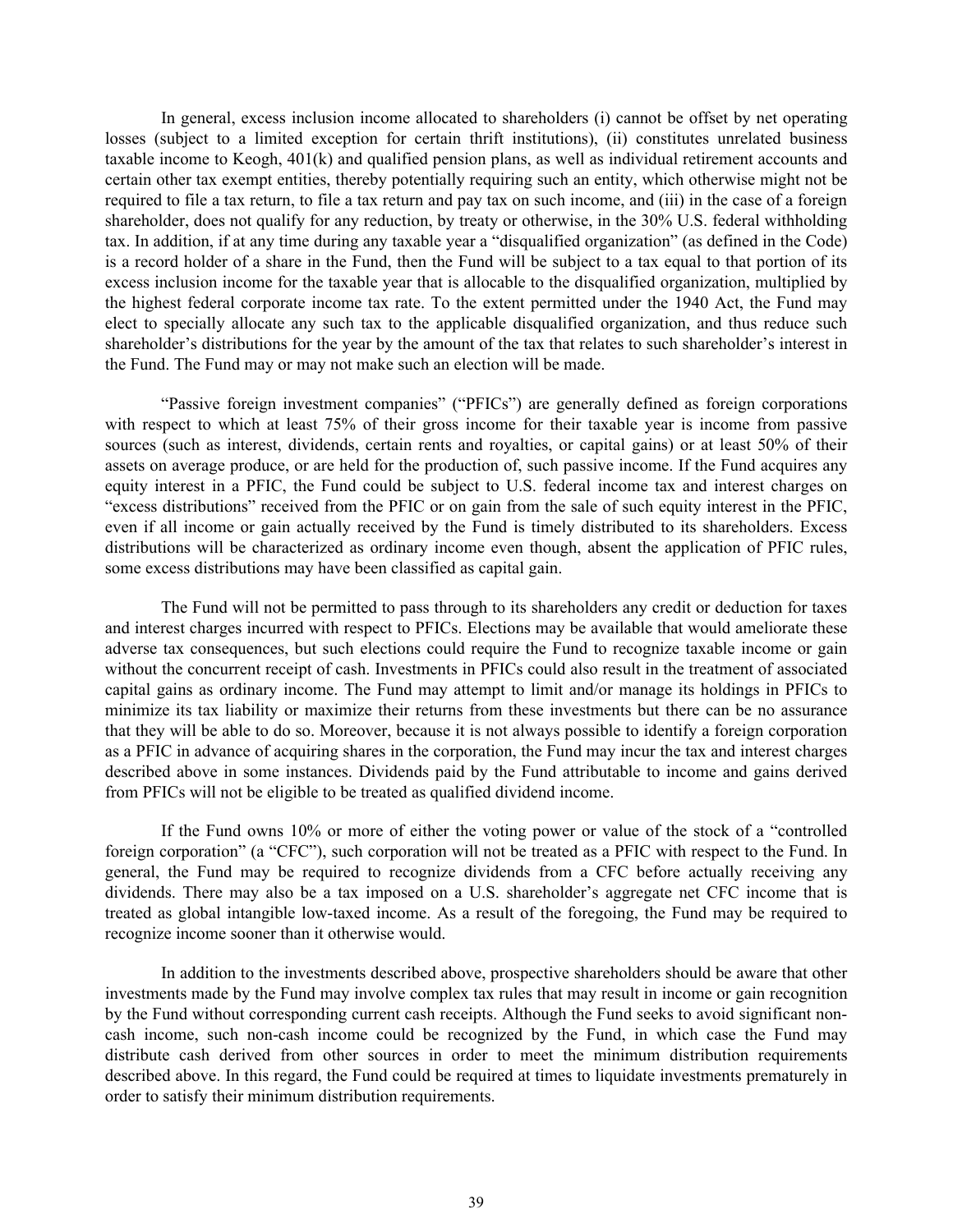In general, excess inclusion income allocated to shareholders (i) cannot be offset by net operating losses (subject to a limited exception for certain thrift institutions), (ii) constitutes unrelated business taxable income to Keogh, 401(k) and qualified pension plans, as well as individual retirement accounts and certain other tax exempt entities, thereby potentially requiring such an entity, which otherwise might not be required to file a tax return, to file a tax return and pay tax on such income, and (iii) in the case of a foreign shareholder, does not qualify for any reduction, by treaty or otherwise, in the 30% U.S. federal withholding tax. In addition, if at any time during any taxable year a "disqualified organization" (as defined in the Code) is a record holder of a share in the Fund, then the Fund will be subject to a tax equal to that portion of its excess inclusion income for the taxable year that is allocable to the disqualified organization, multiplied by the highest federal corporate income tax rate. To the extent permitted under the 1940 Act, the Fund may elect to specially allocate any such tax to the applicable disqualified organization, and thus reduce such shareholder's distributions for the year by the amount of the tax that relates to such shareholder's interest in the Fund. The Fund may or may not make such an election will be made.

"Passive foreign investment companies" ("PFICs") are generally defined as foreign corporations with respect to which at least 75% of their gross income for their taxable year is income from passive sources (such as interest, dividends, certain rents and royalties, or capital gains) or at least 50% of their assets on average produce, or are held for the production of, such passive income. If the Fund acquires any equity interest in a PFIC, the Fund could be subject to U.S. federal income tax and interest charges on "excess distributions" received from the PFIC or on gain from the sale of such equity interest in the PFIC, even if all income or gain actually received by the Fund is timely distributed to its shareholders. Excess distributions will be characterized as ordinary income even though, absent the application of PFIC rules, some excess distributions may have been classified as capital gain.

The Fund will not be permitted to pass through to its shareholders any credit or deduction for taxes and interest charges incurred with respect to PFICs. Elections may be available that would ameliorate these adverse tax consequences, but such elections could require the Fund to recognize taxable income or gain without the concurrent receipt of cash. Investments in PFICs could also result in the treatment of associated capital gains as ordinary income. The Fund may attempt to limit and/or manage its holdings in PFICs to minimize its tax liability or maximize their returns from these investments but there can be no assurance that they will be able to do so. Moreover, because it is not always possible to identify a foreign corporation as a PFIC in advance of acquiring shares in the corporation, the Fund may incur the tax and interest charges described above in some instances. Dividends paid by the Fund attributable to income and gains derived from PFICs will not be eligible to be treated as qualified dividend income.

If the Fund owns 10% or more of either the voting power or value of the stock of a "controlled foreign corporation" (a "CFC"), such corporation will not be treated as a PFIC with respect to the Fund. In general, the Fund may be required to recognize dividends from a CFC before actually receiving any dividends. There may also be a tax imposed on a U.S. shareholder's aggregate net CFC income that is treated as global intangible low-taxed income. As a result of the foregoing, the Fund may be required to recognize income sooner than it otherwise would.

In addition to the investments described above, prospective shareholders should be aware that other investments made by the Fund may involve complex tax rules that may result in income or gain recognition by the Fund without corresponding current cash receipts. Although the Fund seeks to avoid significant noncash income, such non-cash income could be recognized by the Fund, in which case the Fund may distribute cash derived from other sources in order to meet the minimum distribution requirements described above. In this regard, the Fund could be required at times to liquidate investments prematurely in order to satisfy their minimum distribution requirements.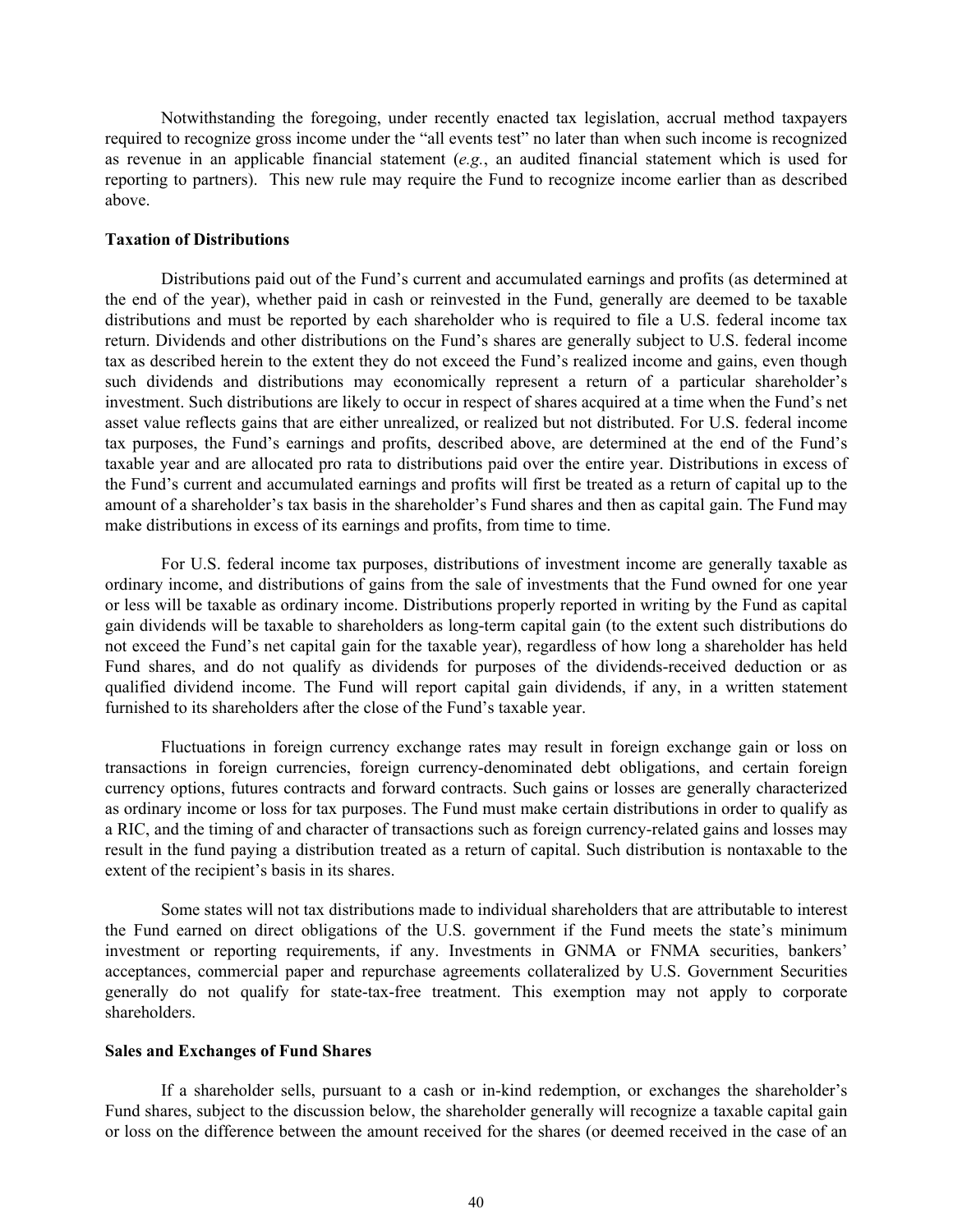Notwithstanding the foregoing, under recently enacted tax legislation, accrual method taxpayers required to recognize gross income under the "all events test" no later than when such income is recognized as revenue in an applicable financial statement (*e.g.*, an audited financial statement which is used for reporting to partners). This new rule may require the Fund to recognize income earlier than as described above.

### **Taxation of Distributions**

Distributions paid out of the Fund's current and accumulated earnings and profits (as determined at the end of the year), whether paid in cash or reinvested in the Fund, generally are deemed to be taxable distributions and must be reported by each shareholder who is required to file a U.S. federal income tax return. Dividends and other distributions on the Fund's shares are generally subject to U.S. federal income tax as described herein to the extent they do not exceed the Fund's realized income and gains, even though such dividends and distributions may economically represent a return of a particular shareholder's investment. Such distributions are likely to occur in respect of shares acquired at a time when the Fund's net asset value reflects gains that are either unrealized, or realized but not distributed. For U.S. federal income tax purposes, the Fund's earnings and profits, described above, are determined at the end of the Fund's taxable year and are allocated pro rata to distributions paid over the entire year. Distributions in excess of the Fund's current and accumulated earnings and profits will first be treated as a return of capital up to the amount of a shareholder's tax basis in the shareholder's Fund shares and then as capital gain. The Fund may make distributions in excess of its earnings and profits, from time to time.

For U.S. federal income tax purposes, distributions of investment income are generally taxable as ordinary income, and distributions of gains from the sale of investments that the Fund owned for one year or less will be taxable as ordinary income. Distributions properly reported in writing by the Fund as capital gain dividends will be taxable to shareholders as long-term capital gain (to the extent such distributions do not exceed the Fund's net capital gain for the taxable year), regardless of how long a shareholder has held Fund shares, and do not qualify as dividends for purposes of the dividends-received deduction or as qualified dividend income. The Fund will report capital gain dividends, if any, in a written statement furnished to its shareholders after the close of the Fund's taxable year.

Fluctuations in foreign currency exchange rates may result in foreign exchange gain or loss on transactions in foreign currencies, foreign currency-denominated debt obligations, and certain foreign currency options, futures contracts and forward contracts. Such gains or losses are generally characterized as ordinary income or loss for tax purposes. The Fund must make certain distributions in order to qualify as a RIC, and the timing of and character of transactions such as foreign currency-related gains and losses may result in the fund paying a distribution treated as a return of capital. Such distribution is nontaxable to the extent of the recipient's basis in its shares.

Some states will not tax distributions made to individual shareholders that are attributable to interest the Fund earned on direct obligations of the U.S. government if the Fund meets the state's minimum investment or reporting requirements, if any. Investments in GNMA or FNMA securities, bankers' acceptances, commercial paper and repurchase agreements collateralized by U.S. Government Securities generally do not qualify for state-tax-free treatment. This exemption may not apply to corporate shareholders.

#### **Sales and Exchanges of Fund Shares**

If a shareholder sells, pursuant to a cash or in-kind redemption, or exchanges the shareholder's Fund shares, subject to the discussion below, the shareholder generally will recognize a taxable capital gain or loss on the difference between the amount received for the shares (or deemed received in the case of an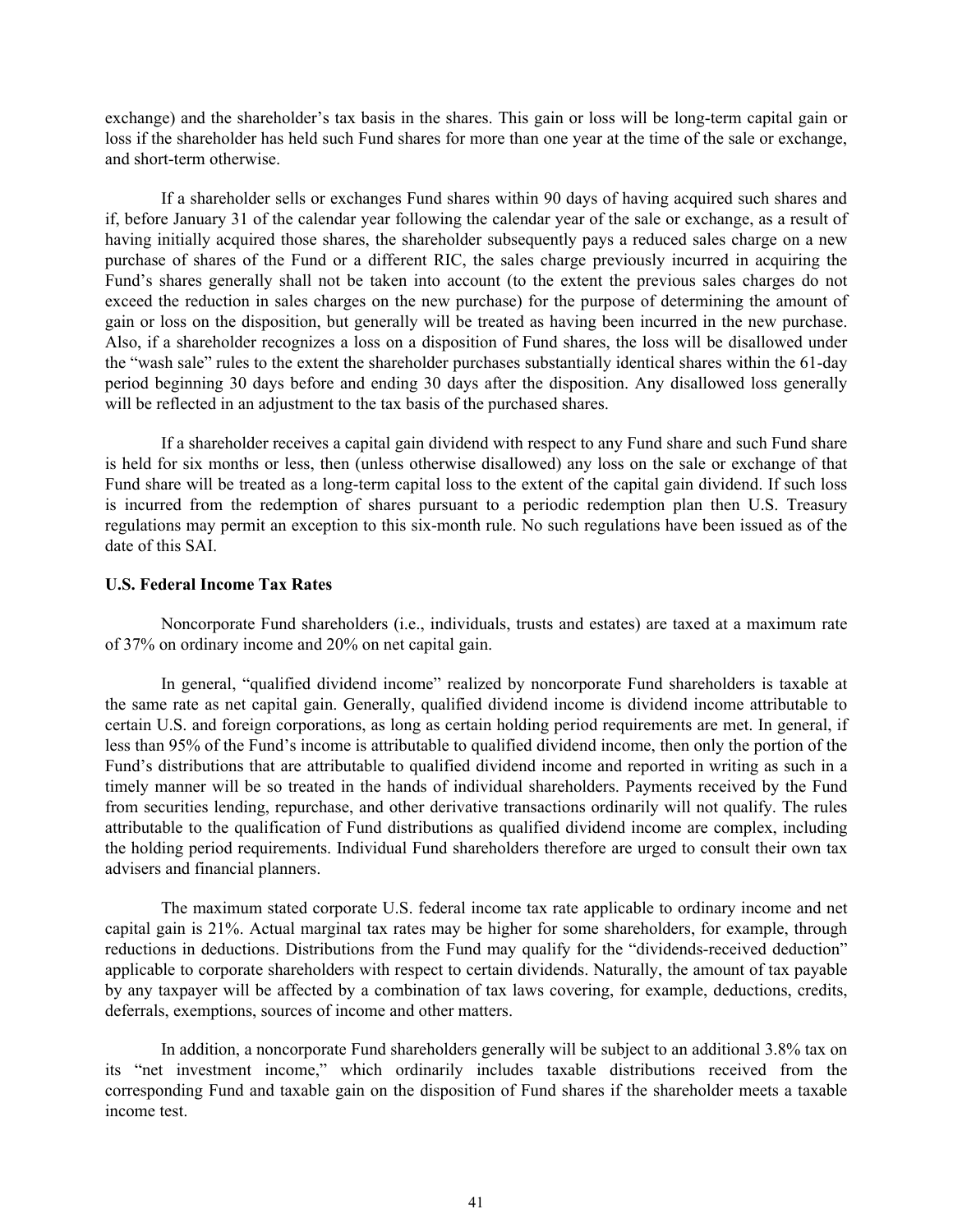exchange) and the shareholder's tax basis in the shares. This gain or loss will be long-term capital gain or loss if the shareholder has held such Fund shares for more than one year at the time of the sale or exchange, and short-term otherwise.

If a shareholder sells or exchanges Fund shares within 90 days of having acquired such shares and if, before January 31 of the calendar year following the calendar year of the sale or exchange, as a result of having initially acquired those shares, the shareholder subsequently pays a reduced sales charge on a new purchase of shares of the Fund or a different RIC, the sales charge previously incurred in acquiring the Fund's shares generally shall not be taken into account (to the extent the previous sales charges do not exceed the reduction in sales charges on the new purchase) for the purpose of determining the amount of gain or loss on the disposition, but generally will be treated as having been incurred in the new purchase. Also, if a shareholder recognizes a loss on a disposition of Fund shares, the loss will be disallowed under the "wash sale" rules to the extent the shareholder purchases substantially identical shares within the 61-day period beginning 30 days before and ending 30 days after the disposition. Any disallowed loss generally will be reflected in an adjustment to the tax basis of the purchased shares.

If a shareholder receives a capital gain dividend with respect to any Fund share and such Fund share is held for six months or less, then (unless otherwise disallowed) any loss on the sale or exchange of that Fund share will be treated as a long-term capital loss to the extent of the capital gain dividend. If such loss is incurred from the redemption of shares pursuant to a periodic redemption plan then U.S. Treasury regulations may permit an exception to this six-month rule. No such regulations have been issued as of the date of this SAI.

#### **U.S. Federal Income Tax Rates**

Noncorporate Fund shareholders (i.e., individuals, trusts and estates) are taxed at a maximum rate of 37% on ordinary income and 20% on net capital gain.

In general, "qualified dividend income" realized by noncorporate Fund shareholders is taxable at the same rate as net capital gain. Generally, qualified dividend income is dividend income attributable to certain U.S. and foreign corporations, as long as certain holding period requirements are met. In general, if less than 95% of the Fund's income is attributable to qualified dividend income, then only the portion of the Fund's distributions that are attributable to qualified dividend income and reported in writing as such in a timely manner will be so treated in the hands of individual shareholders. Payments received by the Fund from securities lending, repurchase, and other derivative transactions ordinarily will not qualify. The rules attributable to the qualification of Fund distributions as qualified dividend income are complex, including the holding period requirements. Individual Fund shareholders therefore are urged to consult their own tax advisers and financial planners.

The maximum stated corporate U.S. federal income tax rate applicable to ordinary income and net capital gain is 21%. Actual marginal tax rates may be higher for some shareholders, for example, through reductions in deductions. Distributions from the Fund may qualify for the "dividends-received deduction" applicable to corporate shareholders with respect to certain dividends. Naturally, the amount of tax payable by any taxpayer will be affected by a combination of tax laws covering, for example, deductions, credits, deferrals, exemptions, sources of income and other matters.

In addition, a noncorporate Fund shareholders generally will be subject to an additional 3.8% tax on its "net investment income," which ordinarily includes taxable distributions received from the corresponding Fund and taxable gain on the disposition of Fund shares if the shareholder meets a taxable income test.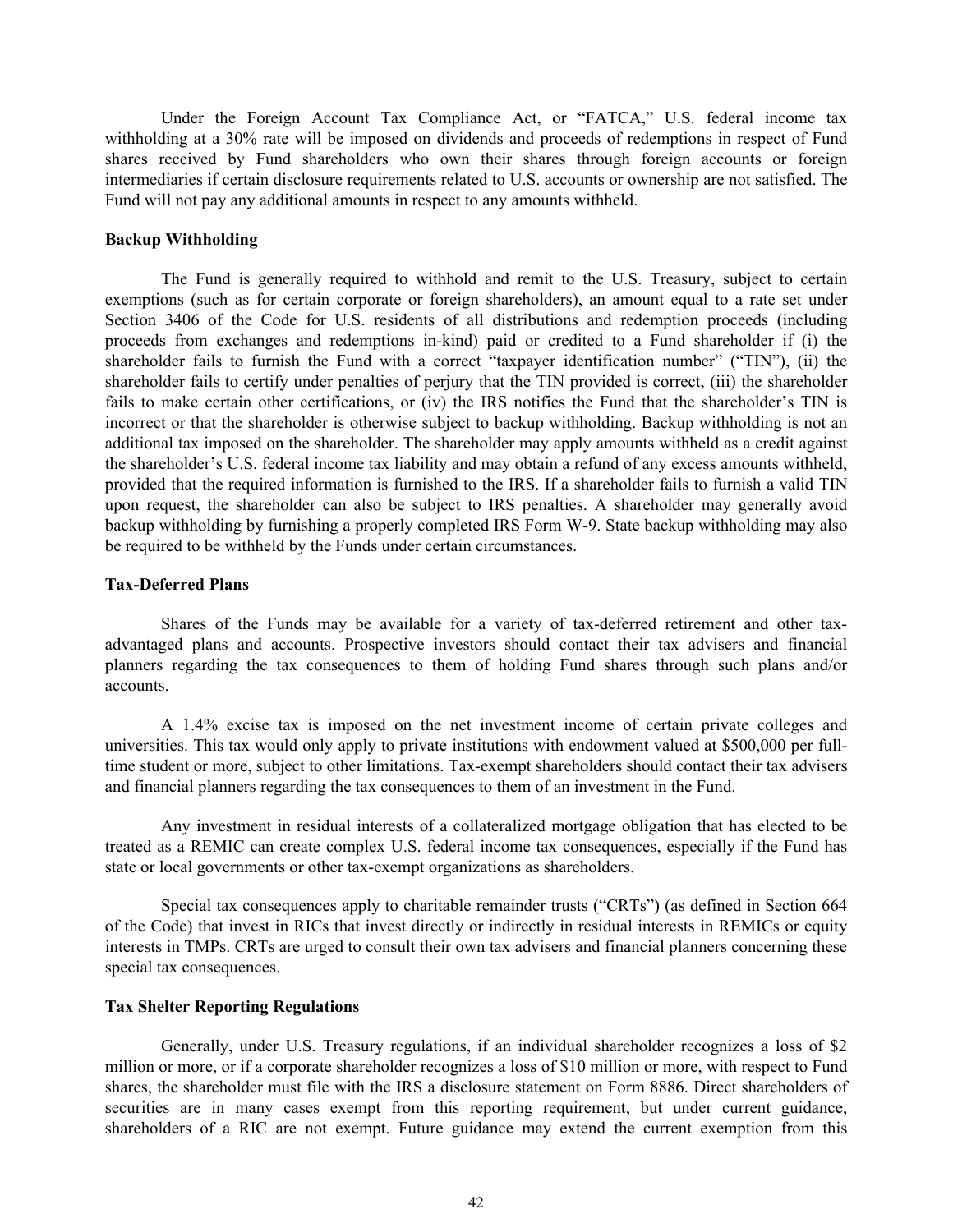Under the Foreign Account Tax Compliance Act, or "FATCA," U.S. federal income tax withholding at a 30% rate will be imposed on dividends and proceeds of redemptions in respect of Fund shares received by Fund shareholders who own their shares through foreign accounts or foreign intermediaries if certain disclosure requirements related to U.S. accounts or ownership are not satisfied. The Fund will not pay any additional amounts in respect to any amounts withheld.

### **Backup Withholding**

The Fund is generally required to withhold and remit to the U.S. Treasury, subject to certain exemptions (such as for certain corporate or foreign shareholders), an amount equal to a rate set under Section 3406 of the Code for U.S. residents of all distributions and redemption proceeds (including proceeds from exchanges and redemptions in-kind) paid or credited to a Fund shareholder if (i) the shareholder fails to furnish the Fund with a correct "taxpayer identification number" ("TIN"), (ii) the shareholder fails to certify under penalties of perjury that the TIN provided is correct, (iii) the shareholder fails to make certain other certifications, or (iv) the IRS notifies the Fund that the shareholder's TIN is incorrect or that the shareholder is otherwise subject to backup withholding. Backup withholding is not an additional tax imposed on the shareholder. The shareholder may apply amounts withheld as a credit against the shareholder's U.S. federal income tax liability and may obtain a refund of any excess amounts withheld, provided that the required information is furnished to the IRS. If a shareholder fails to furnish a valid TIN upon request, the shareholder can also be subject to IRS penalties. A shareholder may generally avoid backup withholding by furnishing a properly completed IRS Form W-9. State backup withholding may also be required to be withheld by the Funds under certain circumstances.

#### **Tax-Deferred Plans**

Shares of the Funds may be available for a variety of tax-deferred retirement and other taxadvantaged plans and accounts. Prospective investors should contact their tax advisers and financial planners regarding the tax consequences to them of holding Fund shares through such plans and/or accounts.

A 1.4% excise tax is imposed on the net investment income of certain private colleges and universities. This tax would only apply to private institutions with endowment valued at \$500,000 per fulltime student or more, subject to other limitations. Tax-exempt shareholders should contact their tax advisers and financial planners regarding the tax consequences to them of an investment in the Fund.

Any investment in residual interests of a collateralized mortgage obligation that has elected to be treated as a REMIC can create complex U.S. federal income tax consequences, especially if the Fund has state or local governments or other tax-exempt organizations as shareholders.

Special tax consequences apply to charitable remainder trusts ("CRTs") (as defined in Section 664 of the Code) that invest in RICs that invest directly or indirectly in residual interests in REMICs or equity interests in TMPs. CRTs are urged to consult their own tax advisers and financial planners concerning these special tax consequences.

#### **Tax Shelter Reporting Regulations**

Generally, under U.S. Treasury regulations, if an individual shareholder recognizes a loss of \$2 million or more, or if a corporate shareholder recognizes a loss of \$10 million or more, with respect to Fund shares, the shareholder must file with the IRS a disclosure statement on Form 8886. Direct shareholders of securities are in many cases exempt from this reporting requirement, but under current guidance, shareholders of a RIC are not exempt. Future guidance may extend the current exemption from this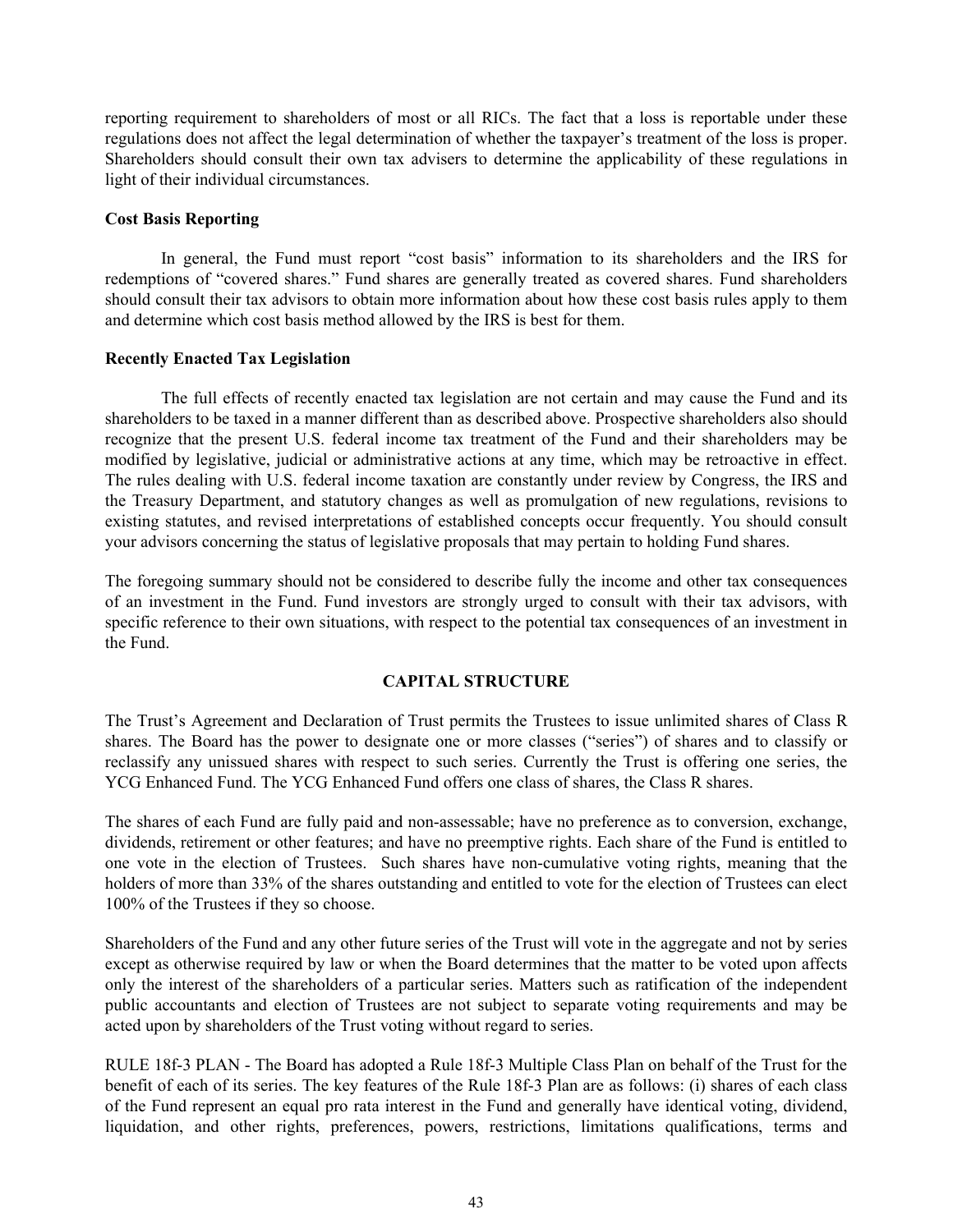<span id="page-45-0"></span>reporting requirement to shareholders of most or all RICs. The fact that a loss is reportable under these regulations does not affect the legal determination of whether the taxpayer's treatment of the loss is proper. Shareholders should consult their own tax advisers to determine the applicability of these regulations in light of their individual circumstances.

#### **Cost Basis Reporting**

In general, the Fund must report "cost basis" information to its shareholders and the IRS for redemptions of "covered shares." Fund shares are generally treated as covered shares. Fund shareholders should consult their tax advisors to obtain more information about how these cost basis rules apply to them and determine which cost basis method allowed by the IRS is best for them.

#### **Recently Enacted Tax Legislation**

The full effects of recently enacted tax legislation are not certain and may cause the Fund and its shareholders to be taxed in a manner different than as described above. Prospective shareholders also should recognize that the present U.S. federal income tax treatment of the Fund and their shareholders may be modified by legislative, judicial or administrative actions at any time, which may be retroactive in effect. The rules dealing with U.S. federal income taxation are constantly under review by Congress, the IRS and the Treasury Department, and statutory changes as well as promulgation of new regulations, revisions to existing statutes, and revised interpretations of established concepts occur frequently. You should consult your advisors concerning the status of legislative proposals that may pertain to holding Fund shares.

The foregoing summary should not be considered to describe fully the income and other tax consequences of an investment in the Fund. Fund investors are strongly urged to consult with their tax advisors, with specific reference to their own situations, with respect to the potential tax consequences of an investment in the Fund.

### **CAPITAL STRUCTURE**

The Trust's Agreement and Declaration of Trust permits the Trustees to issue unlimited shares of Class R shares. The Board has the power to designate one or more classes ("series") of shares and to classify or reclassify any unissued shares with respect to such series. Currently the Trust is offering one series, the YCG Enhanced Fund. The YCG Enhanced Fund offers one class of shares, the Class R shares.

The shares of each Fund are fully paid and non-assessable; have no preference as to conversion, exchange, dividends, retirement or other features; and have no preemptive rights. Each share of the Fund is entitled to one vote in the election of Trustees. Such shares have non-cumulative voting rights, meaning that the holders of more than 33% of the shares outstanding and entitled to vote for the election of Trustees can elect 100% of the Trustees if they so choose.

Shareholders of the Fund and any other future series of the Trust will vote in the aggregate and not by series except as otherwise required by law or when the Board determines that the matter to be voted upon affects only the interest of the shareholders of a particular series. Matters such as ratification of the independent public accountants and election of Trustees are not subject to separate voting requirements and may be acted upon by shareholders of the Trust voting without regard to series.

RULE 18f-3 PLAN - The Board has adopted a Rule 18f-3 Multiple Class Plan on behalf of the Trust for the benefit of each of its series. The key features of the Rule 18f-3 Plan are as follows: (i) shares of each class of the Fund represent an equal pro rata interest in the Fund and generally have identical voting, dividend, liquidation, and other rights, preferences, powers, restrictions, limitations qualifications, terms and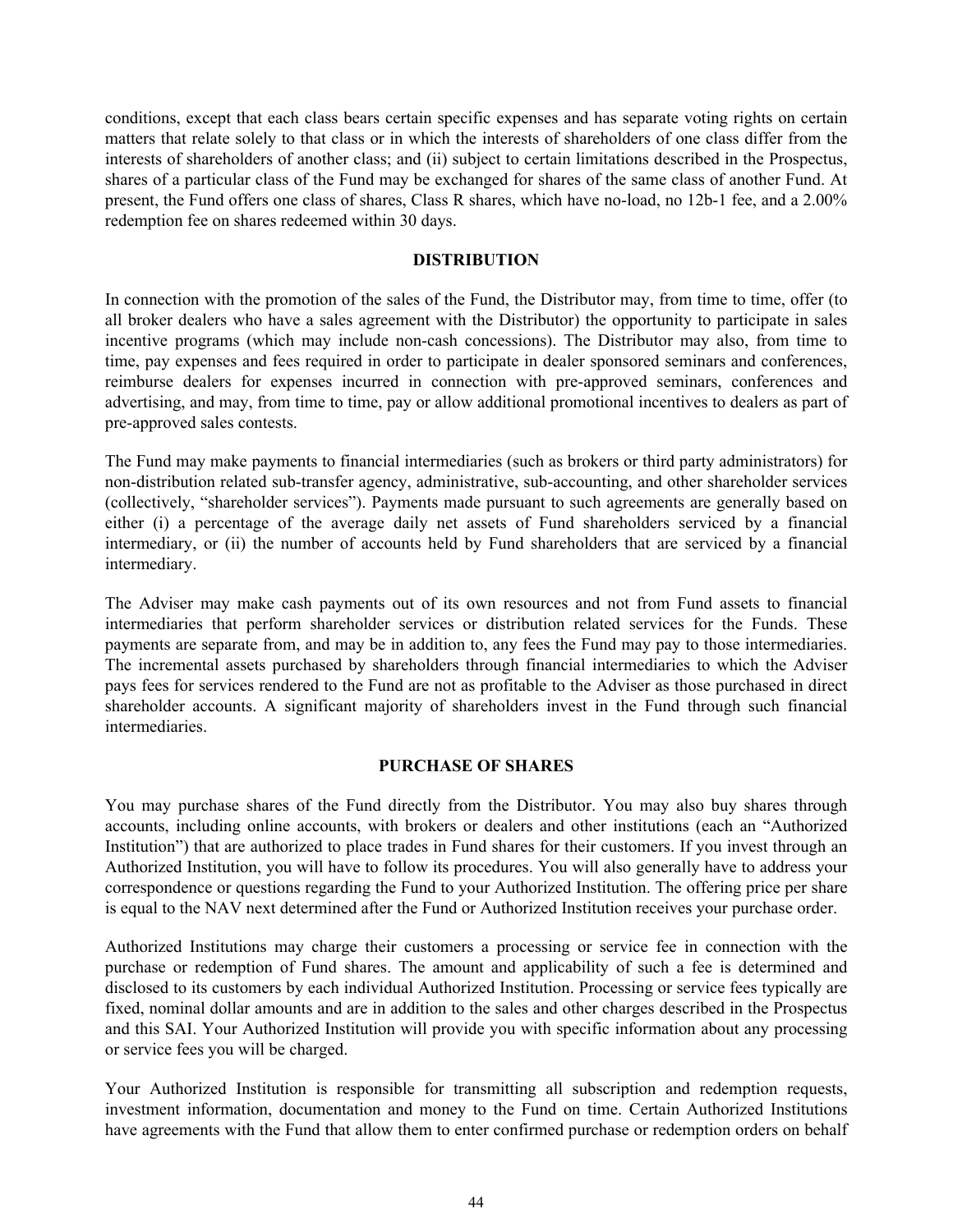<span id="page-46-0"></span>conditions, except that each class bears certain specific expenses and has separate voting rights on certain matters that relate solely to that class or in which the interests of shareholders of one class differ from the interests of shareholders of another class; and (ii) subject to certain limitations described in the Prospectus, shares of a particular class of the Fund may be exchanged for shares of the same class of another Fund. At present, the Fund offers one class of shares, Class R shares, which have no-load, no 12b-1 fee, and a 2.00% redemption fee on shares redeemed within 30 days.

### **DISTRIBUTION**

In connection with the promotion of the sales of the Fund, the Distributor may, from time to time, offer (to all broker dealers who have a sales agreement with the Distributor) the opportunity to participate in sales incentive programs (which may include non-cash concessions). The Distributor may also, from time to time, pay expenses and fees required in order to participate in dealer sponsored seminars and conferences, reimburse dealers for expenses incurred in connection with pre-approved seminars, conferences and advertising, and may, from time to time, pay or allow additional promotional incentives to dealers as part of pre-approved sales contests.

The Fund may make payments to financial intermediaries (such as brokers or third party administrators) for non-distribution related sub-transfer agency, administrative, sub-accounting, and other shareholder services (collectively, "shareholder services"). Payments made pursuant to such agreements are generally based on either (i) a percentage of the average daily net assets of Fund shareholders serviced by a financial intermediary, or (ii) the number of accounts held by Fund shareholders that are serviced by a financial intermediary.

The Adviser may make cash payments out of its own resources and not from Fund assets to financial intermediaries that perform shareholder services or distribution related services for the Funds. These payments are separate from, and may be in addition to, any fees the Fund may pay to those intermediaries. The incremental assets purchased by shareholders through financial intermediaries to which the Adviser pays fees for services rendered to the Fund are not as profitable to the Adviser as those purchased in direct shareholder accounts. A significant majority of shareholders invest in the Fund through such financial intermediaries.

### **PURCHASE OF SHARES**

You may purchase shares of the Fund directly from the Distributor. You may also buy shares through accounts, including online accounts, with brokers or dealers and other institutions (each an "Authorized Institution") that are authorized to place trades in Fund shares for their customers. If you invest through an Authorized Institution, you will have to follow its procedures. You will also generally have to address your correspondence or questions regarding the Fund to your Authorized Institution. The offering price per share is equal to the NAV next determined after the Fund or Authorized Institution receives your purchase order.

Authorized Institutions may charge their customers a processing or service fee in connection with the purchase or redemption of Fund shares. The amount and applicability of such a fee is determined and disclosed to its customers by each individual Authorized Institution. Processing or service fees typically are fixed, nominal dollar amounts and are in addition to the sales and other charges described in the Prospectus and this SAI. Your Authorized Institution will provide you with specific information about any processing or service fees you will be charged.

Your Authorized Institution is responsible for transmitting all subscription and redemption requests, investment information, documentation and money to the Fund on time. Certain Authorized Institutions have agreements with the Fund that allow them to enter confirmed purchase or redemption orders on behalf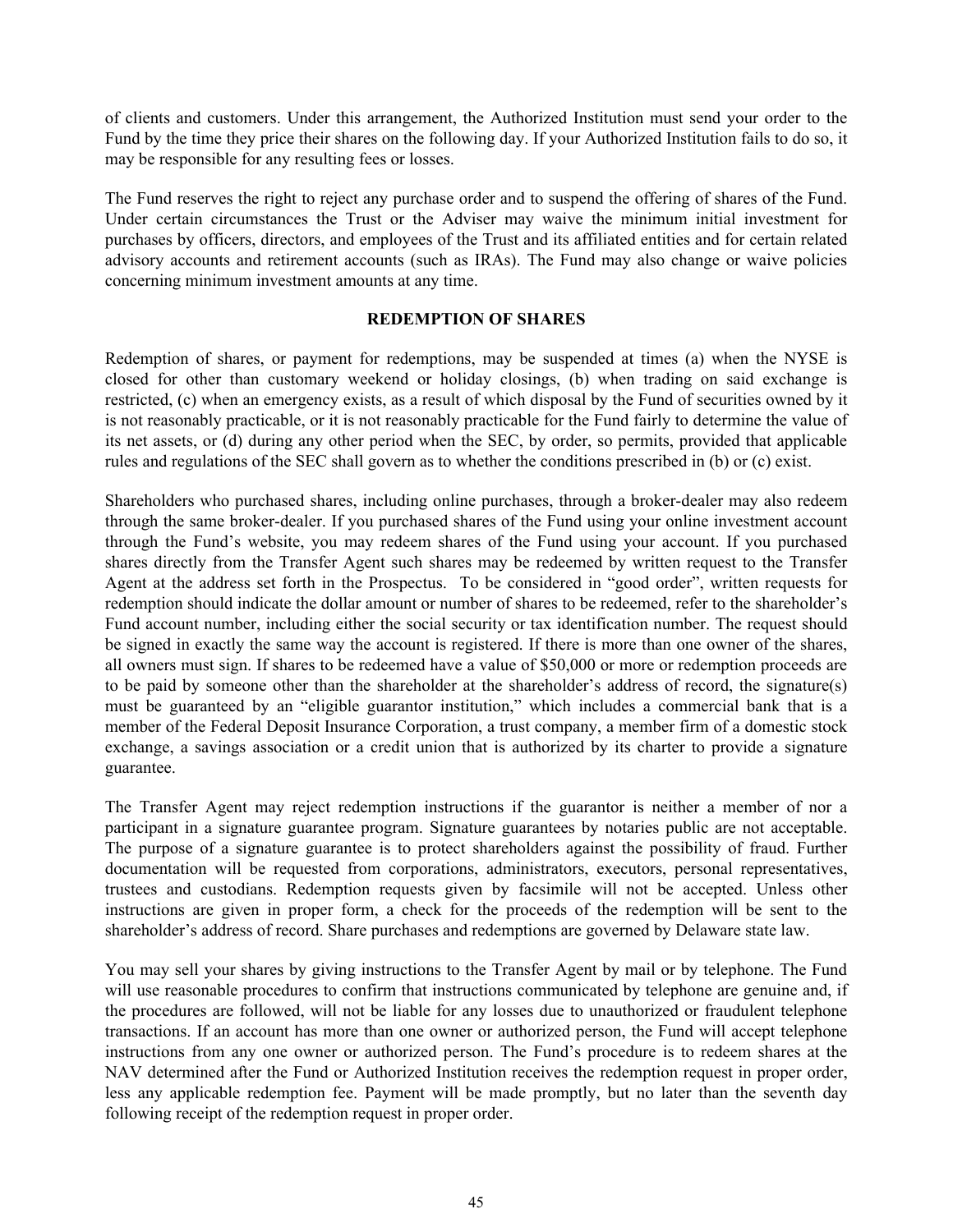<span id="page-47-0"></span>of clients and customers. Under this arrangement, the Authorized Institution must send your order to the Fund by the time they price their shares on the following day. If your Authorized Institution fails to do so, it may be responsible for any resulting fees or losses.

The Fund reserves the right to reject any purchase order and to suspend the offering of shares of the Fund. Under certain circumstances the Trust or the Adviser may waive the minimum initial investment for purchases by officers, directors, and employees of the Trust and its affiliated entities and for certain related advisory accounts and retirement accounts (such as IRAs). The Fund may also change or waive policies concerning minimum investment amounts at any time.

#### **REDEMPTION OF SHARES**

Redemption of shares, or payment for redemptions, may be suspended at times (a) when the NYSE is closed for other than customary weekend or holiday closings, (b) when trading on said exchange is restricted, (c) when an emergency exists, as a result of which disposal by the Fund of securities owned by it is not reasonably practicable, or it is not reasonably practicable for the Fund fairly to determine the value of its net assets, or (d) during any other period when the SEC, by order, so permits, provided that applicable rules and regulations of the SEC shall govern as to whether the conditions prescribed in (b) or (c) exist.

Shareholders who purchased shares, including online purchases, through a broker-dealer may also redeem through the same broker-dealer. If you purchased shares of the Fund using your online investment account through the Fund's website, you may redeem shares of the Fund using your account. If you purchased shares directly from the Transfer Agent such shares may be redeemed by written request to the Transfer Agent at the address set forth in the Prospectus. To be considered in "good order", written requests for redemption should indicate the dollar amount or number of shares to be redeemed, refer to the shareholder's Fund account number, including either the social security or tax identification number. The request should be signed in exactly the same way the account is registered. If there is more than one owner of the shares, all owners must sign. If shares to be redeemed have a value of \$50,000 or more or redemption proceeds are to be paid by someone other than the shareholder at the shareholder's address of record, the signature(s) must be guaranteed by an "eligible guarantor institution," which includes a commercial bank that is a member of the Federal Deposit Insurance Corporation, a trust company, a member firm of a domestic stock exchange, a savings association or a credit union that is authorized by its charter to provide a signature guarantee.

The Transfer Agent may reject redemption instructions if the guarantor is neither a member of nor a participant in a signature guarantee program. Signature guarantees by notaries public are not acceptable. The purpose of a signature guarantee is to protect shareholders against the possibility of fraud. Further documentation will be requested from corporations, administrators, executors, personal representatives, trustees and custodians. Redemption requests given by facsimile will not be accepted. Unless other instructions are given in proper form, a check for the proceeds of the redemption will be sent to the shareholder's address of record. Share purchases and redemptions are governed by Delaware state law.

You may sell your shares by giving instructions to the Transfer Agent by mail or by telephone. The Fund will use reasonable procedures to confirm that instructions communicated by telephone are genuine and, if the procedures are followed, will not be liable for any losses due to unauthorized or fraudulent telephone transactions. If an account has more than one owner or authorized person, the Fund will accept telephone instructions from any one owner or authorized person. The Fund's procedure is to redeem shares at the NAV determined after the Fund or Authorized Institution receives the redemption request in proper order, less any applicable redemption fee. Payment will be made promptly, but no later than the seventh day following receipt of the redemption request in proper order.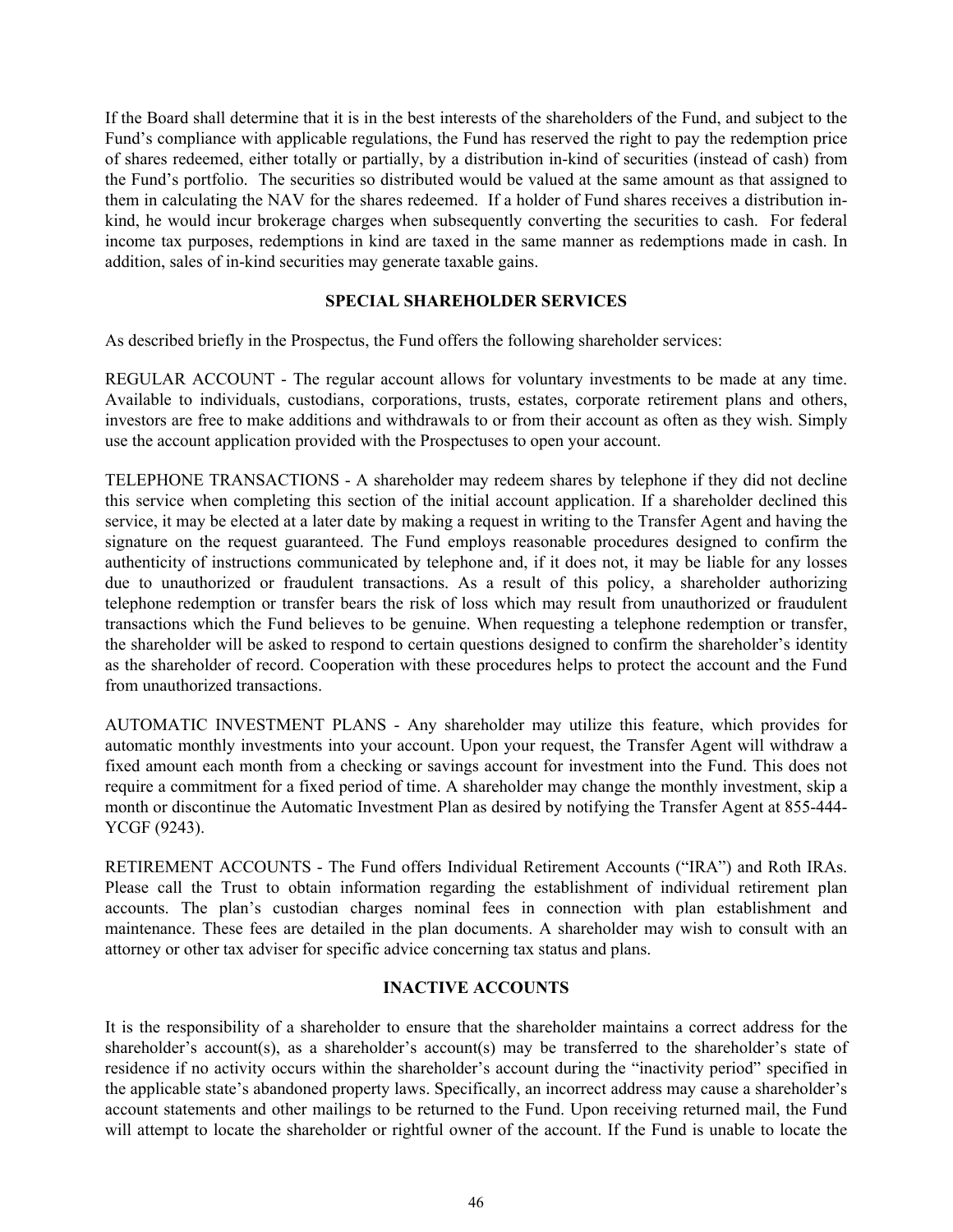<span id="page-48-0"></span>If the Board shall determine that it is in the best interests of the shareholders of the Fund, and subject to the Fund's compliance with applicable regulations, the Fund has reserved the right to pay the redemption price of shares redeemed, either totally or partially, by a distribution in-kind of securities (instead of cash) from the Fund's portfolio. The securities so distributed would be valued at the same amount as that assigned to them in calculating the NAV for the shares redeemed. If a holder of Fund shares receives a distribution inkind, he would incur brokerage charges when subsequently converting the securities to cash. For federal income tax purposes, redemptions in kind are taxed in the same manner as redemptions made in cash. In addition, sales of in-kind securities may generate taxable gains.

### **SPECIAL SHAREHOLDER SERVICES**

As described briefly in the Prospectus, the Fund offers the following shareholder services:

REGULAR ACCOUNT - The regular account allows for voluntary investments to be made at any time. Available to individuals, custodians, corporations, trusts, estates, corporate retirement plans and others, investors are free to make additions and withdrawals to or from their account as often as they wish. Simply use the account application provided with the Prospectuses to open your account.

TELEPHONE TRANSACTIONS - A shareholder may redeem shares by telephone if they did not decline this service when completing this section of the initial account application. If a shareholder declined this service, it may be elected at a later date by making a request in writing to the Transfer Agent and having the signature on the request guaranteed. The Fund employs reasonable procedures designed to confirm the authenticity of instructions communicated by telephone and, if it does not, it may be liable for any losses due to unauthorized or fraudulent transactions. As a result of this policy, a shareholder authorizing telephone redemption or transfer bears the risk of loss which may result from unauthorized or fraudulent transactions which the Fund believes to be genuine. When requesting a telephone redemption or transfer, the shareholder will be asked to respond to certain questions designed to confirm the shareholder's identity as the shareholder of record. Cooperation with these procedures helps to protect the account and the Fund from unauthorized transactions.

AUTOMATIC INVESTMENT PLANS - Any shareholder may utilize this feature, which provides for automatic monthly investments into your account. Upon your request, the Transfer Agent will withdraw a fixed amount each month from a checking or savings account for investment into the Fund. This does not require a commitment for a fixed period of time. A shareholder may change the monthly investment, skip a month or discontinue the Automatic Investment Plan as desired by notifying the Transfer Agent at 855-444- YCGF (9243).

RETIREMENT ACCOUNTS - The Fund offers Individual Retirement Accounts ("IRA") and Roth IRAs. Please call the Trust to obtain information regarding the establishment of individual retirement plan accounts. The plan's custodian charges nominal fees in connection with plan establishment and maintenance. These fees are detailed in the plan documents. A shareholder may wish to consult with an attorney or other tax adviser for specific advice concerning tax status and plans.

### **INACTIVE ACCOUNTS**

It is the responsibility of a shareholder to ensure that the shareholder maintains a correct address for the shareholder's account(s), as a shareholder's account(s) may be transferred to the shareholder's state of residence if no activity occurs within the shareholder's account during the "inactivity period" specified in the applicable state's abandoned property laws. Specifically, an incorrect address may cause a shareholder's account statements and other mailings to be returned to the Fund. Upon receiving returned mail, the Fund will attempt to locate the shareholder or rightful owner of the account. If the Fund is unable to locate the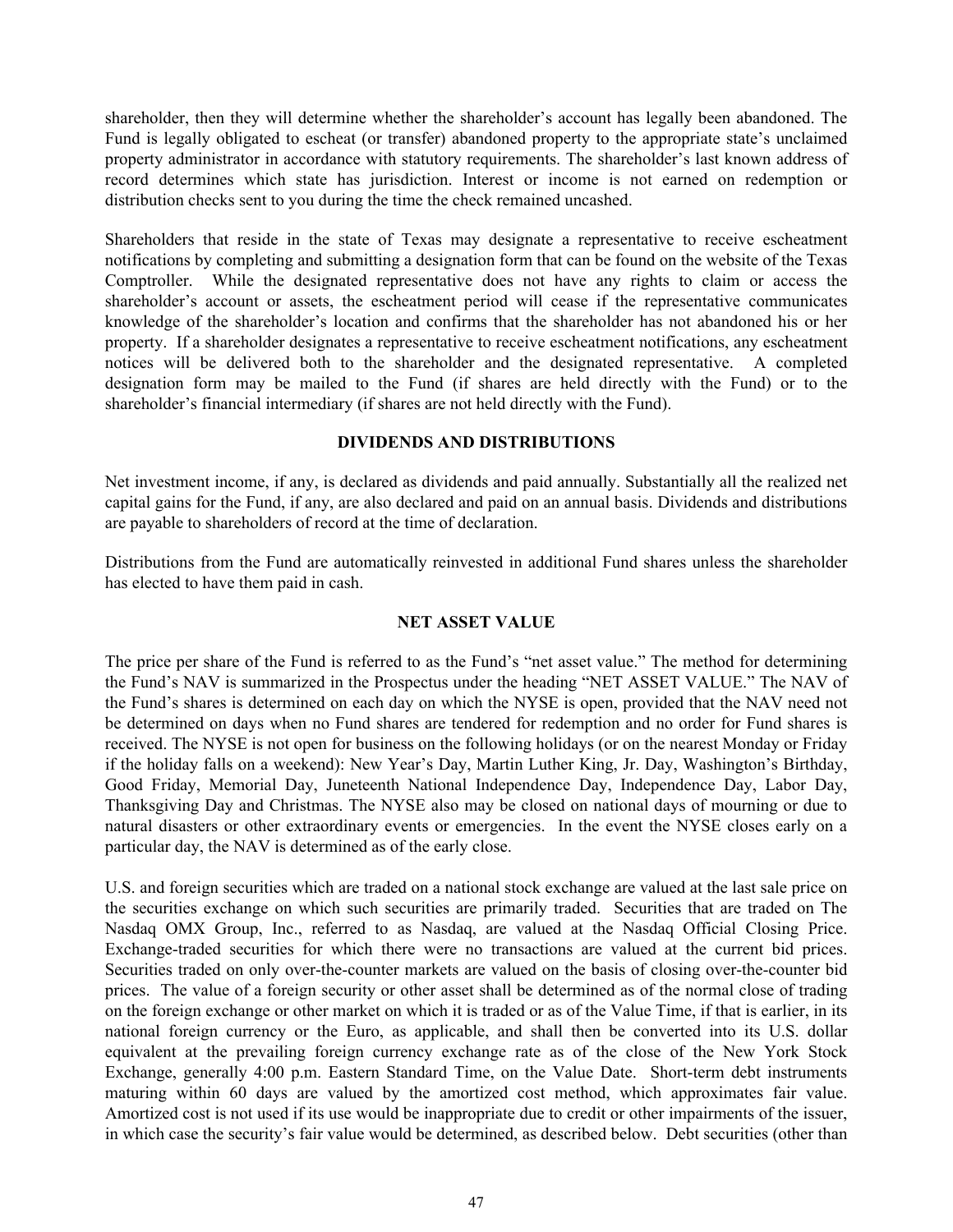<span id="page-49-0"></span>shareholder, then they will determine whether the shareholder's account has legally been abandoned. The Fund is legally obligated to escheat (or transfer) abandoned property to the appropriate state's unclaimed property administrator in accordance with statutory requirements. The shareholder's last known address of record determines which state has jurisdiction. Interest or income is not earned on redemption or distribution checks sent to you during the time the check remained uncashed.

Shareholders that reside in the state of Texas may designate a representative to receive escheatment notifications by completing and submitting a designation form that can be found on the website of the Texas Comptroller. While the designated representative does not have any rights to claim or access the shareholder's account or assets, the escheatment period will cease if the representative communicates knowledge of the shareholder's location and confirms that the shareholder has not abandoned his or her property. If a shareholder designates a representative to receive escheatment notifications, any escheatment notices will be delivered both to the shareholder and the designated representative. A completed designation form may be mailed to the Fund (if shares are held directly with the Fund) or to the shareholder's financial intermediary (if shares are not held directly with the Fund).

#### **DIVIDENDS AND DISTRIBUTIONS**

Net investment income, if any, is declared as dividends and paid annually. Substantially all the realized net capital gains for the Fund, if any, are also declared and paid on an annual basis. Dividends and distributions are payable to shareholders of record at the time of declaration.

Distributions from the Fund are automatically reinvested in additional Fund shares unless the shareholder has elected to have them paid in cash.

### **NET ASSET VALUE**

The price per share of the Fund is referred to as the Fund's "net asset value." The method for determining the Fund's NAV is summarized in the Prospectus under the heading "NET ASSET VALUE." The NAV of the Fund's shares is determined on each day on which the NYSE is open, provided that the NAV need not be determined on days when no Fund shares are tendered for redemption and no order for Fund shares is received. The NYSE is not open for business on the following holidays (or on the nearest Monday or Friday if the holiday falls on a weekend): New Year's Day, Martin Luther King, Jr. Day, Washington's Birthday, Good Friday, Memorial Day, Juneteenth National Independence Day, Independence Day, Labor Day, Thanksgiving Day and Christmas. The NYSE also may be closed on national days of mourning or due to natural disasters or other extraordinary events or emergencies. In the event the NYSE closes early on a particular day, the NAV is determined as of the early close.

U.S. and foreign securities which are traded on a national stock exchange are valued at the last sale price on the securities exchange on which such securities are primarily traded. Securities that are traded on The Nasdaq OMX Group, Inc., referred to as Nasdaq, are valued at the Nasdaq Official Closing Price. Exchange-traded securities for which there were no transactions are valued at the current bid prices. Securities traded on only over-the-counter markets are valued on the basis of closing over-the-counter bid prices. The value of a foreign security or other asset shall be determined as of the normal close of trading on the foreign exchange or other market on which it is traded or as of the Value Time, if that is earlier, in its national foreign currency or the Euro, as applicable, and shall then be converted into its U.S. dollar equivalent at the prevailing foreign currency exchange rate as of the close of the New York Stock Exchange, generally 4:00 p.m. Eastern Standard Time, on the Value Date. Short-term debt instruments maturing within 60 days are valued by the amortized cost method, which approximates fair value. Amortized cost is not used if its use would be inappropriate due to credit or other impairments of the issuer, in which case the security's fair value would be determined, as described below. Debt securities (other than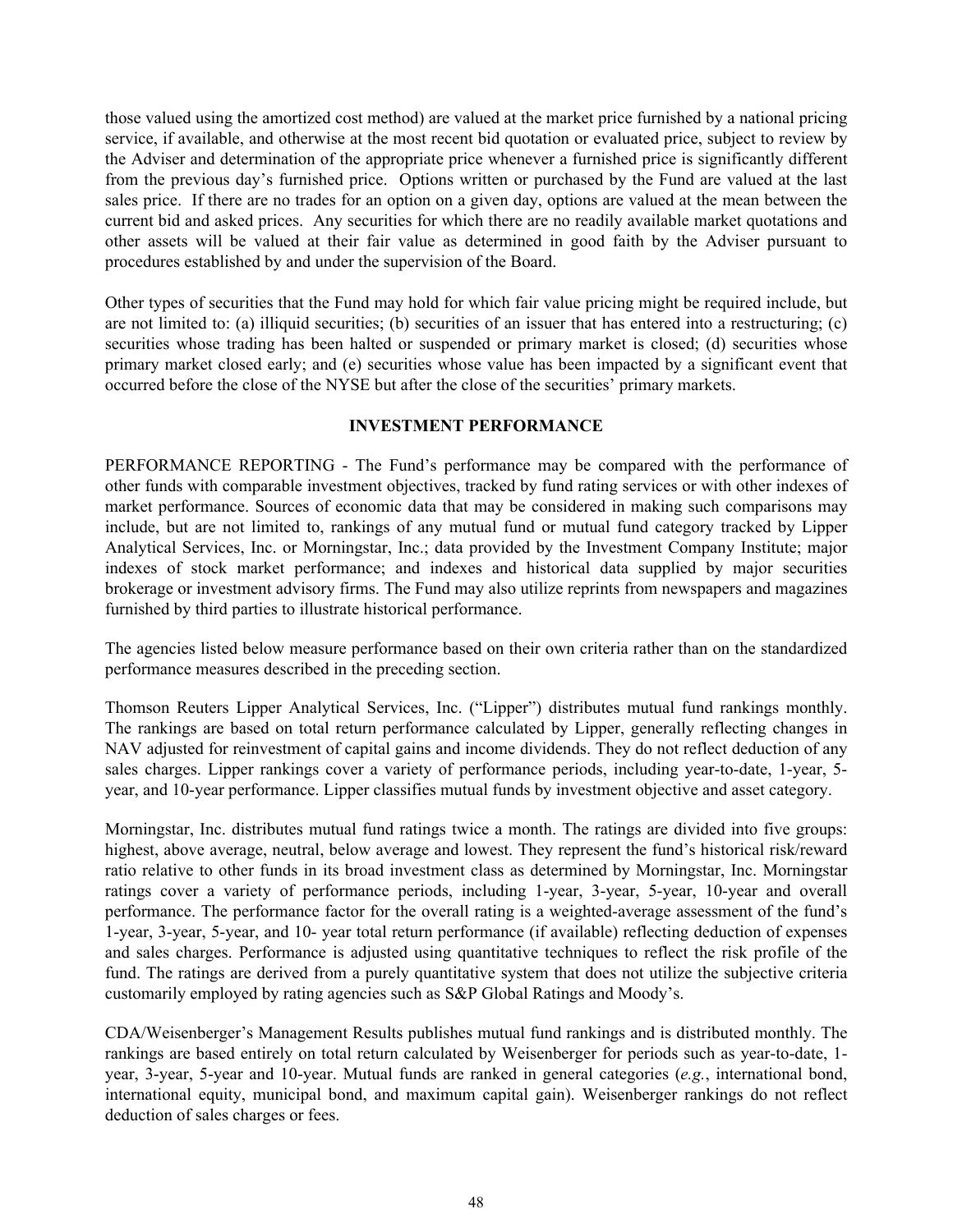<span id="page-50-0"></span>those valued using the amortized cost method) are valued at the market price furnished by a national pricing service, if available, and otherwise at the most recent bid quotation or evaluated price, subject to review by the Adviser and determination of the appropriate price whenever a furnished price is significantly different from the previous day's furnished price. Options written or purchased by the Fund are valued at the last sales price. If there are no trades for an option on a given day, options are valued at the mean between the current bid and asked prices. Any securities for which there are no readily available market quotations and other assets will be valued at their fair value as determined in good faith by the Adviser pursuant to procedures established by and under the supervision of the Board.

Other types of securities that the Fund may hold for which fair value pricing might be required include, but are not limited to: (a) illiquid securities; (b) securities of an issuer that has entered into a restructuring; (c) securities whose trading has been halted or suspended or primary market is closed; (d) securities whose primary market closed early; and (e) securities whose value has been impacted by a significant event that occurred before the close of the NYSE but after the close of the securities' primary markets.

#### **INVESTMENT PERFORMANCE**

PERFORMANCE REPORTING - The Fund's performance may be compared with the performance of other funds with comparable investment objectives, tracked by fund rating services or with other indexes of market performance. Sources of economic data that may be considered in making such comparisons may include, but are not limited to, rankings of any mutual fund or mutual fund category tracked by Lipper Analytical Services, Inc. or Morningstar, Inc.; data provided by the Investment Company Institute; major indexes of stock market performance; and indexes and historical data supplied by major securities brokerage or investment advisory firms. The Fund may also utilize reprints from newspapers and magazines furnished by third parties to illustrate historical performance.

The agencies listed below measure performance based on their own criteria rather than on the standardized performance measures described in the preceding section.

Thomson Reuters Lipper Analytical Services, Inc. ("Lipper") distributes mutual fund rankings monthly. The rankings are based on total return performance calculated by Lipper, generally reflecting changes in NAV adjusted for reinvestment of capital gains and income dividends. They do not reflect deduction of any sales charges. Lipper rankings cover a variety of performance periods, including year-to-date, 1-year, 5 year, and 10-year performance. Lipper classifies mutual funds by investment objective and asset category.

Morningstar, Inc. distributes mutual fund ratings twice a month. The ratings are divided into five groups: highest, above average, neutral, below average and lowest. They represent the fund's historical risk/reward ratio relative to other funds in its broad investment class as determined by Morningstar, Inc. Morningstar ratings cover a variety of performance periods, including 1-year, 3-year, 5-year, 10-year and overall performance. The performance factor for the overall rating is a weighted-average assessment of the fund's 1-year, 3-year, 5-year, and 10- year total return performance (if available) reflecting deduction of expenses and sales charges. Performance is adjusted using quantitative techniques to reflect the risk profile of the fund. The ratings are derived from a purely quantitative system that does not utilize the subjective criteria customarily employed by rating agencies such as S&P Global Ratings and Moody's.

CDA/Weisenberger's Management Results publishes mutual fund rankings and is distributed monthly. The rankings are based entirely on total return calculated by Weisenberger for periods such as year-to-date, 1 year, 3-year, 5-year and 10-year. Mutual funds are ranked in general categories (*e.g.*, international bond, international equity, municipal bond, and maximum capital gain). Weisenberger rankings do not reflect deduction of sales charges or fees.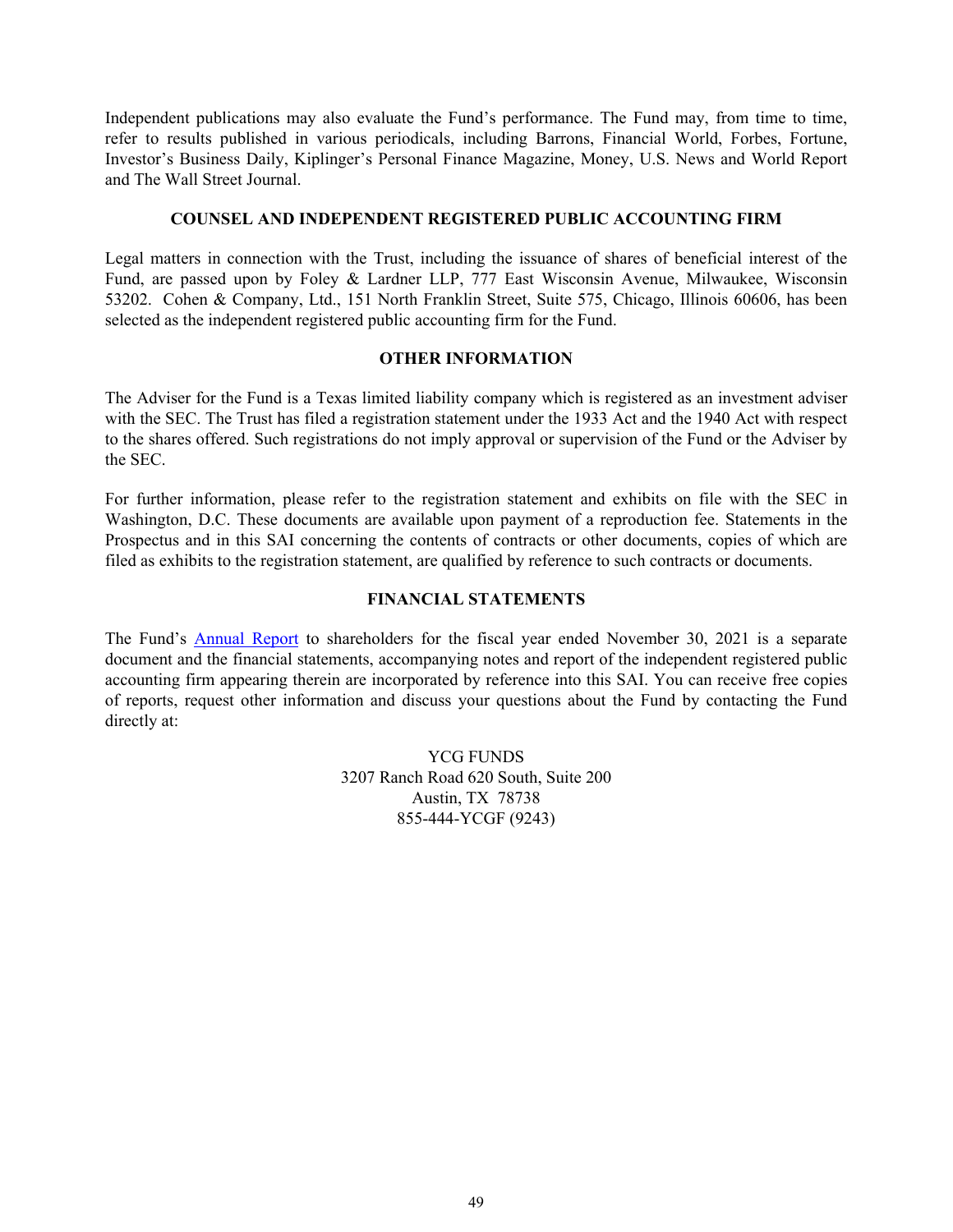<span id="page-51-0"></span>Independent publications may also evaluate the Fund's performance. The Fund may, from time to time, refer to results published in various periodicals, including Barrons, Financial World, Forbes, Fortune, Investor's Business Daily, Kiplinger's Personal Finance Magazine, Money, U.S. News and World Report and The Wall Street Journal.

### **COUNSEL AND INDEPENDENT REGISTERED PUBLIC ACCOUNTING FIRM**

Legal matters in connection with the Trust, including the issuance of shares of beneficial interest of the Fund, are passed upon by Foley & Lardner LLP, 777 East Wisconsin Avenue, Milwaukee, Wisconsin 53202. Cohen & Company, Ltd., 151 North Franklin Street, Suite 575, Chicago, Illinois 60606, has been selected as the independent registered public accounting firm for the Fund.

### **OTHER INFORMATION**

The Adviser for the Fund is a Texas limited liability company which is registered as an investment adviser with the SEC. The Trust has filed a registration statement under the 1933 Act and the 1940 Act with respect to the shares offered. Such registrations do not imply approval or supervision of the Fund or the Adviser by the SEC.

For further information, please refer to the registration statement and exhibits on file with the SEC in Washington, D.C. These documents are available upon payment of a reproduction fee. Statements in the Prospectus and in this SAI concerning the contents of contracts or other documents, copies of which are filed as exhibits to the registration statement, are qualified by reference to such contracts or documents.

### **FINANCIAL STATEMENTS**

The Fund's [Annual Report](http://www.sec.gov/Archives/edgar/data/1558372/000089853122000040/ycgef-ncsra.htm) to shareholders for the fiscal year ended November 30, 2021 is a separate document and the financial statements, accompanying notes and report of the independent registered public accounting firm appearing therein are incorporated by reference into this SAI. You can receive free copies of reports, request other information and discuss your questions about the Fund by contacting the Fund directly at:

> YCG FUNDS 3207 Ranch Road 620 South, Suite 200 Austin, TX 78738 855-444-YCGF (9243)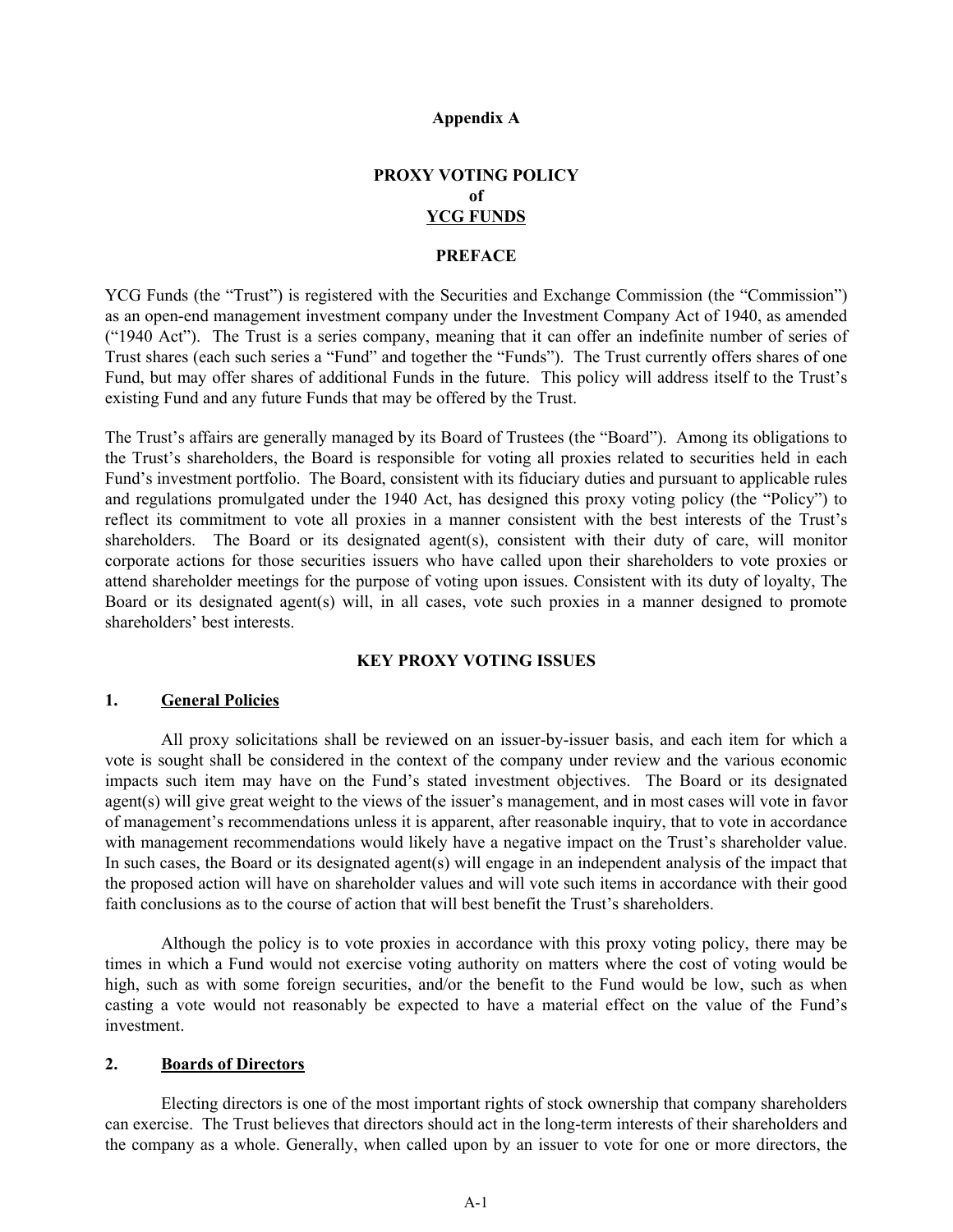#### **Appendix A**

# **PROXY VOTING POLICY of YCG FUNDS**

### **PREFACE**

<span id="page-52-0"></span>YCG Funds (the "Trust") is registered with the Securities and Exchange Commission (the "Commission") as an open-end management investment company under the Investment Company Act of 1940, as amended ("1940 Act"). The Trust is a series company, meaning that it can offer an indefinite number of series of Trust shares (each such series a "Fund" and together the "Funds"). The Trust currently offers shares of one Fund, but may offer shares of additional Funds in the future. This policy will address itself to the Trust's existing Fund and any future Funds that may be offered by the Trust.

The Trust's affairs are generally managed by its Board of Trustees (the "Board"). Among its obligations to the Trust's shareholders, the Board is responsible for voting all proxies related to securities held in each Fund's investment portfolio. The Board, consistent with its fiduciary duties and pursuant to applicable rules and regulations promulgated under the 1940 Act, has designed this proxy voting policy (the "Policy") to reflect its commitment to vote all proxies in a manner consistent with the best interests of the Trust's shareholders. The Board or its designated agent(s), consistent with their duty of care, will monitor corporate actions for those securities issuers who have called upon their shareholders to vote proxies or attend shareholder meetings for the purpose of voting upon issues. Consistent with its duty of loyalty, The Board or its designated agent(s) will, in all cases, vote such proxies in a manner designed to promote shareholders' best interests.

### **KEY PROXY VOTING ISSUES**

#### **1. General Policies**

All proxy solicitations shall be reviewed on an issuer-by-issuer basis, and each item for which a vote is sought shall be considered in the context of the company under review and the various economic impacts such item may have on the Fund's stated investment objectives. The Board or its designated agent(s) will give great weight to the views of the issuer's management, and in most cases will vote in favor of management's recommendations unless it is apparent, after reasonable inquiry, that to vote in accordance with management recommendations would likely have a negative impact on the Trust's shareholder value. In such cases, the Board or its designated agent(s) will engage in an independent analysis of the impact that the proposed action will have on shareholder values and will vote such items in accordance with their good faith conclusions as to the course of action that will best benefit the Trust's shareholders.

Although the policy is to vote proxies in accordance with this proxy voting policy, there may be times in which a Fund would not exercise voting authority on matters where the cost of voting would be high, such as with some foreign securities, and/or the benefit to the Fund would be low, such as when casting a vote would not reasonably be expected to have a material effect on the value of the Fund's investment.

#### **2. Boards of Directors**

Electing directors is one of the most important rights of stock ownership that company shareholders can exercise. The Trust believes that directors should act in the long-term interests of their shareholders and the company as a whole. Generally, when called upon by an issuer to vote for one or more directors, the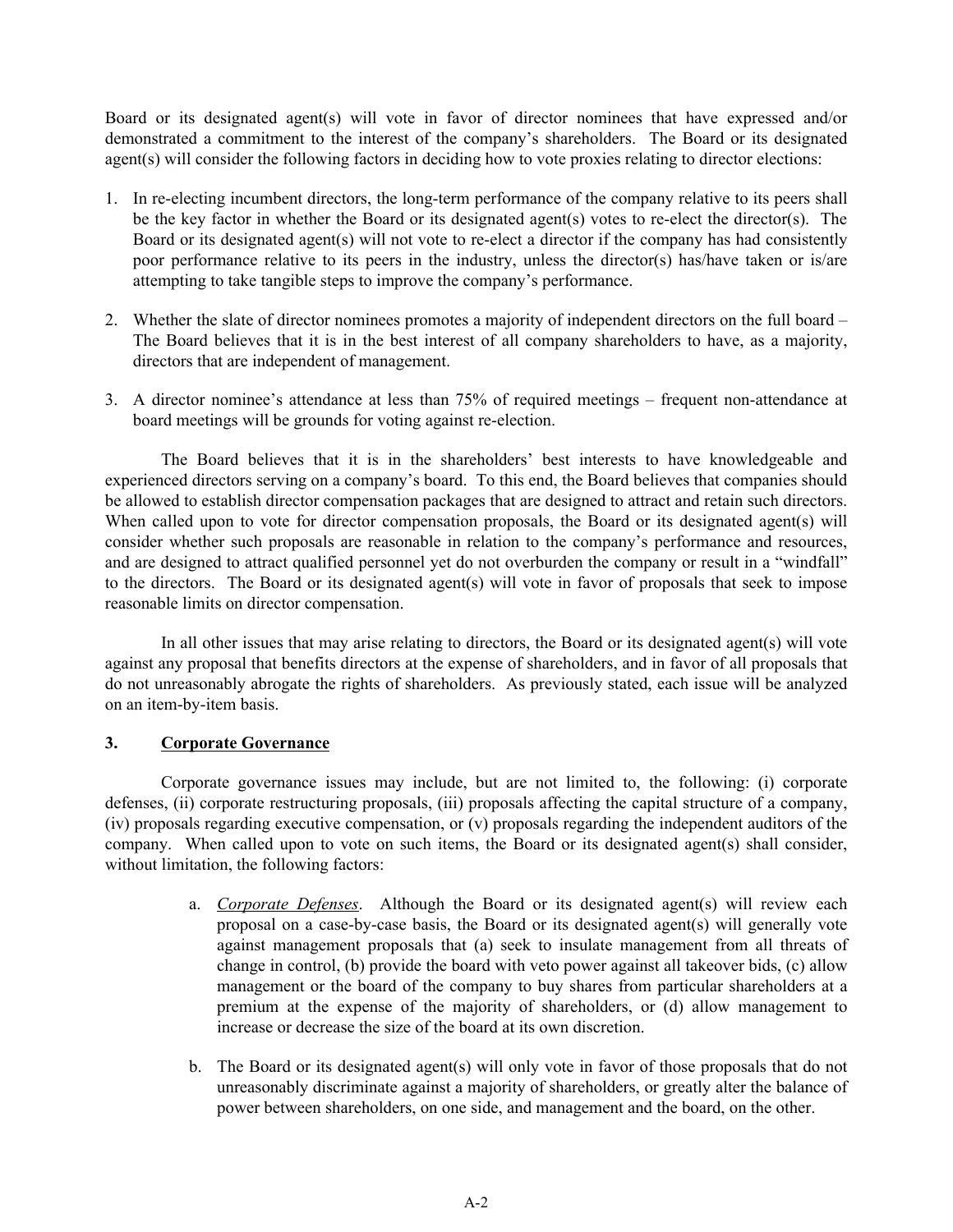Board or its designated agent(s) will vote in favor of director nominees that have expressed and/or demonstrated a commitment to the interest of the company's shareholders. The Board or its designated agent(s) will consider the following factors in deciding how to vote proxies relating to director elections:

- 1. In re-electing incumbent directors, the long-term performance of the company relative to its peers shall be the key factor in whether the Board or its designated agent(s) votes to re-elect the director(s). The Board or its designated agent(s) will not vote to re-elect a director if the company has had consistently poor performance relative to its peers in the industry, unless the director(s) has/have taken or is/are attempting to take tangible steps to improve the company's performance.
- 2. Whether the slate of director nominees promotes a majority of independent directors on the full board The Board believes that it is in the best interest of all company shareholders to have, as a majority, directors that are independent of management.
- 3. A director nominee's attendance at less than 75% of required meetings frequent non-attendance at board meetings will be grounds for voting against re-election.

The Board believes that it is in the shareholders' best interests to have knowledgeable and experienced directors serving on a company's board. To this end, the Board believes that companies should be allowed to establish director compensation packages that are designed to attract and retain such directors. When called upon to vote for director compensation proposals, the Board or its designated agent(s) will consider whether such proposals are reasonable in relation to the company's performance and resources, and are designed to attract qualified personnel yet do not overburden the company or result in a "windfall" to the directors. The Board or its designated agent(s) will vote in favor of proposals that seek to impose reasonable limits on director compensation.

In all other issues that may arise relating to directors, the Board or its designated agent(s) will vote against any proposal that benefits directors at the expense of shareholders, and in favor of all proposals that do not unreasonably abrogate the rights of shareholders. As previously stated, each issue will be analyzed on an item-by-item basis.

## **3. Corporate Governance**

Corporate governance issues may include, but are not limited to, the following: (i) corporate defenses, (ii) corporate restructuring proposals, (iii) proposals affecting the capital structure of a company, (iv) proposals regarding executive compensation, or (v) proposals regarding the independent auditors of the company. When called upon to vote on such items, the Board or its designated agent(s) shall consider, without limitation, the following factors:

- a. *Corporate Defenses*. Although the Board or its designated agent(s) will review each proposal on a case-by-case basis, the Board or its designated agent(s) will generally vote against management proposals that (a) seek to insulate management from all threats of change in control, (b) provide the board with veto power against all takeover bids, (c) allow management or the board of the company to buy shares from particular shareholders at a premium at the expense of the majority of shareholders, or (d) allow management to increase or decrease the size of the board at its own discretion.
- b. The Board or its designated agent(s) will only vote in favor of those proposals that do not unreasonably discriminate against a majority of shareholders, or greatly alter the balance of power between shareholders, on one side, and management and the board, on the other.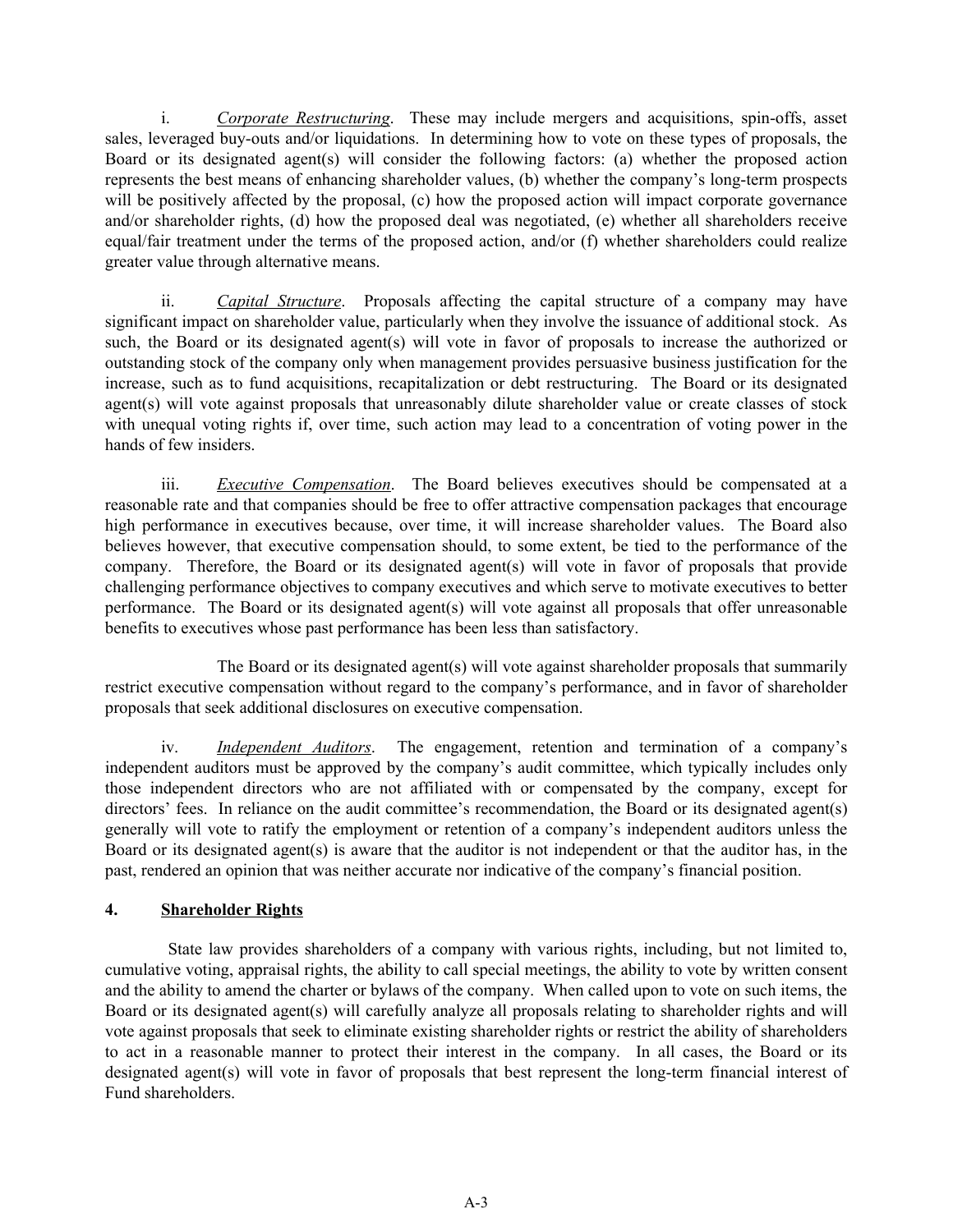i. *Corporate Restructuring*. These may include mergers and acquisitions, spin-offs, asset sales, leveraged buy-outs and/or liquidations. In determining how to vote on these types of proposals, the Board or its designated agent(s) will consider the following factors: (a) whether the proposed action represents the best means of enhancing shareholder values, (b) whether the company's long-term prospects will be positively affected by the proposal, (c) how the proposed action will impact corporate governance and/or shareholder rights, (d) how the proposed deal was negotiated, (e) whether all shareholders receive equal/fair treatment under the terms of the proposed action, and/or (f) whether shareholders could realize greater value through alternative means.

ii. *Capital Structure*. Proposals affecting the capital structure of a company may have significant impact on shareholder value, particularly when they involve the issuance of additional stock. As such, the Board or its designated agent(s) will vote in favor of proposals to increase the authorized or outstanding stock of the company only when management provides persuasive business justification for the increase, such as to fund acquisitions, recapitalization or debt restructuring. The Board or its designated agent(s) will vote against proposals that unreasonably dilute shareholder value or create classes of stock with unequal voting rights if, over time, such action may lead to a concentration of voting power in the hands of few insiders.

iii. *Executive Compensation*. The Board believes executives should be compensated at a reasonable rate and that companies should be free to offer attractive compensation packages that encourage high performance in executives because, over time, it will increase shareholder values. The Board also believes however, that executive compensation should, to some extent, be tied to the performance of the company. Therefore, the Board or its designated agent(s) will vote in favor of proposals that provide challenging performance objectives to company executives and which serve to motivate executives to better performance. The Board or its designated agent(s) will vote against all proposals that offer unreasonable benefits to executives whose past performance has been less than satisfactory.

The Board or its designated agent(s) will vote against shareholder proposals that summarily restrict executive compensation without regard to the company's performance, and in favor of shareholder proposals that seek additional disclosures on executive compensation.

iv. *Independent Auditors*. The engagement, retention and termination of a company's independent auditors must be approved by the company's audit committee, which typically includes only those independent directors who are not affiliated with or compensated by the company, except for directors' fees. In reliance on the audit committee's recommendation, the Board or its designated agent(s) generally will vote to ratify the employment or retention of a company's independent auditors unless the Board or its designated agent(s) is aware that the auditor is not independent or that the auditor has, in the past, rendered an opinion that was neither accurate nor indicative of the company's financial position.

# **4. Shareholder Rights**

State law provides shareholders of a company with various rights, including, but not limited to, cumulative voting, appraisal rights, the ability to call special meetings, the ability to vote by written consent and the ability to amend the charter or bylaws of the company. When called upon to vote on such items, the Board or its designated agent(s) will carefully analyze all proposals relating to shareholder rights and will vote against proposals that seek to eliminate existing shareholder rights or restrict the ability of shareholders to act in a reasonable manner to protect their interest in the company. In all cases, the Board or its designated agent(s) will vote in favor of proposals that best represent the long-term financial interest of Fund shareholders.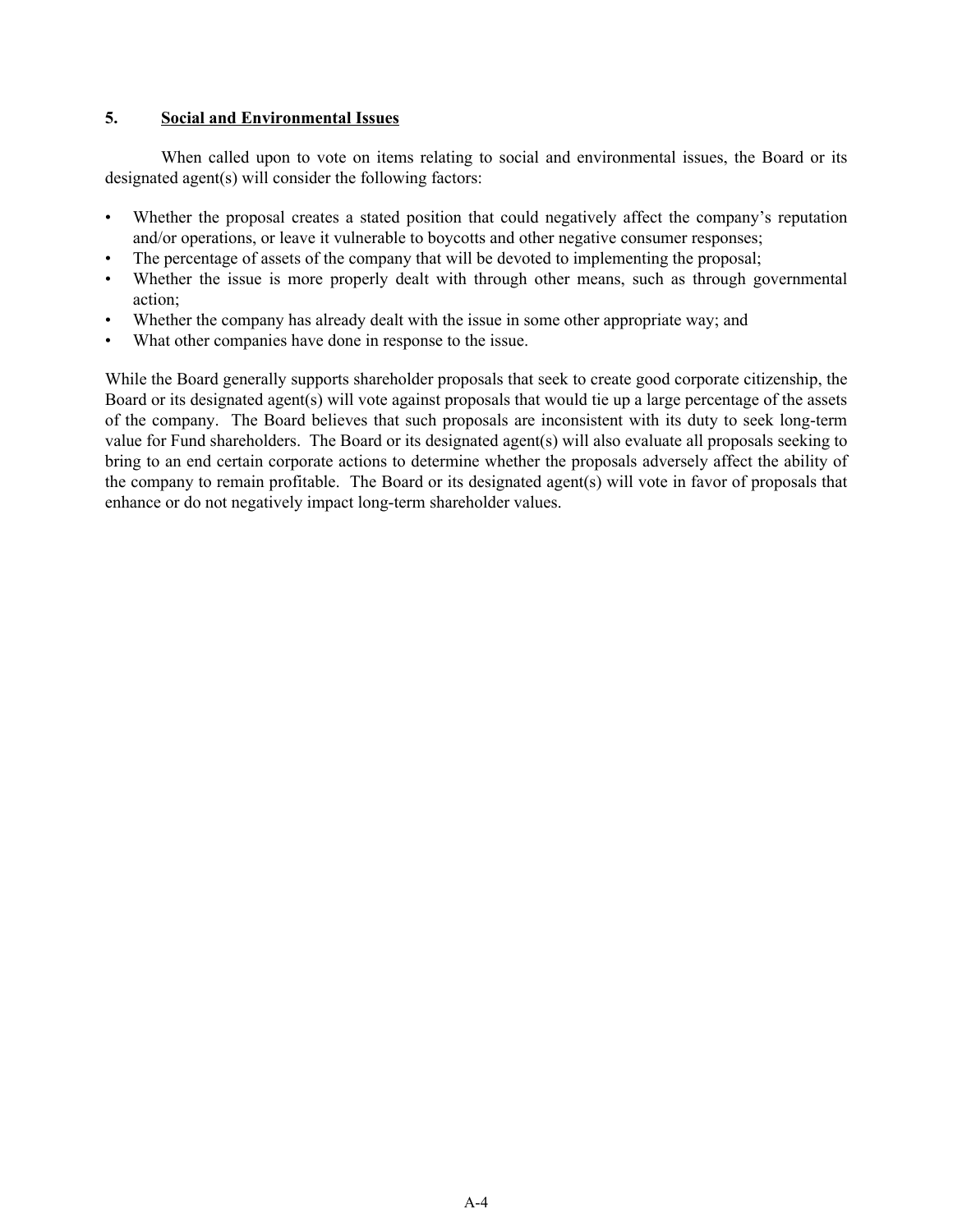### **5. Social and Environmental Issues**

When called upon to vote on items relating to social and environmental issues, the Board or its designated agent(s) will consider the following factors:

- Whether the proposal creates a stated position that could negatively affect the company's reputation and/or operations, or leave it vulnerable to boycotts and other negative consumer responses;
- The percentage of assets of the company that will be devoted to implementing the proposal;
- Whether the issue is more properly dealt with through other means, such as through governmental action;
- Whether the company has already dealt with the issue in some other appropriate way; and
- What other companies have done in response to the issue.

While the Board generally supports shareholder proposals that seek to create good corporate citizenship, the Board or its designated agent(s) will vote against proposals that would tie up a large percentage of the assets of the company. The Board believes that such proposals are inconsistent with its duty to seek long-term value for Fund shareholders. The Board or its designated agent(s) will also evaluate all proposals seeking to bring to an end certain corporate actions to determine whether the proposals adversely affect the ability of the company to remain profitable. The Board or its designated agent(s) will vote in favor of proposals that enhance or do not negatively impact long-term shareholder values.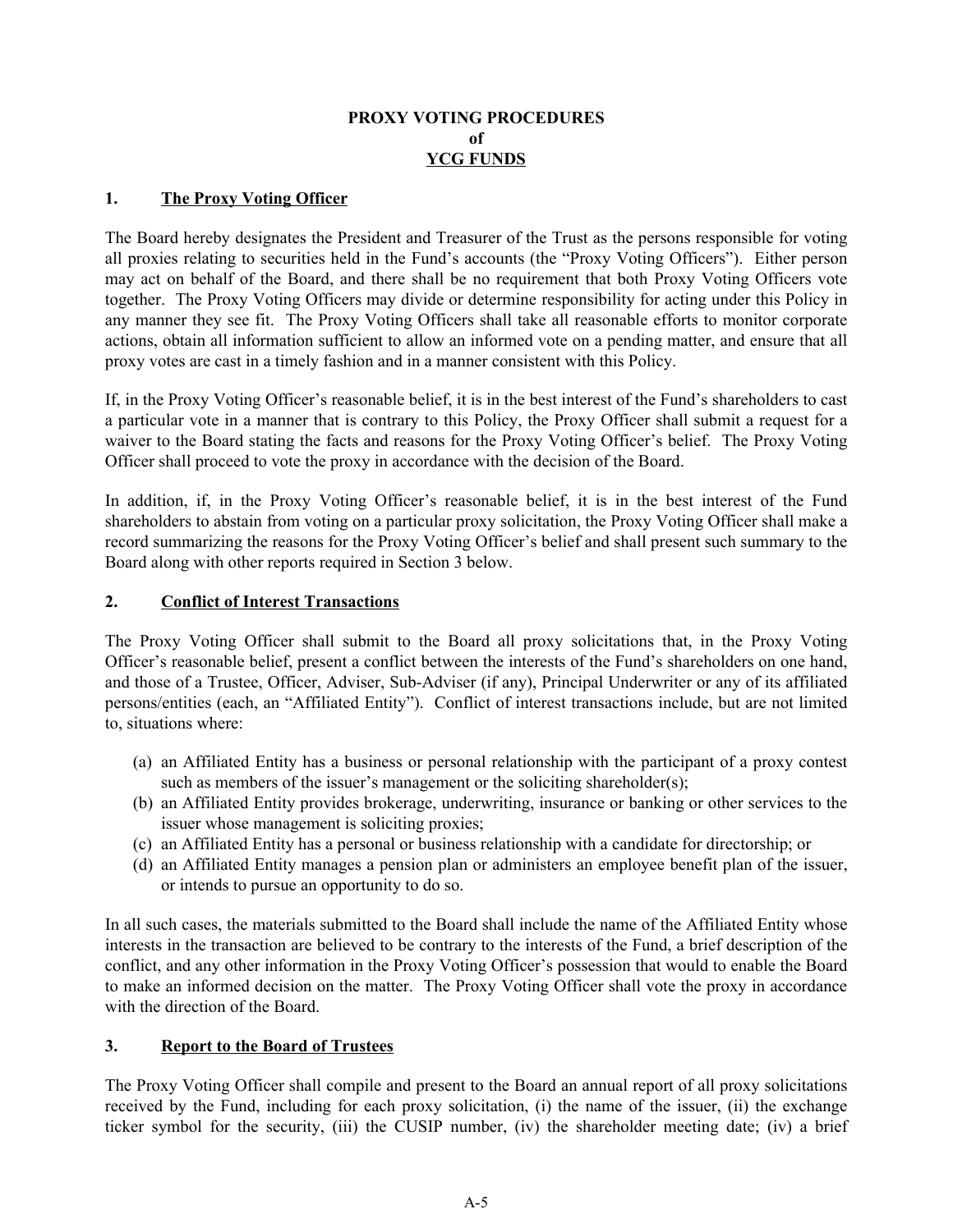## **PROXY VOTING PROCEDURES of YCG FUNDS**

### **1. The Proxy Voting Officer**

The Board hereby designates the President and Treasurer of the Trust as the persons responsible for voting all proxies relating to securities held in the Fund's accounts (the "Proxy Voting Officers"). Either person may act on behalf of the Board, and there shall be no requirement that both Proxy Voting Officers vote together. The Proxy Voting Officers may divide or determine responsibility for acting under this Policy in any manner they see fit. The Proxy Voting Officers shall take all reasonable efforts to monitor corporate actions, obtain all information sufficient to allow an informed vote on a pending matter, and ensure that all proxy votes are cast in a timely fashion and in a manner consistent with this Policy.

If, in the Proxy Voting Officer's reasonable belief, it is in the best interest of the Fund's shareholders to cast a particular vote in a manner that is contrary to this Policy, the Proxy Officer shall submit a request for a waiver to the Board stating the facts and reasons for the Proxy Voting Officer's belief. The Proxy Voting Officer shall proceed to vote the proxy in accordance with the decision of the Board.

In addition, if, in the Proxy Voting Officer's reasonable belief, it is in the best interest of the Fund shareholders to abstain from voting on a particular proxy solicitation, the Proxy Voting Officer shall make a record summarizing the reasons for the Proxy Voting Officer's belief and shall present such summary to the Board along with other reports required in Section 3 below.

### **2. Conflict of Interest Transactions**

The Proxy Voting Officer shall submit to the Board all proxy solicitations that, in the Proxy Voting Officer's reasonable belief, present a conflict between the interests of the Fund's shareholders on one hand, and those of a Trustee, Officer, Adviser, Sub-Adviser (if any), Principal Underwriter or any of its affiliated persons/entities (each, an "Affiliated Entity"). Conflict of interest transactions include, but are not limited to, situations where:

- (a) an Affiliated Entity has a business or personal relationship with the participant of a proxy contest such as members of the issuer's management or the soliciting shareholder(s);
- (b) an Affiliated Entity provides brokerage, underwriting, insurance or banking or other services to the issuer whose management is soliciting proxies;
- (c) an Affiliated Entity has a personal or business relationship with a candidate for directorship; or
- (d) an Affiliated Entity manages a pension plan or administers an employee benefit plan of the issuer, or intends to pursue an opportunity to do so.

In all such cases, the materials submitted to the Board shall include the name of the Affiliated Entity whose interests in the transaction are believed to be contrary to the interests of the Fund, a brief description of the conflict, and any other information in the Proxy Voting Officer's possession that would to enable the Board to make an informed decision on the matter. The Proxy Voting Officer shall vote the proxy in accordance with the direction of the Board.

### **3. Report to the Board of Trustees**

The Proxy Voting Officer shall compile and present to the Board an annual report of all proxy solicitations received by the Fund, including for each proxy solicitation, (i) the name of the issuer, (ii) the exchange ticker symbol for the security, (iii) the CUSIP number, (iv) the shareholder meeting date; (iv) a brief